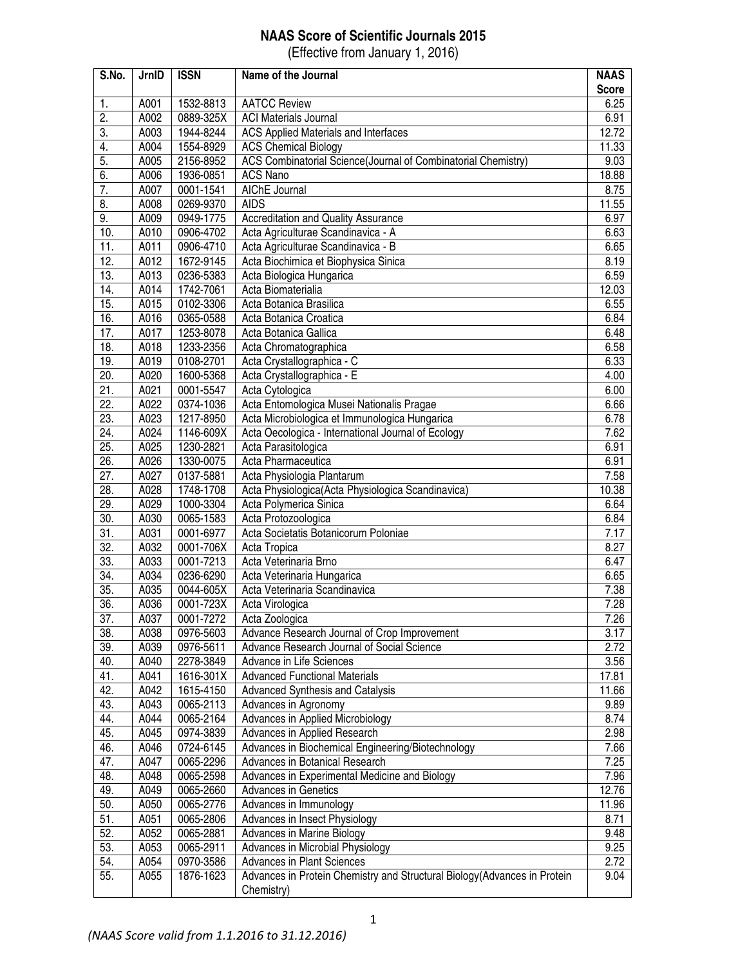## **NAAS Score of Scientific Journals 2015**

(Effective from January 1, 2016)

| S.No.           | JrnID        | <b>ISSN</b>            | Name of the Journal                                                       | <b>NAAS</b><br><b>Score</b> |
|-----------------|--------------|------------------------|---------------------------------------------------------------------------|-----------------------------|
| -1.             | A001         | 1532-8813              | <b>AATCC Review</b>                                                       | 6.25                        |
| 2.              | A002         | 0889-325X              | <b>ACI Materials Journal</b>                                              | 6.91                        |
| 3.              | A003         | 1944-8244              | ACS Applied Materials and Interfaces                                      | 12.72                       |
| 4.              | A004         | 1554-8929              | <b>ACS Chemical Biology</b>                                               | 11.33                       |
| 5.              | A005         | 2156-8952              | ACS Combinatorial Science(Journal of Combinatorial Chemistry)             | 9.03                        |
| 6.              | A006         | 1936-0851              | <b>ACS Nano</b>                                                           | 18.88                       |
| 7.              | A007         | 0001-1541              | AIChE Journal                                                             | 8.75                        |
| 8.              | A008         | 0269-9370              | <b>AIDS</b>                                                               | 11.55                       |
| 9.              | A009         | 0949-1775              | <b>Accreditation and Quality Assurance</b>                                | 6.97                        |
| 10.             | A010         | 0906-4702              | Acta Agriculturae Scandinavica - A                                        | 6.63                        |
| 11.             | A011         | 0906-4710              | Acta Agriculturae Scandinavica - B                                        | 6.65                        |
| 12.             | A012         | 1672-9145              | Acta Biochimica et Biophysica Sinica                                      | 8.19                        |
| 13.             | A013         | 0236-5383              | Acta Biologica Hungarica                                                  | 6.59                        |
| 14 <sub>1</sub> | A014         | 1742-7061              | Acta Biomaterialia                                                        | 12.03                       |
| 15.             | A015         | 0102-3306              | Acta Botanica Brasilica                                                   | 6.55                        |
| 16.             | A016         | 0365-0588              | Acta Botanica Croatica                                                    | 6.84                        |
| 17.             | A017         | 1253-8078              | Acta Botanica Gallica                                                     | 6.48                        |
| 18.             | A018         | 1233-2356              | Acta Chromatographica                                                     | 6.58                        |
| 19.             | A019         | 0108-2701              | Acta Crystallographica - C                                                | 6.33                        |
| 20.             | A020         | 1600-5368              | Acta Crystallographica - E                                                | 4.00                        |
| 21.             | A021         | 0001-5547              | Acta Cytologica                                                           | 6.00                        |
| 22.             | A022         | 0374-1036              | Acta Entomologica Musei Nationalis Pragae                                 | 6.66                        |
| 23.             | A023         | 1217-8950              | Acta Microbiologica et Immunologica Hungarica                             | 6.78                        |
| 24.             | A024         | 1146-609X              | Acta Oecologica - International Journal of Ecology                        | 7.62                        |
| 25.             | A025         | 1230-2821              | Acta Parasitologica                                                       | 6.91                        |
| 26.             | A026         | 1330-0075              | Acta Pharmaceutica                                                        | 6.91                        |
| 27.             | A027         | 0137-5881              | Acta Physiologia Plantarum                                                | 7.58                        |
| 28.             | A028         | 1748-1708              | Acta Physiologica (Acta Physiologica Scandinavica)                        | 10.38                       |
| 29.             | A029         |                        | Acta Polymerica Sinica                                                    | 6.64                        |
| 30.             |              | 1000-3304              |                                                                           |                             |
| 31.             | A030<br>A031 | 0065-1583              | Acta Protozoologica<br>Acta Societatis Botanicorum Poloniae               | 6.84<br>7.17                |
| 32.             | A032         | 0001-6977              |                                                                           | 8.27                        |
| 33.             |              | 0001-706X<br>0001-7213 | Acta Tropica                                                              |                             |
|                 | A033         |                        | Acta Veterinaria Brno                                                     | 6.47                        |
| 34.             | A034         | 0236-6290              | Acta Veterinaria Hungarica                                                | 6.65                        |
| 35.             | A035         | 0044-605X              | Acta Veterinaria Scandinavica                                             | 7.38                        |
| 36.             | A036         | 0001-723X              | Acta Virologica                                                           | 7.28                        |
| 37.             | A037         | 0001-7272              | Acta Zoologica                                                            | 7.26                        |
| 38.             | A038         | 0976-5603              | Advance Research Journal of Crop Improvement                              | 3.17                        |
| 39.             | A039         | 0976-5611              | Advance Research Journal of Social Science                                | 2.72                        |
| 40.             | A040         | 2278-3849              | Advance in Life Sciences                                                  | 3.56                        |
| 41.             | A041         | 1616-301X              | <b>Advanced Functional Materials</b>                                      | 17.81                       |
| 42.             | A042         | 1615-4150              | <b>Advanced Synthesis and Catalysis</b>                                   | 11.66                       |
| 43.             | A043         | 0065-2113              | Advances in Agronomy                                                      | 9.89                        |
| 44.             | A044         | 0065-2164              | Advances in Applied Microbiology                                          | 8.74                        |
| 45.             | A045         | 0974-3839              | Advances in Applied Research                                              | 2.98                        |
| 46.             | A046         | 0724-6145              | Advances in Biochemical Engineering/Biotechnology                         | 7.66                        |
| 47.             | A047         | 0065-2296              | Advances in Botanical Research                                            | 7.25                        |
| 48.             | A048         | 0065-2598              | Advances in Experimental Medicine and Biology                             | 7.96                        |
| 49.             | A049         | 0065-2660              | <b>Advances in Genetics</b>                                               | 12.76                       |
| 50.             | A050         | 0065-2776              | Advances in Immunology                                                    | 11.96                       |
| 51.             | A051         | 0065-2806              | Advances in Insect Physiology                                             | 8.71                        |
| 52.             | A052         | 0065-2881              | Advances in Marine Biology                                                | 9.48                        |
| 53.             | A053         | 0065-2911              | Advances in Microbial Physiology                                          | 9.25                        |
| 54.             | A054         | 0970-3586              | Advances in Plant Sciences                                                | 2.72                        |
| 55.             | A055         | 1876-1623              | Advances in Protein Chemistry and Structural Biology (Advances in Protein | 9.04                        |
|                 |              |                        | Chemistry)                                                                |                             |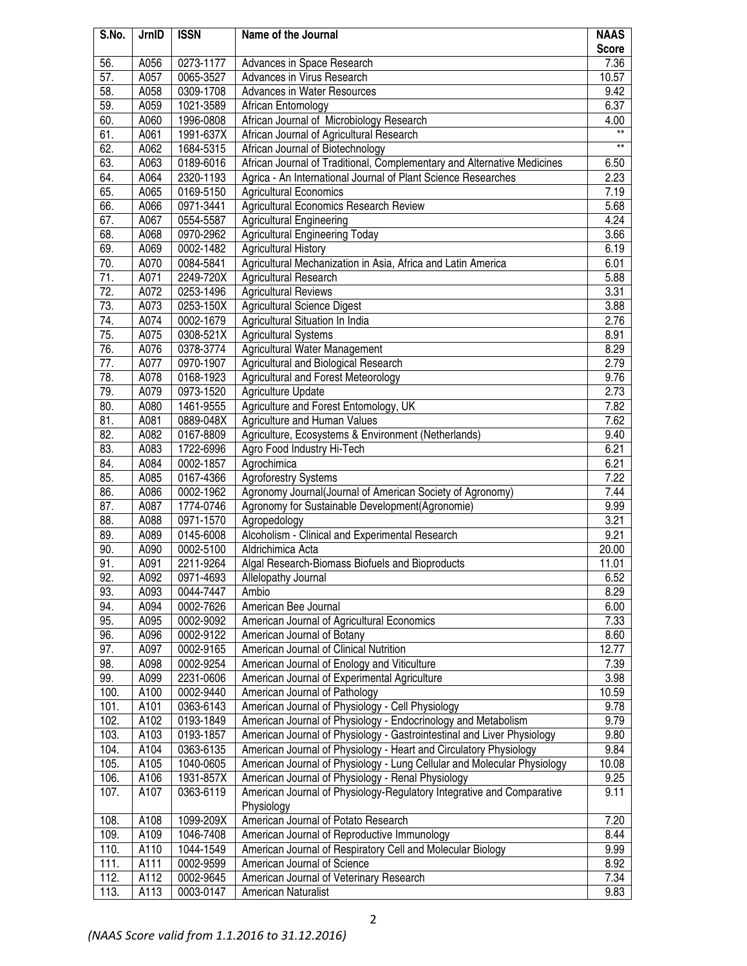| S.No. | JrnID | <b>ISSN</b> | Name of the Journal                                                     | <b>NAAS</b>     |
|-------|-------|-------------|-------------------------------------------------------------------------|-----------------|
|       |       |             |                                                                         | <b>Score</b>    |
| 56.   | A056  | 0273-1177   | Advances in Space Research                                              | 7.36            |
| 57.   | A057  | 0065-3527   | Advances in Virus Research                                              | 10.57           |
| 58.   | A058  | 0309-1708   | Advances in Water Resources                                             | 9.42            |
| 59.   | A059  | 1021-3589   | African Entomology                                                      | 6.37            |
| 60.   | A060  | 1996-0808   | African Journal of Microbiology Research                                | 4.00            |
| 61.   | A061  | 1991-637X   | African Journal of Agricultural Research                                | $\star\star$    |
| 62.   | A062  | 1684-5315   | African Journal of Biotechnology                                        | $^{\star\star}$ |
| 63.   | A063  | 0189-6016   | African Journal of Traditional, Complementary and Alternative Medicines | 6.50            |
| 64.   | A064  | 2320-1193   | Agrica - An International Journal of Plant Science Researches           | 2.23            |
| 65.   | A065  | 0169-5150   | <b>Agricultural Economics</b>                                           | 7.19            |
| 66.   | A066  | 0971-3441   | Agricultural Economics Research Review                                  | 5.68            |
| 67.   | A067  | 0554-5587   | <b>Agricultural Engineering</b>                                         | 4.24            |
| 68.   | A068  | 0970-2962   | <b>Agricultural Engineering Today</b>                                   | 3.66            |
| 69.   | A069  | 0002-1482   | <b>Agricultural History</b>                                             | 6.19            |
| 70.   | A070  | 0084-5841   | Agricultural Mechanization in Asia, Africa and Latin America            | 6.01            |
| 71.   | A071  | 2249-720X   | Agricultural Research                                                   | 5.88            |
| 72.   | A072  | 0253-1496   | <b>Agricultural Reviews</b>                                             | 3.31            |
| 73.   | A073  | 0253-150X   | <b>Agricultural Science Digest</b>                                      | 3.88            |
| 74.   | A074  | 0002-1679   | Agricultural Situation In India                                         | 2.76            |
| 75.   | A075  | 0308-521X   | Agricultural Systems                                                    | 8.91            |
| 76.   | A076  | 0378-3774   | Agricultural Water Management                                           | 8.29            |
| 77.   | A077  | 0970-1907   | Agricultural and Biological Research                                    | 2.79            |
| 78.   | A078  | 0168-1923   | Agricultural and Forest Meteorology                                     | 9.76            |
| 79.   | A079  | 0973-1520   | <b>Agriculture Update</b>                                               | 2.73            |
| 80.   | A080  | 1461-9555   | Agriculture and Forest Entomology, UK                                   | 7.82            |
| 81.   | A081  | 0889-048X   | Agriculture and Human Values                                            | 7.62            |
| 82.   | A082  | 0167-8809   | Agriculture, Ecosystems & Environment (Netherlands)                     | 9.40            |
| 83.   | A083  | 1722-6996   | Agro Food Industry Hi-Tech                                              | 6.21            |
| 84.   | A084  | 0002-1857   | Agrochimica                                                             | 6.21            |
| 85.   | A085  | 0167-4366   | <b>Agroforestry Systems</b>                                             | 7.22            |
| 86.   | A086  | 0002-1962   | Agronomy Journal(Journal of American Society of Agronomy)               | 7.44            |
| 87.   | A087  | 1774-0746   | Agronomy for Sustainable Development(Agronomie)                         | 9.99            |
| 88.   | A088  | 0971-1570   | Agropedology                                                            | 3.21            |
| 89.   | A089  | 0145-6008   | Alcoholism - Clinical and Experimental Research                         | 9.21            |
| 90.   | A090  | 0002-5100   | Aldrichimica Acta                                                       | 20.00           |
| 91.   | A091  | 2211-9264   | Algal Research-Biomass Biofuels and Bioproducts                         | 11.01           |
| 92.   | A092  | 0971-4693   | Allelopathy Journal                                                     | 6.52            |
| 93.   | A093  | 0044-7447   | Ambio                                                                   | 8.29            |
| 94.   | A094  | 0002-7626   | American Bee Journal                                                    | 6.00            |
| 95.   | A095  | 0002-9092   | American Journal of Agricultural Economics                              | 7.33            |
| 96.   | A096  | 0002-9122   | American Journal of Botany                                              | 8.60            |
| 97.   | A097  | 0002-9165   | American Journal of Clinical Nutrition                                  | 12.77           |
| 98.   | A098  | 0002-9254   | American Journal of Enology and Viticulture                             | 7.39            |
| 99.   | A099  | 2231-0606   | American Journal of Experimental Agriculture                            | 3.98            |
| 100.  | A100  | 0002-9440   | American Journal of Pathology                                           | 10.59           |
| 101.  | A101  | 0363-6143   | American Journal of Physiology - Cell Physiology                        | 9.78            |
| 102.  | A102  | 0193-1849   | American Journal of Physiology - Endocrinology and Metabolism           | 9.79            |
| 103.  | A103  | 0193-1857   | American Journal of Physiology - Gastrointestinal and Liver Physiology  | 9.80            |
| 104.  | A104  | 0363-6135   | American Journal of Physiology - Heart and Circulatory Physiology       | 9.84            |
| 105.  | A105  | 1040-0605   | American Journal of Physiology - Lung Cellular and Molecular Physiology | 10.08           |
| 106.  | A106  | 1931-857X   | American Journal of Physiology - Renal Physiology                       | 9.25            |
| 107.  | A107  | 0363-6119   | American Journal of Physiology-Regulatory Integrative and Comparative   | 9.11            |
|       |       |             | Physiology                                                              |                 |
| 108.  | A108  | 1099-209X   | American Journal of Potato Research                                     | 7.20            |
| 109.  | A109  | 1046-7408   | American Journal of Reproductive Immunology                             | 8.44            |
| 110.  | A110  | 1044-1549   | American Journal of Respiratory Cell and Molecular Biology              | 9.99            |
| 111.  | A111  | 0002-9599   | American Journal of Science                                             | 8.92            |
| 112.  | A112  | 0002-9645   | American Journal of Veterinary Research                                 | 7.34            |
| 113.  | A113  | 0003-0147   | American Naturalist                                                     | 9.83            |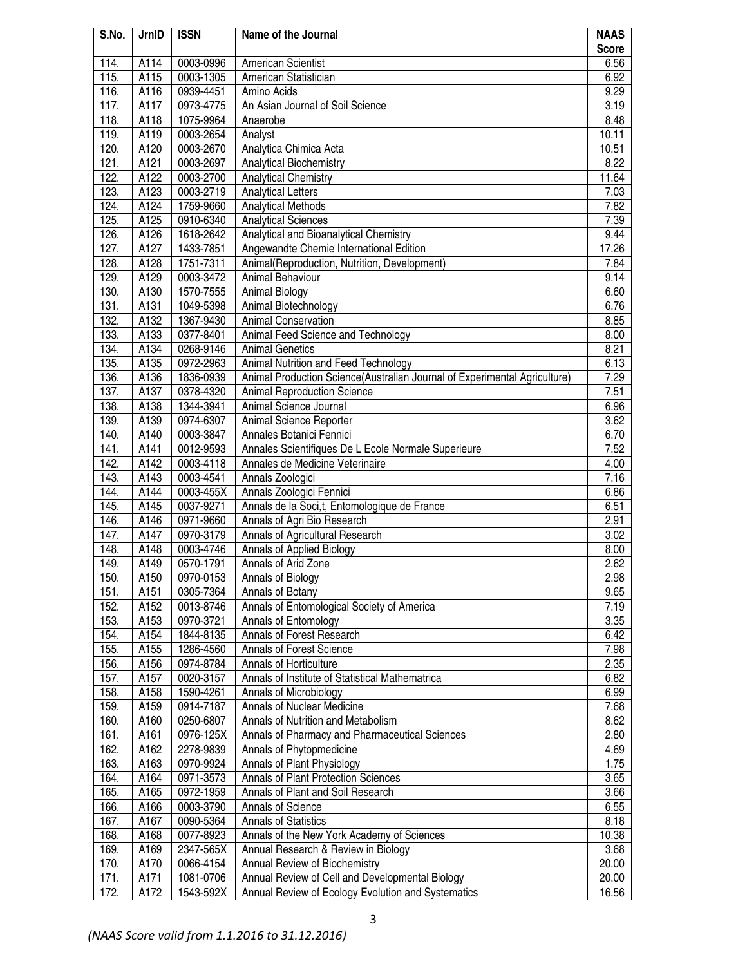| S.No.        | JrnID            | <b>ISSN</b>            | Name of the Journal                                                       | <b>NAAS</b>  |
|--------------|------------------|------------------------|---------------------------------------------------------------------------|--------------|
|              |                  |                        |                                                                           | <b>Score</b> |
| 114.         | A114             | 0003-0996              | <b>American Scientist</b>                                                 | 6.56         |
| 115.         | A115             | 0003-1305              | American Statistician                                                     | 6.92         |
| 116.         | A116             | 0939-4451              | Amino Acids                                                               | 9.29         |
| 117.         | A117             | 0973-4775              | An Asian Journal of Soil Science                                          | 3.19         |
| 118.         | A118             | 1075-9964              | Anaerobe                                                                  | 8.48         |
| 119.         | A119             | 0003-2654              | Analyst                                                                   | 10.11        |
| 120.         | A120             | 0003-2670              | Analytica Chimica Acta                                                    | 10.51        |
| 121.         | A121             | 0003-2697              | Analytical Biochemistry                                                   | 8.22         |
| 122.         | A122             | 0003-2700<br>0003-2719 | <b>Analytical Chemistry</b>                                               | 11.64        |
| 123.<br>124. | A123<br>A124     | 1759-9660              | <b>Analytical Letters</b><br><b>Analytical Methods</b>                    | 7.03<br>7.82 |
| 125.         | A125             | 0910-6340              | <b>Analytical Sciences</b>                                                | 7.39         |
| 126.         | A126             | 1618-2642              | Analytical and Bioanalytical Chemistry                                    | 9.44         |
| 127.         | A127             | 1433-7851              | Angewandte Chemie International Edition                                   | 17.26        |
| 128.         | A128             | 1751-7311              | Animal(Reproduction, Nutrition, Development)                              | 7.84         |
| 129.         | A129             | 0003-3472              | Animal Behaviour                                                          | 9.14         |
| 130.         | A130             | 1570-7555              | <b>Animal Biology</b>                                                     | 6.60         |
| 131.         | A131             | 1049-5398              | Animal Biotechnology                                                      | 6.76         |
| 132.         | A132             | 1367-9430              | <b>Animal Conservation</b>                                                | 8.85         |
| 133.         | A133             | 0377-8401              | Animal Feed Science and Technology                                        | 8.00         |
| 134.         | A134             | 0268-9146              | <b>Animal Genetics</b>                                                    | 8.21         |
| 135.         | A135             | 0972-2963              | Animal Nutrition and Feed Technology                                      | 6.13         |
| 136.         | A136             | 1836-0939              | Animal Production Science(Australian Journal of Experimental Agriculture) | 7.29         |
| 137.         | A137             | 0378-4320              | <b>Animal Reproduction Science</b>                                        | 7.51         |
| 138.         | A138             | 1344-3941              | Animal Science Journal                                                    | 6.96         |
| 139.         | A139             | 0974-6307              | Animal Science Reporter                                                   | 3.62         |
| 140.         | A140             | 0003-3847              | Annales Botanici Fennici                                                  | 6.70         |
| 141.         | A141             | 0012-9593              | Annales Scientifiques De L Ecole Normale Superieure                       | 7.52         |
| 142.         | A142             | 0003-4118              | Annales de Medicine Veterinaire                                           | 4.00         |
| 143.         | A143             | 0003-4541              | Annals Zoologici                                                          | 7.16         |
| 144.         | A144             | 0003-455X              | Annals Zoologici Fennici                                                  | 6.86         |
| 145.         | A145             | 0037-9271              | Annals de la Soci,t, Entomologique de France                              | 6.51         |
| 146.         | A146             | 0971-9660              | Annals of Agri Bio Research                                               | 2.91         |
| 147.         | A147             | 0970-3179              | Annals of Agricultural Research                                           | 3.02         |
| 148.         | A148             | 0003-4746              | Annals of Applied Biology                                                 | 8.00         |
| 149.         | A149             | 0570-1791              | Annals of Arid Zone                                                       | 2.62         |
| 150.         | A <sub>150</sub> | 0970-0153              | Annals of Biology                                                         | 2.98         |
| 151.         | A151             | 0305-7364              | Annals of Botany                                                          | 9.65         |
| 152.         | A152             | 0013-8746              | Annals of Entomological Society of America                                | 7.19         |
| 153.         | A153             | 0970-3721              | Annals of Entomology                                                      | 3.35         |
| 154.         | A154             | 1844-8135              | Annals of Forest Research                                                 | 6.42         |
| 155.         | A155             | 1286-4560              | Annals of Forest Science                                                  | 7.98         |
| 156.         | A156<br>A157     | 0974-8784              | Annals of Horticulture                                                    | 2.35         |
| 157.         |                  | 0020-3157              | Annals of Institute of Statistical Mathematrica                           | 6.82         |
| 158.<br>159. | A158<br>A159     | 1590-4261<br>0914-7187 | Annals of Microbiology<br><b>Annals of Nuclear Medicine</b>               | 6.99<br>7.68 |
| 160.         | A160             | 0250-6807              | Annals of Nutrition and Metabolism                                        | 8.62         |
| 161.         | A161             | 0976-125X              | Annals of Pharmacy and Pharmaceutical Sciences                            | 2.80         |
| 162.         | A162             | 2278-9839              | Annals of Phytopmedicine                                                  | 4.69         |
| 163.         | A163             | 0970-9924              | Annals of Plant Physiology                                                | 1.75         |
| 164.         | A164             | 0971-3573              | Annals of Plant Protection Sciences                                       | 3.65         |
| 165.         | A165             | 0972-1959              | Annals of Plant and Soil Research                                         | 3.66         |
| 166.         | A166             | 0003-3790              | Annals of Science                                                         | 6.55         |
| 167.         | A167             | 0090-5364              | <b>Annals of Statistics</b>                                               | 8.18         |
| 168.         | A168             | 0077-8923              | Annals of the New York Academy of Sciences                                | 10.38        |
| 169.         | A169             | 2347-565X              | Annual Research & Review in Biology                                       | 3.68         |
| 170.         | A170             | 0066-4154              | Annual Review of Biochemistry                                             | 20.00        |
| 171.         | A171             | 1081-0706              | Annual Review of Cell and Developmental Biology                           | 20.00        |
| 172.         | A172             | 1543-592X              | Annual Review of Ecology Evolution and Systematics                        | 16.56        |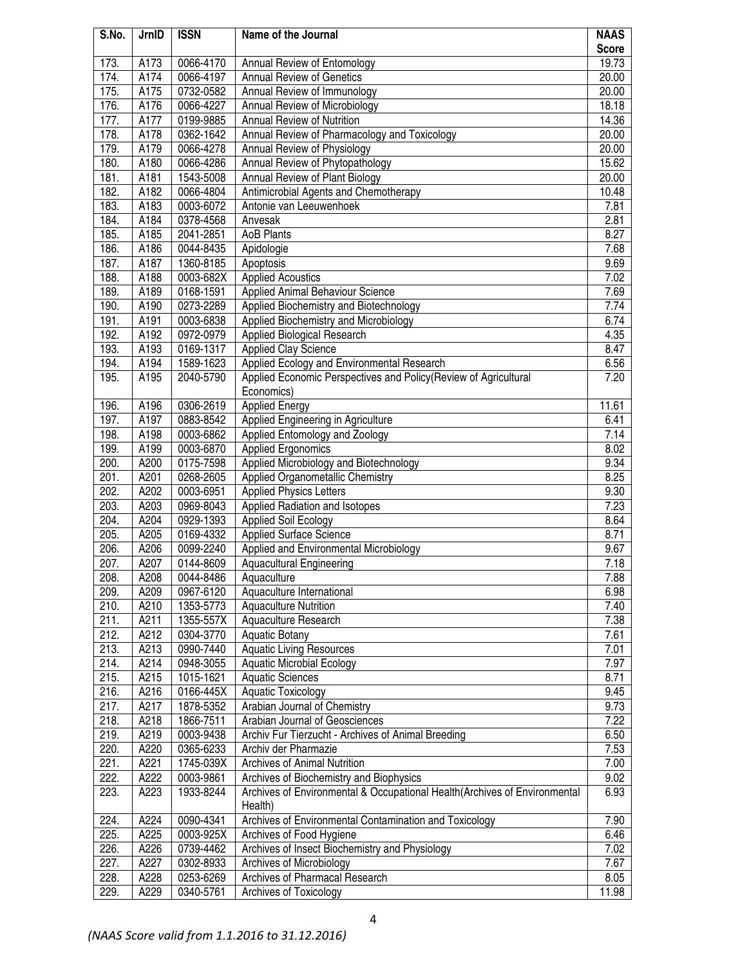| S.No. | JrnID | <b>ISSN</b> | Name of the Journal                                                       | <b>NAAS</b>  |
|-------|-------|-------------|---------------------------------------------------------------------------|--------------|
|       |       |             |                                                                           | <b>Score</b> |
| 173.  | A173  | 0066-4170   | Annual Review of Entomology                                               | 19.73        |
| 174.  | A174  | 0066-4197   | <b>Annual Review of Genetics</b>                                          | 20.00        |
| 175.  | A175  | 0732-0582   | Annual Review of Immunology                                               | 20.00        |
| 176.  | A176  | 0066-4227   | Annual Review of Microbiology                                             | 18.18        |
| 177.  | A177  | 0199-9885   | <b>Annual Review of Nutrition</b>                                         | 14.36        |
| 178.  | A178  | 0362-1642   | Annual Review of Pharmacology and Toxicology                              | 20.00        |
| 179.  | A179  | 0066-4278   | Annual Review of Physiology                                               | 20.00        |
| 180.  | A180  | 0066-4286   | Annual Review of Phytopathology                                           | 15.62        |
| 181.  | A181  | 1543-5008   | Annual Review of Plant Biology                                            | 20.00        |
| 182.  | A182  | 0066-4804   | Antimicrobial Agents and Chemotherapy                                     | 10.48        |
| 183.  | A183  | 0003-6072   | Antonie van Leeuwenhoek                                                   | 7.81         |
| 184.  | A184  | 0378-4568   | Anvesak                                                                   | 2.81         |
| 185.  | A185  | 2041-2851   | <b>AoB Plants</b>                                                         | 8.27         |
| 186.  | A186  | 0044-8435   | Apidologie                                                                | 7.68         |
| 187.  | A187  | 1360-8185   | Apoptosis                                                                 | 9.69         |
| 188.  | A188  | 0003-682X   | <b>Applied Acoustics</b>                                                  | 7.02         |
| 189.  | A189  | 0168-1591   | Applied Animal Behaviour Science                                          | 7.69         |
| 190.  | A190  | 0273-2289   | Applied Biochemistry and Biotechnology                                    | 7.74         |
| 191.  | A191  | 0003-6838   | Applied Biochemistry and Microbiology                                     | 6.74         |
| 192.  | A192  | 0972-0979   | Applied Biological Research                                               | 4.35         |
| 193.  | A193  | 0169-1317   | <b>Applied Clay Science</b>                                               | 8.47         |
| 194.  | A194  | 1589-1623   | Applied Ecology and Environmental Research                                | 6.56         |
| 195.  | A195  | 2040-5790   | Applied Economic Perspectives and Policy (Review of Agricultural          | 7.20         |
|       |       |             | Economics)                                                                |              |
| 196.  | A196  | 0306-2619   | <b>Applied Energy</b>                                                     | 11.61        |
| 197.  | A197  | 0883-8542   | Applied Engineering in Agriculture                                        | 6.41         |
| 198.  | A198  | 0003-6862   | Applied Entomology and Zoology                                            | 7.14         |
| 199.  | A199  | 0003-6870   | <b>Applied Ergonomics</b>                                                 | 8.02         |
| 200.  | A200  | 0175-7598   | Applied Microbiology and Biotechnology                                    | 9.34         |
| 201.  | A201  | 0268-2605   | Applied Organometallic Chemistry                                          | 8.25         |
| 202.  | A202  | 0003-6951   | <b>Applied Physics Letters</b>                                            | 9.30         |
| 203.  | A203  | 0969-8043   | Applied Radiation and Isotopes                                            | 7.23         |
| 204.  | A204  | 0929-1393   | <b>Applied Soil Ecology</b>                                               | 8.64         |
| 205.  | A205  | 0169-4332   | <b>Applied Surface Science</b>                                            | 8.71         |
| 206.  | A206  | 0099-2240   | Applied and Environmental Microbiology                                    | 9.67         |
| 207.  | A207  | 0144-8609   | <b>Aquacultural Engineering</b>                                           | 7.18         |
| 208.  | A208  | 0044-8486   | Aquaculture                                                               | 7.88         |
| 209.  | A209  | 0967-6120   | Aquaculture International                                                 | 6.98         |
| 210.  | A210  | 1353-5773   | <b>Aquaculture Nutrition</b>                                              | 7.40         |
| 211.  | A211  | 1355-557X   | Aquaculture Research                                                      | 7.38         |
| 212.  | A212  | 0304-3770   | <b>Aquatic Botany</b>                                                     | 7.61         |
| 213.  | A213  | 0990-7440   | <b>Aquatic Living Resources</b>                                           | 7.01         |
| 214.  | A214  | 0948-3055   | <b>Aquatic Microbial Ecology</b>                                          | 7.97         |
| 215.  | A215  | 1015-1621   | <b>Aquatic Sciences</b>                                                   | 8.71         |
| 216.  | A216  | 0166-445X   | <b>Aquatic Toxicology</b>                                                 | 9.45         |
| 217.  | A217  | 1878-5352   | Arabian Journal of Chemistry                                              | 9.73         |
| 218.  | A218  | 1866-7511   | Arabian Journal of Geosciences                                            | 7.22         |
| 219.  | A219  | 0003-9438   | Archiv Fur Tierzucht - Archives of Animal Breeding                        | 6.50         |
| 220.  | A220  | 0365-6233   | Archiv der Pharmazie                                                      | 7.53         |
| 221.  | A221  | 1745-039X   | <b>Archives of Animal Nutrition</b>                                       | 7.00         |
| 222.  | A222  | 0003-9861   | Archives of Biochemistry and Biophysics                                   | 9.02         |
| 223.  | A223  | 1933-8244   | Archives of Environmental & Occupational Health(Archives of Environmental | 6.93         |
|       |       |             | Health)                                                                   |              |
| 224.  | A224  | 0090-4341   | Archives of Environmental Contamination and Toxicology                    | 7.90         |
| 225.  | A225  | 0003-925X   | Archives of Food Hygiene                                                  | 6.46         |
| 226.  | A226  | 0739-4462   | Archives of Insect Biochemistry and Physiology                            | 7.02         |
| 227.  | A227  | 0302-8933   | Archives of Microbiology                                                  | 7.67         |
| 228.  | A228  | 0253-6269   | Archives of Pharmacal Research                                            | 8.05         |
| 229.  | A229  | 0340-5761   | Archives of Toxicology                                                    | 11.98        |
|       |       |             |                                                                           |              |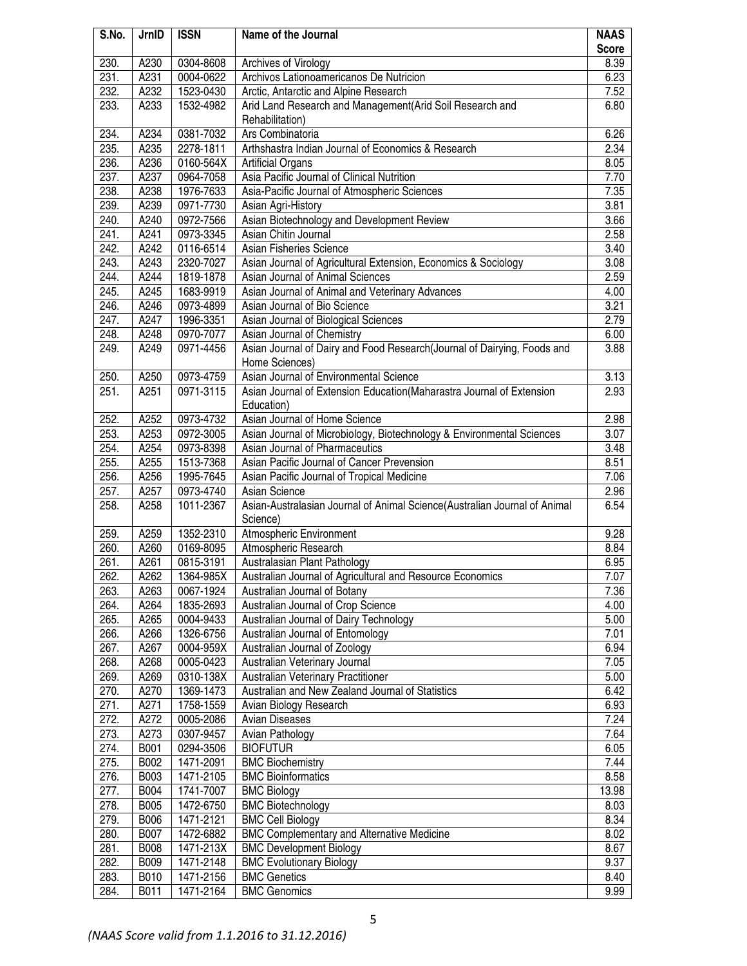| S.No.        | JrnID            | <b>ISSN</b>            | Name of the Journal                                                       | <b>NAAS</b>  |
|--------------|------------------|------------------------|---------------------------------------------------------------------------|--------------|
|              |                  |                        |                                                                           | <b>Score</b> |
| 230.         | A230             | 0304-8608              | Archives of Virology                                                      | 8.39         |
| 231.         | A231             | 0004-0622              | Archivos Lationoamericanos De Nutricion                                   | 6.23         |
| 232.         | A232             | 1523-0430              | Arctic, Antarctic and Alpine Research                                     | 7.52         |
| 233.         | A233             | 1532-4982              | Arid Land Research and Management(Arid Soil Research and                  | 6.80         |
|              |                  |                        | Rehabilitation)                                                           |              |
| 234.         | A234             | 0381-7032              | Ars Combinatoria                                                          | 6.26         |
| 235.         | A235             | 2278-1811              | Arthshastra Indian Journal of Economics & Research                        | 2.34         |
| 236.         | A236             | 0160-564X              | <b>Artificial Organs</b>                                                  | 8.05         |
| 237.         | A237             | 0964-7058              | Asia Pacific Journal of Clinical Nutrition                                | 7.70         |
| 238.         | A238             | 1976-7633              | Asia-Pacific Journal of Atmospheric Sciences                              | 7.35         |
| 239.         | A239             | 0971-7730              | Asian Agri-History                                                        | 3.81         |
| 240.         | A240             | 0972-7566              | Asian Biotechnology and Development Review                                | 3.66         |
| 241.         | A241             | 0973-3345              | Asian Chitin Journal                                                      | 2.58         |
| 242.         | A242             | 0116-6514              | Asian Fisheries Science                                                   | 3.40         |
| 243.         | A243             | 2320-7027              | Asian Journal of Agricultural Extension, Economics & Sociology            | 3.08         |
| 244.         | A244             | 1819-1878              | Asian Journal of Animal Sciences                                          | 2.59         |
| 245.         | A245             | 1683-9919              | Asian Journal of Animal and Veterinary Advances                           | 4.00         |
| 246.         | A246             | 0973-4899              | Asian Journal of Bio Science                                              | 3.21         |
| 247.         | A247             | 1996-3351              | Asian Journal of Biological Sciences                                      | 2.79         |
| 248.         | A248             | 0970-7077              | Asian Journal of Chemistry                                                | 6.00         |
| 249.         | A249             | 0971-4456              | Asian Journal of Dairy and Food Research(Journal of Dairying, Foods and   | 3.88         |
|              |                  |                        | Home Sciences)                                                            |              |
| 250.         | A250             | 0973-4759              | Asian Journal of Environmental Science                                    | 3.13         |
| 251.         | A <sub>251</sub> | 0971-3115              | Asian Journal of Extension Education(Maharastra Journal of Extension      | 2.93         |
|              |                  |                        | Education)                                                                |              |
| 252.         | A252             | 0973-4732              | Asian Journal of Home Science                                             | 2.98         |
| 253.         | A253             | 0972-3005              | Asian Journal of Microbiology, Biotechnology & Environmental Sciences     | 3.07         |
| 254.         | A254             | 0973-8398              | Asian Journal of Pharmaceutics                                            | 3.48         |
| 255.         | A255             | 1513-7368              | Asian Pacific Journal of Cancer Prevension                                | 8.51         |
| 256.<br>257. | A256<br>A257     | 1995-7645<br>0973-4740 | Asian Pacific Journal of Tropical Medicine<br>Asian Science               | 7.06<br>2.96 |
| 258.         | A258             | 1011-2367              | Asian-Australasian Journal of Animal Science(Australian Journal of Animal | 6.54         |
|              |                  |                        | Science)                                                                  |              |
| 259.         | A259             | 1352-2310              | Atmospheric Environment                                                   | 9.28         |
| 260.         | A260             | 0169-8095              | Atmospheric Research                                                      | 8.84         |
| 261.         | A <sub>261</sub> | 0815-3191              | Australasian Plant Pathology                                              | 6.95         |
| 262.         | A262             | 1364-985X              | Australian Journal of Agricultural and Resource Economics                 | 7.07         |
| 263.         | A263             | 0067-1924              | Australian Journal of Botany                                              | 7.36         |
| 264.         | A264             | 1835-2693              | Australian Journal of Crop Science                                        | 4.00         |
| 265.         | A265             | 0004-9433              | Australian Journal of Dairy Technology                                    | 5.00         |
| 266.         | A266             | 1326-6756              | Australian Journal of Entomology                                          | 7.01         |
| 267.         | A267             | 0004-959X              | Australian Journal of Zoology                                             | 6.94         |
| 268.         | A268             | 0005-0423              | Australian Veterinary Journal                                             | 7.05         |
| 269.         | A269             | 0310-138X              | Australian Veterinary Practitioner                                        | 5.00         |
| 270.         | A270             | 1369-1473              | Australian and New Zealand Journal of Statistics                          | 6.42         |
| 271.         | A271             | 1758-1559              | Avian Biology Research                                                    | 6.93         |
| 272.         | A272             | 0005-2086              | Avian Diseases                                                            | 7.24         |
| 273.         | A273             | 0307-9457              | Avian Pathology                                                           | 7.64         |
| 274.         | <b>B001</b>      | 0294-3506              | <b>BIOFUTUR</b>                                                           | 6.05         |
| 275.         | B002             | 1471-2091              | <b>BMC Biochemistry</b>                                                   | 7.44         |
| 276.         | <b>B003</b>      | 1471-2105              | <b>BMC Bioinformatics</b>                                                 | 8.58         |
| 277.         | <b>B004</b>      | 1741-7007              | <b>BMC Biology</b>                                                        | 13.98        |
| 278.         | <b>B005</b>      | 1472-6750              | <b>BMC Biotechnology</b>                                                  | 8.03         |
| 279.         | <b>B006</b>      | 1471-2121              | <b>BMC Cell Biology</b>                                                   | 8.34         |
| 280.         | <b>B007</b>      | 1472-6882              | <b>BMC Complementary and Alternative Medicine</b>                         | 8.02         |
| 281.         | <b>B008</b>      | 1471-213X              | <b>BMC Development Biology</b>                                            | 8.67         |
| 282.         | <b>B009</b>      | 1471-2148              | <b>BMC Evolutionary Biology</b><br><b>BMC Genetics</b>                    | 9.37<br>8.40 |
| 283.<br>284. | B010<br>B011     | 1471-2156<br>1471-2164 | <b>BMC Genomics</b>                                                       | 9.99         |
|              |                  |                        |                                                                           |              |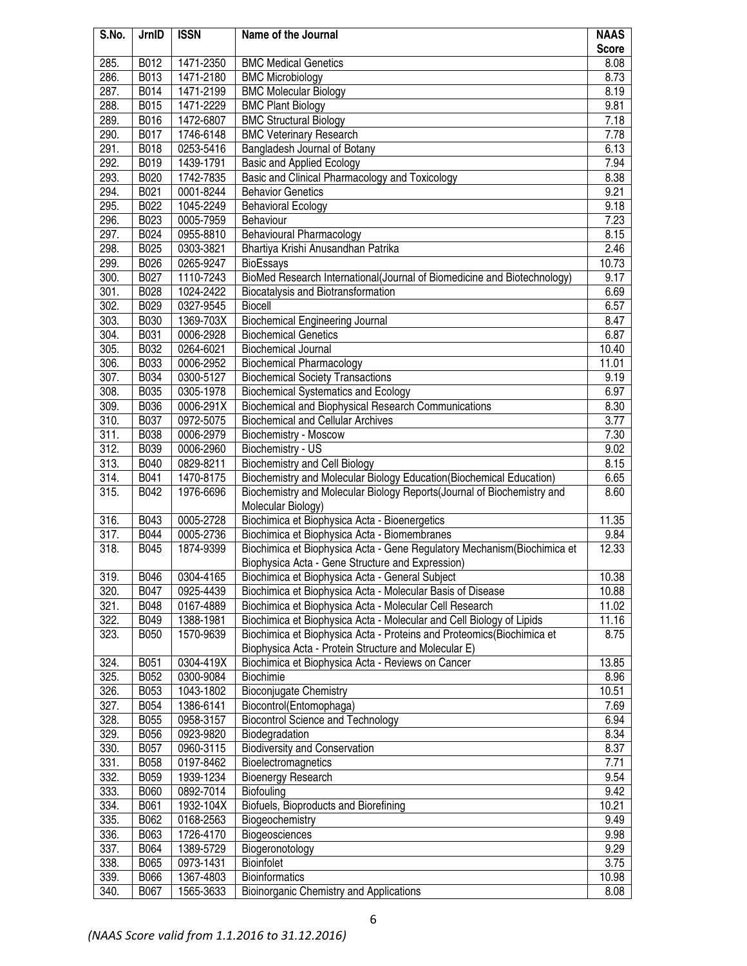| S.No. | JrnID       | <b>ISSN</b> | Name of the Journal                                                                                                                           | <b>NAAS</b>  |
|-------|-------------|-------------|-----------------------------------------------------------------------------------------------------------------------------------------------|--------------|
|       |             |             |                                                                                                                                               | <b>Score</b> |
| 285.  | B012        | 1471-2350   | <b>BMC Medical Genetics</b>                                                                                                                   | 8.08         |
| 286.  | B013        | 1471-2180   | <b>BMC Microbiology</b>                                                                                                                       | 8.73         |
| 287.  | B014        | 1471-2199   | <b>BMC Molecular Biology</b>                                                                                                                  | 8.19         |
| 288.  | B015        | 1471-2229   | <b>BMC Plant Biology</b>                                                                                                                      | 9.81         |
| 289.  | B016        | 1472-6807   | <b>BMC Structural Biology</b>                                                                                                                 | 7.18         |
| 290.  | B017        | 1746-6148   | <b>BMC Veterinary Research</b>                                                                                                                | 7.78         |
| 291.  | B018        | 0253-5416   | Bangladesh Journal of Botany                                                                                                                  | 6.13         |
| 292.  | B019        | 1439-1791   | <b>Basic and Applied Ecology</b>                                                                                                              | 7.94         |
| 293.  | B020        | 1742-7835   | Basic and Clinical Pharmacology and Toxicology                                                                                                | 8.38         |
| 294.  | B021        | 0001-8244   | <b>Behavior Genetics</b>                                                                                                                      | 9.21         |
| 295.  | B022        | 1045-2249   | <b>Behavioral Ecology</b>                                                                                                                     | 9.18         |
| 296.  | B023        | 0005-7959   | Behaviour                                                                                                                                     | 7.23         |
| 297.  | B024        | 0955-8810   | <b>Behavioural Pharmacology</b>                                                                                                               | 8.15         |
| 298.  | B025        | 0303-3821   | Bhartiya Krishi Anusandhan Patrika                                                                                                            | 2.46         |
| 299.  | B026        | 0265-9247   | BioEssays                                                                                                                                     | 10.73        |
| 300.  | B027        | 1110-7243   | BioMed Research International(Journal of Biomedicine and Biotechnology)                                                                       | 9.17         |
| 301.  | B028        | 1024-2422   | Biocatalysis and Biotransformation                                                                                                            | 6.69         |
| 302.  | B029        | 0327-9545   | <b>Biocell</b>                                                                                                                                | 6.57         |
| 303.  | <b>B030</b> | 1369-703X   | <b>Biochemical Engineering Journal</b>                                                                                                        | 8.47         |
| 304.  | B031        | 0006-2928   | <b>Biochemical Genetics</b>                                                                                                                   | 6.87         |
| 305.  | B032        | 0264-6021   | <b>Biochemical Journal</b>                                                                                                                    | 10.40        |
| 306.  | B033        | 0006-2952   | <b>Biochemical Pharmacology</b>                                                                                                               | 11.01        |
| 307.  | B034        | 0300-5127   | <b>Biochemical Society Transactions</b>                                                                                                       | 9.19         |
| 308.  | B035        | 0305-1978   | <b>Biochemical Systematics and Ecology</b>                                                                                                    | 6.97         |
| 309.  | B036        | 0006-291X   | Biochemical and Biophysical Research Communications                                                                                           | 8.30         |
| 310.  | B037        | 0972-5075   | <b>Biochemical and Cellular Archives</b>                                                                                                      | 3.77         |
| 311.  | B038        | 0006-2979   | Biochemistry - Moscow                                                                                                                         | 7.30         |
| 312.  | B039        | 0006-2960   | Biochemistry - US                                                                                                                             | 9.02         |
| 313.  | B040        | 0829-8211   | <b>Biochemistry and Cell Biology</b>                                                                                                          | 8.15         |
| 314.  | B041        | 1470-8175   | Biochemistry and Molecular Biology Education(Biochemical Education)                                                                           | 6.65         |
| 315.  | B042        | 1976-6696   | Biochemistry and Molecular Biology Reports(Journal of Biochemistry and                                                                        | 8.60         |
|       |             |             | Molecular Biology)                                                                                                                            |              |
| 316.  | B043        | 0005-2728   | Biochimica et Biophysica Acta - Bioenergetics                                                                                                 | 11.35        |
| 317.  | B044        | 0005-2736   | Biochimica et Biophysica Acta - Biomembranes                                                                                                  | 9.84         |
| 318.  | B045        | 1874-9399   | Biochimica et Biophysica Acta - Gene Regulatory Mechanism(Biochimica et                                                                       | 12.33        |
|       |             |             | Biophysica Acta - Gene Structure and Expression)                                                                                              |              |
| 319.  | B046        | 0304-4165   | Biochimica et Biophysica Acta - General Subject                                                                                               | 10.38        |
| 320.  | B047        | 0925-4439   | Biochimica et Biophysica Acta - Molecular Basis of Disease                                                                                    | 10.88        |
| 321.  | B048        | 0167-4889   | Biochimica et Biophysica Acta - Molecular Cell Research                                                                                       | 11.02        |
| 322.  | B049        | 1388-1981   | Biochimica et Biophysica Acta - Molecular and Cell Biology of Lipids<br>Biochimica et Biophysica Acta - Proteins and Proteomics(Biochimica et | 11.16        |
| 323.  | <b>B050</b> | 1570-9639   | Biophysica Acta - Protein Structure and Molecular E)                                                                                          | 8.75         |
| 324.  | B051        | 0304-419X   | Biochimica et Biophysica Acta - Reviews on Cancer                                                                                             | 13.85        |
| 325.  | B052        | 0300-9084   | <b>Biochimie</b>                                                                                                                              | 8.96         |
| 326.  | <b>B053</b> | 1043-1802   | <b>Bioconjugate Chemistry</b>                                                                                                                 | 10.51        |
| 327.  | B054        | 1386-6141   | Biocontrol(Entomophaga)                                                                                                                       | 7.69         |
| 328.  | <b>B055</b> | 0958-3157   | <b>Biocontrol Science and Technology</b>                                                                                                      | 6.94         |
| 329.  | <b>B056</b> | 0923-9820   | Biodegradation                                                                                                                                | 8.34         |
| 330.  | B057        | 0960-3115   | <b>Biodiversity and Conservation</b>                                                                                                          | 8.37         |
| 331.  | <b>B058</b> | 0197-8462   | Bioelectromagnetics                                                                                                                           | 7.71         |
| 332.  | B059        | 1939-1234   | <b>Bioenergy Research</b>                                                                                                                     | 9.54         |
| 333.  | <b>B060</b> | 0892-7014   | Biofouling                                                                                                                                    | 9.42         |
| 334.  | B061        | 1932-104X   | Biofuels, Bioproducts and Biorefining                                                                                                         | 10.21        |
| 335.  | B062        | 0168-2563   | Biogeochemistry                                                                                                                               | 9.49         |
| 336.  | B063        | 1726-4170   | Biogeosciences                                                                                                                                | 9.98         |
| 337.  | B064        | 1389-5729   | Biogeronotology                                                                                                                               | 9.29         |
| 338.  | B065        | 0973-1431   | Bioinfolet                                                                                                                                    | 3.75         |
| 339.  | B066        | 1367-4803   | <b>Bioinformatics</b>                                                                                                                         | 10.98        |
| 340.  | B067        | 1565-3633   | Bioinorganic Chemistry and Applications                                                                                                       | 8.08         |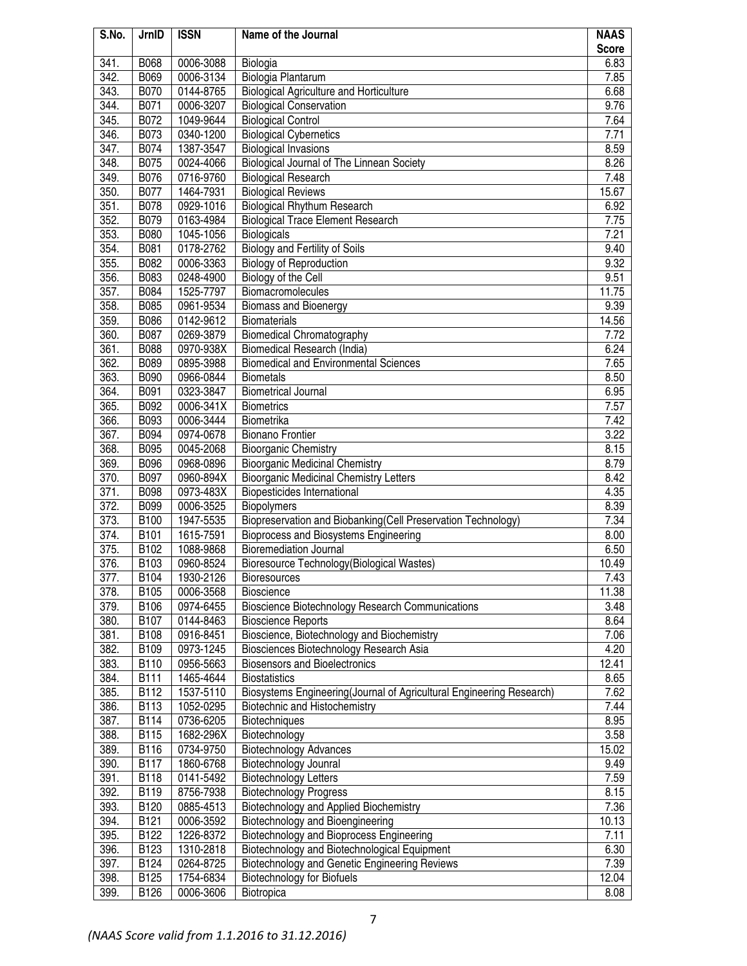| S.No.        | JrnID               | <b>ISSN</b>            | Name of the Journal                                                  | <b>NAAS</b>  |
|--------------|---------------------|------------------------|----------------------------------------------------------------------|--------------|
|              |                     |                        |                                                                      | <b>Score</b> |
| 341.<br>342. | <b>B068</b><br>B069 | 0006-3088              | Biologia<br>Biologia Plantarum                                       | 6.83<br>7.85 |
| 343.         | B070                | 0006-3134<br>0144-8765 | <b>Biological Agriculture and Horticulture</b>                       | 6.68         |
| 344.         | B071                | 0006-3207              | <b>Biological Conservation</b>                                       | 9.76         |
| 345.         | B072                | 1049-9644              | <b>Biological Control</b>                                            | 7.64         |
| 346.         | B073                | 0340-1200              | <b>Biological Cybernetics</b>                                        | 7.71         |
| 347.         | B074                | 1387-3547              | <b>Biological Invasions</b>                                          | 8.59         |
| 348.         | B075                | 0024-4066              | Biological Journal of The Linnean Society                            | 8.26         |
| 349.         | B076                | 0716-9760              | <b>Biological Research</b>                                           | 7.48         |
| 350.         | B077                | 1464-7931              | <b>Biological Reviews</b>                                            | 15.67        |
| 351.         | B078                | 0929-1016              | <b>Biological Rhythum Research</b>                                   | 6.92         |
| 352.         | B079                | 0163-4984              | <b>Biological Trace Element Research</b>                             | 7.75         |
| 353.         | <b>B080</b>         | 1045-1056              | <b>Biologicals</b>                                                   | 7.21         |
| 354.         | B081                | 0178-2762              | Biology and Fertility of Soils                                       | 9.40         |
| 355.         | B082                | 0006-3363              | <b>Biology of Reproduction</b>                                       | 9.32         |
| 356.         | B083                | 0248-4900              | Biology of the Cell                                                  | 9.51         |
| 357.         | B084                | 1525-7797              | Biomacromolecules                                                    | 11.75        |
| 358.         | B085                | 0961-9534              | <b>Biomass and Bioenergy</b>                                         | 9.39         |
| 359.         | B086                | 0142-9612              | <b>Biomaterials</b>                                                  | 14.56        |
| 360.         | B087                | 0269-3879              | <b>Biomedical Chromatography</b>                                     | 7.72         |
| 361.         | <b>B088</b>         | 0970-938X              | Biomedical Research (India)                                          | 6.24         |
| 362.         | B089                | 0895-3988              | <b>Biomedical and Environmental Sciences</b>                         | 7.65         |
| 363.         | <b>B090</b>         | 0966-0844              | <b>Biometals</b>                                                     | 8.50         |
| 364.         | B091                | 0323-3847              | <b>Biometrical Journal</b>                                           | 6.95         |
| 365.         | B092                | 0006-341X              | <b>Biometrics</b>                                                    | 7.57         |
| 366.         | <b>B093</b>         | 0006-3444              | Biometrika                                                           | 7.42         |
| 367.         | B094                | 0974-0678              | <b>Bionano Frontier</b>                                              | 3.22         |
| 368.         | <b>B095</b>         | 0045-2068              | <b>Bioorganic Chemistry</b>                                          | 8.15         |
| 369.         | B096                | 0968-0896              | <b>Bioorganic Medicinal Chemistry</b>                                | 8.79         |
| 370.         | B097                | 0960-894X              | <b>Bioorganic Medicinal Chemistry Letters</b>                        | 8.42         |
| 371.         | <b>B098</b>         | 0973-483X              | <b>Biopesticides International</b>                                   | 4.35         |
| 372.         | <b>B099</b>         | 0006-3525              | Biopolymers                                                          | 8.39         |
| 373.         | <b>B100</b>         | 1947-5535              | Biopreservation and Biobanking (Cell Preservation Technology)        | 7.34         |
| 374.         | <b>B101</b>         | 1615-7591              | Bioprocess and Biosystems Engineering                                | 8.00         |
| 375.         | B102                | 1088-9868              | <b>Bioremediation Journal</b>                                        | 6.50         |
| 376.         | B103                | 0960-8524              | Bioresource Technology(Biological Wastes)                            | 10.49        |
| 377.         | B <sub>104</sub>    | 1930-2126              | <b>Bioresources</b>                                                  | 7.43         |
| 378.         | B105                | 0006-3568              | <b>Bioscience</b>                                                    | 11.38        |
| 379.         | B106                | 0974-6455              | Bioscience Biotechnology Research Communications                     | 3.48         |
| 380.         | B107                | 0144-8463              | <b>Bioscience Reports</b>                                            | 8.64         |
| 381.         | B108                | 0916-8451              | Bioscience, Biotechnology and Biochemistry                           | 7.06         |
| 382.         | B109                | 0973-1245              | Biosciences Biotechnology Research Asia                              | 4.20         |
| 383.         | B110                | 0956-5663              | <b>Biosensors and Bioelectronics</b>                                 | 12.41        |
| 384.         | <b>B111</b>         | 1465-4644              | <b>Biostatistics</b>                                                 | 8.65         |
| 385.         | B112                | 1537-5110              | Biosystems Engineering(Journal of Agricultural Engineering Research) | 7.62         |
| 386.         | B113                | 1052-0295              | Biotechnic and Histochemistry                                        | 7.44         |
| 387.         | B114                | 0736-6205              | Biotechniques                                                        | 8.95         |
| 388.         | <b>B115</b>         | 1682-296X              | Biotechnology                                                        | 3.58         |
| 389.         | B116                | 0734-9750              | <b>Biotechnology Advances</b>                                        | 15.02        |
| 390.         | <b>B117</b>         | 1860-6768              | Biotechnology Jounral                                                | 9.49         |
| 391.         | <b>B118</b>         | 0141-5492              | <b>Biotechnology Letters</b>                                         | 7.59         |
| 392.         | <b>B119</b>         | 8756-7938              | <b>Biotechnology Progress</b>                                        | 8.15         |
| 393.         | B120                | 0885-4513              | Biotechnology and Applied Biochemistry                               | 7.36         |
| 394.         | <b>B121</b>         | 0006-3592              | Biotechnology and Bioengineering                                     | 10.13        |
| 395.         | B122                | 1226-8372              | Biotechnology and Bioprocess Engineering                             | 7.11         |
| 396.         | B123                | 1310-2818              | Biotechnology and Biotechnological Equipment                         | 6.30         |
| 397.         | B124                | 0264-8725              | Biotechnology and Genetic Engineering Reviews                        | 7.39         |
| 398.         | B125                | 1754-6834              | <b>Biotechnology for Biofuels</b>                                    | 12.04        |
| 399.         | B126                | 0006-3606              | Biotropica                                                           | 8.08         |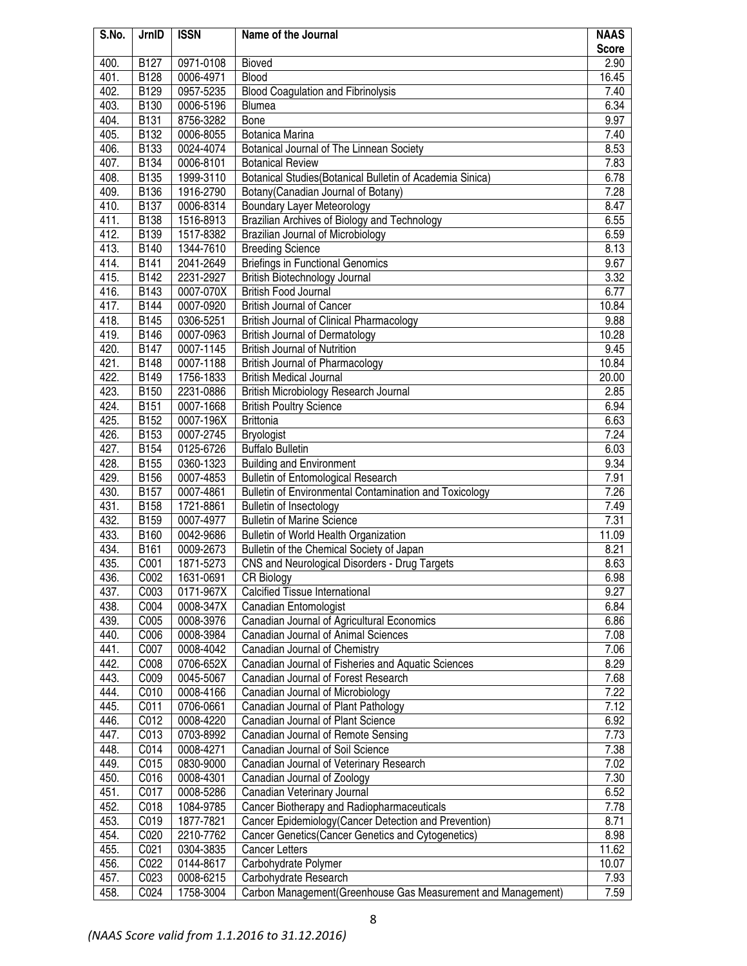| S.No. | JrnID       | <b>ISSN</b> | Name of the Journal                                                                   | <b>NAAS</b>  |
|-------|-------------|-------------|---------------------------------------------------------------------------------------|--------------|
|       |             |             |                                                                                       | <b>Score</b> |
| 400.  | <b>B127</b> | 0971-0108   | Bioved                                                                                | 2.90         |
| 401.  | B128        | 0006-4971   | <b>Blood</b>                                                                          | 16.45        |
| 402.  | B129        | 0957-5235   | <b>Blood Coagulation and Fibrinolysis</b>                                             | 7.40         |
| 403.  | B130        | 0006-5196   | <b>Blumea</b>                                                                         | 6.34         |
| 404.  | <b>B131</b> | 8756-3282   | Bone                                                                                  | 9.97         |
| 405.  | B132        | 0006-8055   | Botanica Marina                                                                       | 7.40         |
| 406.  | <b>B133</b> | 0024-4074   | Botanical Journal of The Linnean Society                                              | 8.53         |
| 407.  | B134        | 0006-8101   | <b>Botanical Review</b>                                                               | 7.83         |
| 408.  | <b>B135</b> | 1999-3110   | Botanical Studies(Botanical Bulletin of Academia Sinica)                              | 6.78         |
| 409.  | B136        | 1916-2790   | Botany(Canadian Journal of Botany)                                                    | 7.28         |
| 410.  | <b>B137</b> | 0006-8314   | <b>Boundary Layer Meteorology</b>                                                     | 8.47         |
| 411.  | <b>B138</b> | 1516-8913   | Brazilian Archives of Biology and Technology                                          | 6.55         |
| 412.  | B139        | 1517-8382   | Brazilian Journal of Microbiology                                                     | 6.59         |
| 413.  | <b>B140</b> | 1344-7610   | <b>Breeding Science</b>                                                               | 8.13         |
| 414.  | B141        | 2041-2649   | <b>Briefings in Functional Genomics</b>                                               | 9.67         |
| 415.  | B142        | 2231-2927   | British Biotechnology Journal                                                         | 3.32         |
| 416.  | <b>B143</b> | 0007-070X   | <b>British Food Journal</b>                                                           | 6.77         |
| 417.  | <b>B144</b> | 0007-0920   | <b>British Journal of Cancer</b>                                                      | 10.84        |
| 418.  | <b>B145</b> | 0306-5251   | <b>British Journal of Clinical Pharmacology</b>                                       | 9.88         |
| 419.  | B146        | 0007-0963   | <b>British Journal of Dermatology</b>                                                 | 10.28        |
| 420.  | <b>B147</b> | 0007-1145   | <b>British Journal of Nutrition</b>                                                   | 9.45         |
| 421.  | <b>B148</b> | 0007-1188   | <b>British Journal of Pharmacology</b>                                                | 10.84        |
| 422.  | <b>B149</b> | 1756-1833   | <b>British Medical Journal</b>                                                        | 20.00        |
| 423.  | <b>B150</b> | 2231-0886   | British Microbiology Research Journal                                                 | 2.85         |
| 424.  | <b>B151</b> | 0007-1668   | <b>British Poultry Science</b>                                                        | 6.94         |
| 425.  | B152        | 0007-196X   | <b>Brittonia</b>                                                                      | 6.63         |
| 426.  | B153        | 0007-2745   | Bryologist                                                                            | 7.24         |
| 427.  | <b>B154</b> | 0125-6726   | <b>Buffalo Bulletin</b>                                                               | 6.03         |
| 428.  | <b>B155</b> | 0360-1323   | <b>Building and Environment</b>                                                       | 9.34         |
| 429.  | B156        | 0007-4853   | <b>Bulletin of Entomological Research</b>                                             | 7.91         |
| 430.  | <b>B157</b> | 0007-4861   | Bulletin of Environmental Contamination and Toxicology                                | 7.26         |
| 431.  | B158        | 1721-8861   | <b>Bulletin of Insectology</b>                                                        | 7.49         |
| 432.  | <b>B159</b> | 0007-4977   | <b>Bulletin of Marine Science</b>                                                     | 7.31         |
| 433.  | B160        | 0042-9686   | Bulletin of World Health Organization                                                 | 11.09        |
| 434.  | <b>B161</b> | 0009-2673   | Bulletin of the Chemical Society of Japan                                             | 8.21         |
| 435.  | C001        | 1871-5273   | CNS and Neurological Disorders - Drug Targets                                         | 8.63         |
| 436.  | C002        | 1631-0691   | <b>CR Biology</b>                                                                     | 6.98         |
| 437.  | C003        | 0171-967X   | Calcified Tissue International                                                        | 9.27         |
| 438.  | C004        | 0008-347X   | Canadian Entomologist                                                                 | 6.84         |
| 439.  | C005        | 0008-3976   | Canadian Journal of Agricultural Economics                                            | 6.86         |
| 440.  | C006        | 0008-3984   | Canadian Journal of Animal Sciences                                                   | 7.08         |
| 441.  | C007        | 0008-4042   | Canadian Journal of Chemistry                                                         | 7.06         |
| 442.  | C008        | 0706-652X   | Canadian Journal of Fisheries and Aquatic Sciences                                    | 8.29         |
| 443.  | C009        | 0045-5067   | Canadian Journal of Forest Research                                                   | 7.68         |
| 444.  | C010        | 0008-4166   | Canadian Journal of Microbiology                                                      | 7.22         |
| 445.  | C011        | 0706-0661   | Canadian Journal of Plant Pathology                                                   | 7.12         |
| 446.  | C012        | 0008-4220   | Canadian Journal of Plant Science                                                     | 6.92         |
| 447.  | C013        | 0703-8992   | Canadian Journal of Remote Sensing                                                    | 7.73         |
| 448.  | C014        | 0008-4271   | Canadian Journal of Soil Science                                                      | 7.38         |
| 449.  | C015        | 0830-9000   | Canadian Journal of Veterinary Research                                               | 7.02         |
| 450.  | C016        | 0008-4301   | Canadian Journal of Zoology                                                           | 7.30         |
| 451.  | C017        | 0008-5286   | Canadian Veterinary Journal                                                           | 6.52         |
| 452.  | C018        | 1084-9785   | Cancer Biotherapy and Radiopharmaceuticals                                            | 7.78         |
| 453.  | C019        | 1877-7821   | Cancer Epidemiology(Cancer Detection and Prevention)                                  | 8.71         |
| 454.  | C020        | 2210-7762   | Cancer Genetics(Cancer Genetics and Cytogenetics)                                     | 8.98         |
| 455.  | C021        | 0304-3835   | <b>Cancer Letters</b>                                                                 | 11.62        |
| 456.  | C022        | 0144-8617   | Carbohydrate Polymer                                                                  | 10.07        |
| 457.  | C023        | 0008-6215   |                                                                                       | 7.93         |
| 458.  | C024        | 1758-3004   | Carbohydrate Research<br>Carbon Management(Greenhouse Gas Measurement and Management) | 7.59         |
|       |             |             |                                                                                       |              |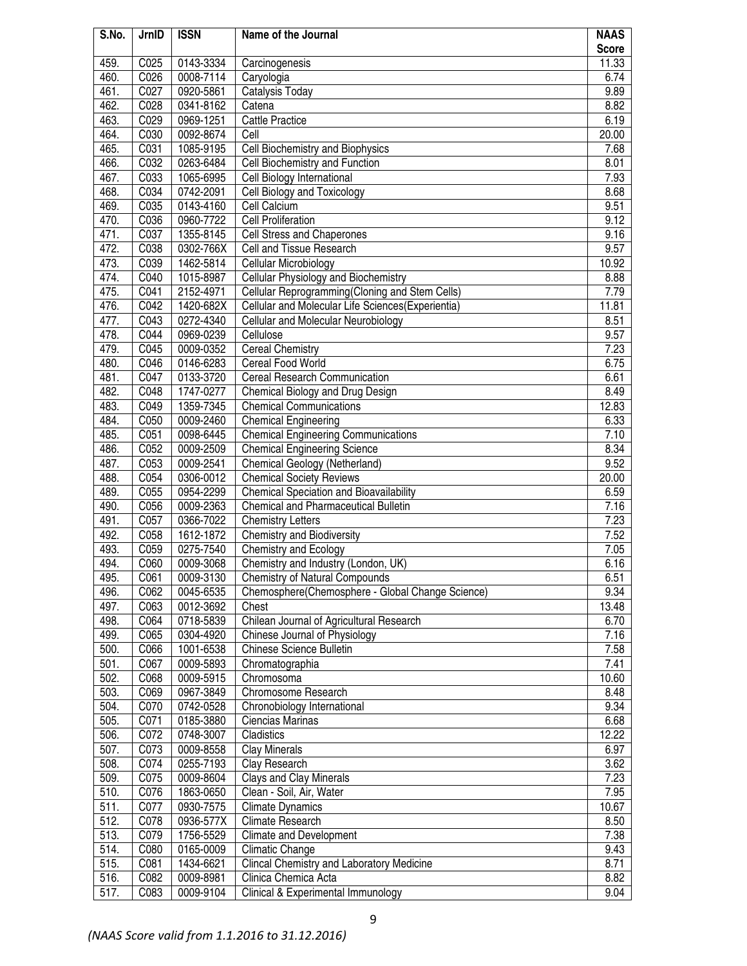| S.No.        | JrnID        | <b>ISSN</b>            | Name of the Journal                                          | <b>NAAS</b>   |
|--------------|--------------|------------------------|--------------------------------------------------------------|---------------|
|              |              |                        |                                                              | <b>Score</b>  |
| 459.         | C025         | 0143-3334              | Carcinogenesis                                               | 11.33         |
| 460.         | C026         | 0008-7114              | Caryologia                                                   | 6.74          |
| 461.         | C027         | 0920-5861              | Catalysis Today                                              | 9.89          |
| 462.         | C028         | 0341-8162              | Catena                                                       | 8.82          |
| 463.         | C029         | 0969-1251              | <b>Cattle Practice</b>                                       | 6.19          |
| 464.<br>465. | C030         | 0092-8674              | Cell                                                         | 20.00<br>7.68 |
| 466.         | C031<br>C032 | 1085-9195              | Cell Biochemistry and Biophysics                             |               |
| 467.         | C033         | 0263-6484<br>1065-6995 | Cell Biochemistry and Function<br>Cell Biology International | 8.01<br>7.93  |
| 468.         | C034         | 0742-2091              | Cell Biology and Toxicology                                  | 8.68          |
| 469.         | C035         | 0143-4160              | Cell Calcium                                                 | 9.51          |
| 470.         | C036         | 0960-7722              | <b>Cell Proliferation</b>                                    | 9.12          |
| 471.         | C037         | 1355-8145              | Cell Stress and Chaperones                                   | 9.16          |
| 472.         | C038         | 0302-766X              | Cell and Tissue Research                                     | 9.57          |
| 473.         | C039         | 1462-5814              | Cellular Microbiology                                        | 10.92         |
| 474.         | C040         | 1015-8987              | Cellular Physiology and Biochemistry                         | 8.88          |
| 475.         | C041         | 2152-4971              | Cellular Reprogramming(Cloning and Stem Cells)               | 7.79          |
| 476.         | C042         | 1420-682X              | Cellular and Molecular Life Sciences(Experientia)            | 11.81         |
| 477.         | C043         | 0272-4340              | Cellular and Molecular Neurobiology                          | 8.51          |
| 478.         | C044         | 0969-0239              | Cellulose                                                    | 9.57          |
| 479.         | C045         | 0009-0352              | <b>Cereal Chemistry</b>                                      | 7.23          |
| 480.         | C046         | 0146-6283              | Cereal Food World                                            | 6.75          |
| 481.         | C047         | 0133-3720              | Cereal Research Communication                                | 6.61          |
| 482.         | C048         | 1747-0277              | Chemical Biology and Drug Design                             | 8.49          |
| 483.         | C049         | 1359-7345              | <b>Chemical Communications</b>                               | 12.83         |
| 484.         | C050         | 0009-2460              | <b>Chemical Engineering</b>                                  | 6.33          |
| 485.         | C051         | 0098-6445              | <b>Chemical Engineering Communications</b>                   | 7.10          |
| 486.         | C052         | 0009-2509              | <b>Chemical Engineering Science</b>                          | 8.34          |
| 487.         | C053         | 0009-2541              | Chemical Geology (Netherland)                                | 9.52          |
| 488.         | C054         | 0306-0012              | <b>Chemical Society Reviews</b>                              | 20.00         |
| 489.         | C055         | 0954-2299              | <b>Chemical Speciation and Bioavailability</b>               | 6.59          |
| 490.         | C056         | 0009-2363              | <b>Chemical and Pharmaceutical Bulletin</b>                  | 7.16          |
| 491.         | C057         | 0366-7022              | <b>Chemistry Letters</b>                                     | 7.23          |
| 492.         | C058         | 1612-1872              | <b>Chemistry and Biodiversity</b>                            | 7.52          |
| 493.         | C059         | 0275-7540              | Chemistry and Ecology                                        | 7.05          |
| 494.         | C060         | 0009-3068              | Chemistry and Industry (London, UK)                          | 6.16          |
| 495.         | C061         | 0009-3130              | <b>Chemistry of Natural Compounds</b>                        | 6.51          |
| 496.         | C062         | 0045-6535              | Chemosphere(Chemosphere - Global Change Science)             | 9.34          |
| 497.         | C063         | 0012-3692              | Chest                                                        | 13.48         |
| 498.         | C064         | 0718-5839              | Chilean Journal of Agricultural Research                     | 6.70          |
| 499.         | C065         | 0304-4920              | Chinese Journal of Physiology                                | 7.16          |
| 500.<br>501. | C066<br>C067 | 1001-6538<br>0009-5893 | <b>Chinese Science Bulletin</b><br>Chromatographia           | 7.58<br>7.41  |
| 502.         | C068         | 0009-5915              | Chromosoma                                                   | 10.60         |
| 503.         | C069         | 0967-3849              | Chromosome Research                                          | 8.48          |
| 504.         | C070         | 0742-0528              | Chronobiology International                                  | 9.34          |
| 505.         | C071         | 0185-3880              | Ciencias Marinas                                             | 6.68          |
| 506.         | C072         | 0748-3007              | Cladistics                                                   | 12.22         |
| 507.         | C073         | 0009-8558              | <b>Clay Minerals</b>                                         | 6.97          |
| 508.         | C074         | 0255-7193              | Clay Research                                                | 3.62          |
| 509.         | C075         | 0009-8604              | Clays and Clay Minerals                                      | 7.23          |
| 510.         | C076         | 1863-0650              | Clean - Soil, Air, Water                                     | 7.95          |
| 511.         | C077         | 0930-7575              | <b>Climate Dynamics</b>                                      | 10.67         |
| 512.         | C078         | 0936-577X              | Climate Research                                             | 8.50          |
| 513.         | C079         | 1756-5529              | Climate and Development                                      | 7.38          |
| 514.         | C080         | 0165-0009              | <b>Climatic Change</b>                                       | 9.43          |
| 515.         | C081         | 1434-6621              | Clincal Chemistry and Laboratory Medicine                    | 8.71          |
| 516.         | C082         | 0009-8981              | Clinica Chemica Acta                                         | 8.82          |
| 517.         | C083         | 0009-9104              | Clinical & Experimental Immunology                           | 9.04          |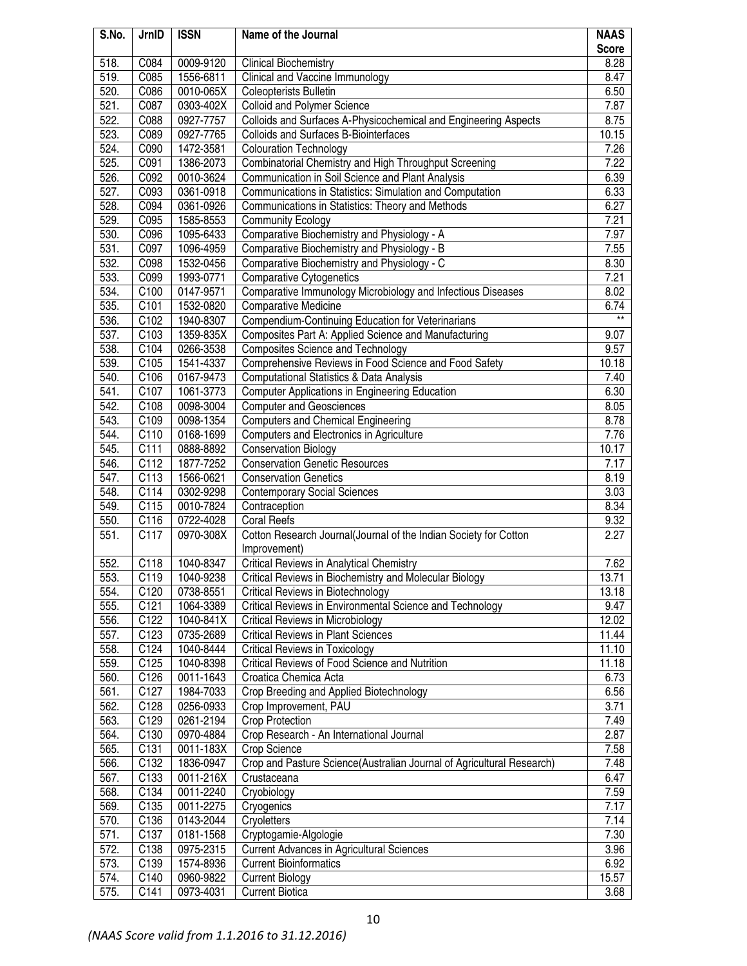| S.No.        | JrnID            | <b>ISSN</b>            | Name of the Journal                                                                | <b>NAAS</b>    |
|--------------|------------------|------------------------|------------------------------------------------------------------------------------|----------------|
|              |                  |                        |                                                                                    | <b>Score</b>   |
| 518.         | C084             | 0009-9120              | <b>Clinical Biochemistry</b>                                                       | 8.28           |
| 519.         | C085             | 1556-6811              | Clinical and Vaccine Immunology                                                    | 8.47           |
| 520.         | C086             | 0010-065X              | Coleopterists Bulletin                                                             | 6.50           |
| 521.         | C087             | 0303-402X              | <b>Colloid and Polymer Science</b>                                                 | 7.87           |
| 522.         | C088             | 0927-7757              | Colloids and Surfaces A-Physicochemical and Engineering Aspects                    | 8.75           |
| 523.         | C089             | 0927-7765              | Colloids and Surfaces B-Biointerfaces                                              | 10.15          |
| 524.         | C090             | 1472-3581              | <b>Colouration Technology</b>                                                      | 7.26           |
| 525.         | C091             | 1386-2073              | Combinatorial Chemistry and High Throughput Screening                              | 7.22           |
| 526.         | C092             | 0010-3624              | Communication in Soil Science and Plant Analysis                                   | 6.39           |
| 527.         | C093             | 0361-0918              | Communications in Statistics: Simulation and Computation                           | 6.33           |
| 528.         | C094             | 0361-0926              | Communications in Statistics: Theory and Methods                                   | 6.27           |
| 529.         | C095             | 1585-8553              | <b>Community Ecology</b>                                                           | 7.21           |
| 530.         | C096             | 1095-6433              | Comparative Biochemistry and Physiology - A                                        | 7.97           |
| 531.         | C097             | 1096-4959              | Comparative Biochemistry and Physiology - B                                        | 7.55           |
| 532.         | C098             | 1532-0456              | Comparative Biochemistry and Physiology - C                                        | 8.30           |
| 533.         | C099             | 1993-0771              | <b>Comparative Cytogenetics</b>                                                    | 7.21           |
| 534.         | C100             | 0147-9571              | Comparative Immunology Microbiology and Infectious Diseases                        | 8.02           |
| 535.         | C101             | 1532-0820              | <b>Comparative Medicine</b>                                                        | 6.74           |
| 536.         | C102             | 1940-8307              | Compendium-Continuing Education for Veterinarians                                  | $\star\star$   |
| 537.         | C103             | 1359-835X              | Composites Part A: Applied Science and Manufacturing                               | 9.07           |
| 538.         | C104             | 0266-3538              | <b>Composites Science and Technology</b>                                           | 9.57           |
| 539.         | C105             | 1541-4337              | Comprehensive Reviews in Food Science and Food Safety                              | 10.18          |
| 540.         | C106             | 0167-9473              | Computational Statistics & Data Analysis                                           | 7.40           |
| 541.         | C107             | 1061-3773              | <b>Computer Applications in Engineering Education</b>                              | 6.30           |
| 542.         | C108             | 0098-3004              | <b>Computer and Geosciences</b>                                                    | 8.05           |
| 543.         | C109             | 0098-1354              | <b>Computers and Chemical Engineering</b>                                          | 8.78           |
| 544.         | C110             | 0168-1699              | Computers and Electronics in Agriculture                                           | 7.76           |
| 545.         | C111             | 0888-8892              | <b>Conservation Biology</b>                                                        | 10.17          |
| 546.         | C112             | 1877-7252              | Conservation Genetic Resources                                                     | 7.17           |
| 547.         | C113             | 1566-0621              | <b>Conservation Genetics</b>                                                       | 8.19           |
| 548.         | C114             | 0302-9298              | <b>Contemporary Social Sciences</b>                                                | 3.03           |
| 549.         | C115             | 0010-7824              | Contraception                                                                      | 8.34           |
| 550.         | C116             | 0722-4028              | <b>Coral Reefs</b>                                                                 | 9.32           |
| 551.         | C117             | 0970-308X              | Cotton Research Journal(Journal of the Indian Society for Cotton                   | 2.27           |
|              |                  |                        | Improvement)                                                                       |                |
| 552.         | C118             | 1040-8347              | <b>Critical Reviews in Analytical Chemistry</b>                                    | 7.62           |
| 553.         | C <sub>119</sub> | 1040-9238              | Critical Reviews in Biochemistry and Molecular Biology                             | 13.71          |
| 554.         | C120             | 0738-8551              | <b>Critical Reviews in Biotechnology</b>                                           | 13.18          |
| 555.         | C121             | 1064-3389<br>1040-841X | Critical Reviews in Environmental Science and Technology                           | 9.47           |
| 556.         | C122             |                        | <b>Critical Reviews in Microbiology</b>                                            | 12.02          |
| 557.         | C123             | 0735-2689              | <b>Critical Reviews in Plant Sciences</b><br><b>Critical Reviews in Toxicology</b> | 11.44          |
| 558.         | C124             | 1040-8444              | Critical Reviews of Food Science and Nutrition                                     | 11.10<br>11.18 |
| 559.<br>560. | C125             | 1040-8398<br>0011-1643 | Croatica Chemica Acta                                                              | 6.73           |
| 561.         | C126<br>C127     | 1984-7033              | Crop Breeding and Applied Biotechnology                                            | 6.56           |
| 562.         | C128             | 0256-0933              | Crop Improvement, PAU                                                              | 3.71           |
| 563.         | C129             | 0261-2194              | <b>Crop Protection</b>                                                             | 7.49           |
| 564.         | C130             | 0970-4884              | Crop Research - An International Journal                                           | 2.87           |
| 565.         | C <sub>131</sub> | 0011-183X              | Crop Science                                                                       | 7.58           |
| 566.         | C132             | 1836-0947              | Crop and Pasture Science(Australian Journal of Agricultural Research)              | 7.48           |
| 567.         | C133             | 0011-216X              | Crustaceana                                                                        | 6.47           |
| 568.         | C134             | 0011-2240              | Cryobiology                                                                        | 7.59           |
| 569.         | C135             | 0011-2275              | Cryogenics                                                                         | 7.17           |
| 570.         | C136             | 0143-2044              | Cryoletters                                                                        | 7.14           |
| 571.         | C137             | 0181-1568              | Cryptogamie-Algologie                                                              | 7.30           |
| 572.         | C138             | 0975-2315              | Current Advances in Agricultural Sciences                                          | 3.96           |
| 573.         | C139             | 1574-8936              | <b>Current Bioinformatics</b>                                                      | 6.92           |
| 574.         | C140             | 0960-9822              | <b>Current Biology</b>                                                             | 15.57          |
| 575.         | C141             | 0973-4031              | <b>Current Biotica</b>                                                             | 3.68           |
|              |                  |                        |                                                                                    |                |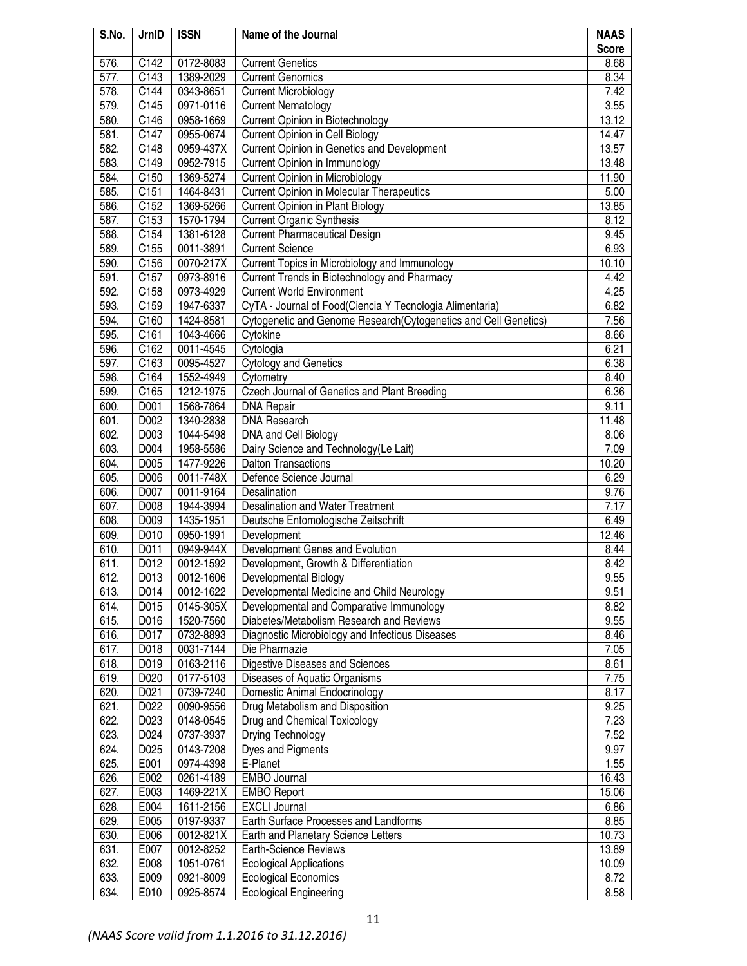| S.No.        | JrnID              | <b>ISSN</b>            | Name of the Journal                                              | <b>NAAS</b>    |
|--------------|--------------------|------------------------|------------------------------------------------------------------|----------------|
|              |                    |                        |                                                                  | <b>Score</b>   |
| 576.         | C142               | 0172-8083              | <b>Current Genetics</b>                                          | 8.68           |
| 577.         | C143               | 1389-2029              | <b>Current Genomics</b>                                          | 8.34           |
| 578.         | C144               | 0343-8651              | <b>Current Microbiology</b>                                      | 7.42           |
| 579.         | $\overline{C}$ 145 | 0971-0116              | <b>Current Nematology</b>                                        | 3.55           |
| 580.         | C146               | 0958-1669              | <b>Current Opinion in Biotechnology</b>                          | 13.12          |
| 581.         | C147               | 0955-0674              | <b>Current Opinion in Cell Biology</b>                           | 14.47          |
| 582.         | C148               | 0959-437X              | Current Opinion in Genetics and Development                      | 13.57          |
| 583.         | C149               | 0952-7915              | <b>Current Opinion in Immunology</b>                             | 13.48          |
| 584.         | C150               | 1369-5274              | <b>Current Opinion in Microbiology</b>                           | 11.90          |
| 585.         | C <sub>151</sub>   | 1464-8431              | <b>Current Opinion in Molecular Therapeutics</b>                 | 5.00           |
| 586.         | C152               | 1369-5266              | <b>Current Opinion in Plant Biology</b>                          | 13.85          |
| 587.         | C153               | 1570-1794              | <b>Current Organic Synthesis</b>                                 | 8.12           |
| 588.         | C154               | 1381-6128              | <b>Current Pharmaceutical Design</b>                             | 9.45           |
| 589.         | C155               | 0011-3891              | <b>Current Science</b>                                           | 6.93           |
| 590.         | C156               | 0070-217X              | Current Topics in Microbiology and Immunology                    | 10.10          |
| 591.         | C157               | 0973-8916              | Current Trends in Biotechnology and Pharmacy                     | 4.42           |
| 592.         | C158               | 0973-4929              | <b>Current World Environment</b>                                 | 4.25           |
| 593.         | C159               | 1947-6337              | CyTA - Journal of Food(Ciencia Y Tecnologia Alimentaria)         | 6.82           |
| 594.         | C160               | 1424-8581              | Cytogenetic and Genome Research (Cytogenetics and Cell Genetics) | 7.56           |
| 595.         | C161               | 1043-4666              | Cytokine                                                         | 8.66           |
| 596.         | C162               | 0011-4545              | Cytologia                                                        | 6.21           |
| 597.         | C163               | 0095-4527              | <b>Cytology and Genetics</b>                                     | 6.38           |
| 598.         | C164               | 1552-4949              | Cytometry                                                        | 8.40           |
| 599.         | C165               | 1212-1975              | Czech Journal of Genetics and Plant Breeding                     | 6.36           |
| 600.         | D001               | 1568-7864              | <b>DNA Repair</b>                                                | 9.11           |
| 601.         | D002               | 1340-2838              | <b>DNA Research</b>                                              | 11.48          |
| 602.         | D003               | 1044-5498              | DNA and Cell Biology                                             | 8.06           |
| 603.         | D004               | 1958-5586              | Dairy Science and Technology (Le Lait)                           | 7.09           |
| 604.         | D005               | 1477-9226              | Dalton Transactions                                              | 10.20          |
| 605.         | D006               | 0011-748X              | Defence Science Journal                                          | 6.29           |
| 606.         | D007               | 0011-9164              | Desalination                                                     | 9.76           |
| 607.         | D008               | 1944-3994              | Desalination and Water Treatment                                 | 7.17           |
| 608.         | D009               | 1435-1951              | Deutsche Entomologische Zeitschrift                              | 6.49           |
| 609.         | D010               | 0950-1991              | Development                                                      | 12.46          |
| 610.         | D011               | 0949-944X              | Development Genes and Evolution                                  | 8.44           |
| 611.         | D012               | 0012-1592              | Development, Growth & Differentiation                            | 8.42           |
| 612.         | D013               | 0012-1606              | Developmental Biology                                            | 9.55           |
| 613.         | D014               | 0012-1622              | Developmental Medicine and Child Neurology                       | 9.51           |
| 614.         | D015               | 0145-305X              | Developmental and Comparative Immunology                         | 8.82           |
| 615.         | D016               | 1520-7560              | Diabetes/Metabolism Research and Reviews                         | 9.55           |
| 616.         | D017               | 0732-8893              | Diagnostic Microbiology and Infectious Diseases                  | 8.46           |
| 617.         | D018               | 0031-7144              | Die Pharmazie                                                    | 7.05           |
| 618.         | D019               | 0163-2116              | Digestive Diseases and Sciences                                  | 8.61           |
| 619.         | D020               | 0177-5103              | Diseases of Aquatic Organisms                                    | 7.75           |
| 620.         | D021               | 0739-7240              | Domestic Animal Endocrinology                                    | 8.17           |
| 621.         | D022               | 0090-9556              | Drug Metabolism and Disposition                                  | 9.25           |
| 622.         | D023               | 0148-0545              | Drug and Chemical Toxicology                                     | 7.23           |
| 623.         | D024               | 0737-3937              | Drying Technology                                                | 7.52           |
| 624.         | D025               | 0143-7208              | Dyes and Pigments                                                | 9.97           |
| 625.         | E001               | 0974-4398              | E-Planet<br><b>EMBO Journal</b>                                  | 1.55           |
| 626.<br>627. | E002<br>E003       | 0261-4189              |                                                                  | 16.43<br>15.06 |
| 628.         | E004               | 1469-221X<br>1611-2156 | <b>EMBO Report</b><br><b>EXCLI Journal</b>                       | 6.86           |
| 629.         | E005               | 0197-9337              | Earth Surface Processes and Landforms                            | 8.85           |
| 630.         | E006               | 0012-821X              | Earth and Planetary Science Letters                              | 10.73          |
| 631.         | E007               | 0012-8252              | <b>Earth-Science Reviews</b>                                     | 13.89          |
| 632.         | E008               | 1051-0761              | <b>Ecological Applications</b>                                   | 10.09          |
| 633.         | E009               | 0921-8009              | <b>Ecological Economics</b>                                      | 8.72           |
| 634.         | E010               | 0925-8574              | <b>Ecological Engineering</b>                                    | 8.58           |
|              |                    |                        |                                                                  |                |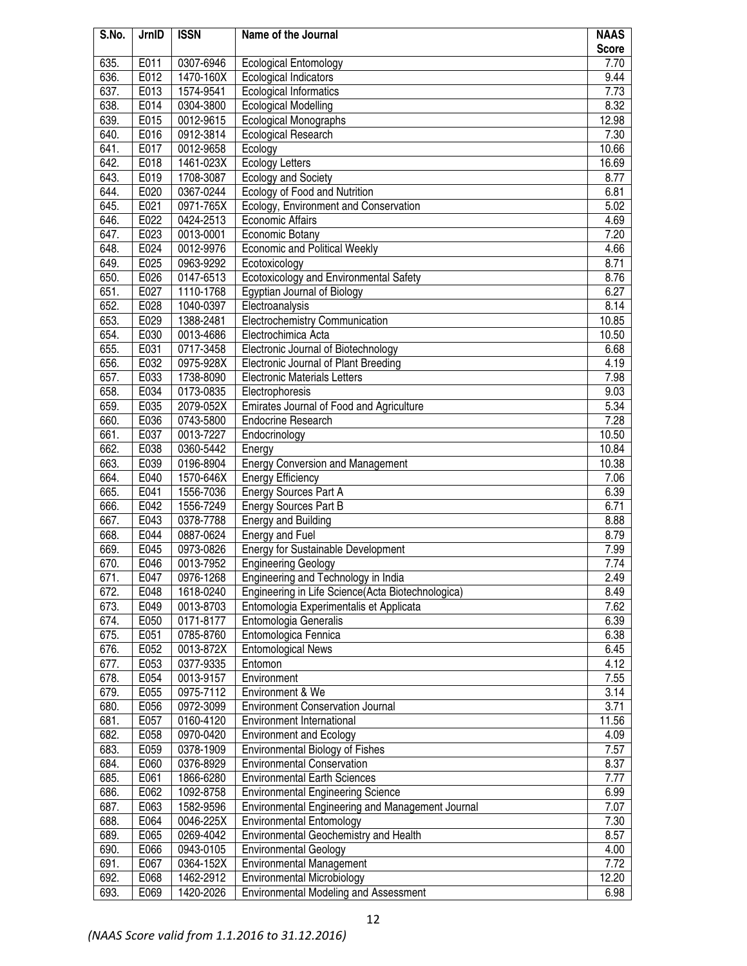| S.No. | JrnID | <b>ISSN</b> | Name of the Journal                               | <b>NAAS</b><br><b>Score</b> |
|-------|-------|-------------|---------------------------------------------------|-----------------------------|
| 635.  | E011  | 0307-6946   | <b>Ecological Entomology</b>                      | 7.70                        |
| 636.  | E012  | 1470-160X   | Ecological Indicators                             | 9.44                        |
| 637.  | E013  | 1574-9541   | <b>Ecological Informatics</b>                     | 7.73                        |
| 638.  | E014  | 0304-3800   | <b>Ecological Modelling</b>                       | 8.32                        |
| 639.  | E015  | 0012-9615   | <b>Ecological Monographs</b>                      | 12.98                       |
| 640.  | E016  | 0912-3814   | Ecological Research                               | 7.30                        |
| 641.  | E017  | 0012-9658   | Ecology                                           | 10.66                       |
| 642.  | E018  | 1461-023X   | <b>Ecology Letters</b>                            | 16.69                       |
| 643.  | E019  | 1708-3087   | <b>Ecology and Society</b>                        | 8.77                        |
| 644.  | E020  | 0367-0244   | Ecology of Food and Nutrition                     | 6.81                        |
| 645.  | E021  | 0971-765X   | Ecology, Environment and Conservation             | 5.02                        |
| 646.  | E022  | 0424-2513   | <b>Economic Affairs</b>                           | 4.69                        |
| 647.  | E023  | 0013-0001   | Economic Botany                                   | 7.20                        |
| 648.  | E024  | 0012-9976   | <b>Economic and Political Weekly</b>              | 4.66                        |
| 649.  | E025  | 0963-9292   | Ecotoxicology                                     | 8.71                        |
| 650.  | E026  | 0147-6513   | Ecotoxicology and Environmental Safety            | 8.76                        |
| 651.  | E027  | 1110-1768   | Egyptian Journal of Biology                       | 6.27                        |
| 652.  | E028  | 1040-0397   | Electroanalysis                                   | 8.14                        |
| 653.  | E029  | 1388-2481   | Electrochemistry Communication                    | 10.85                       |
| 654.  | E030  | 0013-4686   | Electrochimica Acta                               | 10.50                       |
| 655.  | E031  | 0717-3458   | Electronic Journal of Biotechnology               | 6.68                        |
| 656.  | E032  | 0975-928X   | Electronic Journal of Plant Breeding              | 4.19                        |
| 657.  | E033  | 1738-8090   | <b>Electronic Materials Letters</b>               | 7.98                        |
| 658.  | E034  | 0173-0835   | Electrophoresis                                   | 9.03                        |
| 659.  | E035  | 2079-052X   | Emirates Journal of Food and Agriculture          | 5.34                        |
| 660.  | E036  | 0743-5800   | <b>Endocrine Research</b>                         | 7.28                        |
| 661.  | E037  | 0013-7227   | Endocrinology                                     | 10.50                       |
| 662.  | E038  | 0360-5442   | Energy                                            | 10.84                       |
| 663.  | E039  | 0196-8904   | <b>Energy Conversion and Management</b>           | 10.38                       |
| 664.  | E040  | 1570-646X   | <b>Energy Efficiency</b>                          | 7.06                        |
| 665.  | E041  | 1556-7036   | Energy Sources Part A                             | 6.39                        |
| 666.  | E042  | 1556-7249   | <b>Energy Sources Part B</b>                      | 6.71                        |
| 667.  | E043  | 0378-7788   | <b>Energy and Building</b>                        | 8.88                        |
| 668.  | E044  | 0887-0624   | Energy and Fuel                                   | 8.79                        |
| 669.  | E045  | 0973-0826   | Energy for Sustainable Development                | 7.99                        |
| 670.  | E046  | 0013-7952   | <b>Engineering Geology</b>                        | 7.74                        |
| 671.  | E047  | 0976-1268   | Engineering and Technology in India               | 2.49                        |
| 672.  | E048  | 1618-0240   | Engineering in Life Science(Acta Biotechnologica) | 8.49                        |
| 673.  | E049  | 0013-8703   | Entomologia Experimentalis et Applicata           | 7.62                        |
| 674.  | E050  | 0171-8177   | Entomologia Generalis                             | 6.39                        |
| 675.  | E051  | 0785-8760   | Entomologica Fennica                              | 6.38                        |
| 676.  | E052  | 0013-872X   | <b>Entomological News</b>                         | 6.45                        |
| 677.  | E053  | 0377-9335   | Entomon                                           | 4.12                        |
| 678.  | E054  | 0013-9157   | Environment                                       | 7.55                        |
| 679.  | E055  | 0975-7112   | Environment & We                                  | 3.14                        |
| 680.  | E056  | 0972-3099   | <b>Environment Conservation Journal</b>           | 3.71                        |
| 681.  | E057  | 0160-4120   | <b>Environment International</b>                  | 11.56                       |
| 682.  | E058  | 0970-0420   | <b>Environment and Ecology</b>                    | 4.09                        |
| 683.  | E059  | 0378-1909   | Environmental Biology of Fishes                   | 7.57                        |
| 684.  | E060  | 0376-8929   | <b>Environmental Conservation</b>                 | 8.37                        |
| 685.  | E061  | 1866-6280   | <b>Environmental Earth Sciences</b>               | 7.77                        |
| 686.  | E062  | 1092-8758   | <b>Environmental Engineering Science</b>          | 6.99                        |
| 687.  | E063  | 1582-9596   | Environmental Engineering and Management Journal  | 7.07                        |
| 688.  | E064  | 0046-225X   | <b>Environmental Entomology</b>                   | 7.30                        |
| 689.  | E065  | 0269-4042   | Environmental Geochemistry and Health             | 8.57                        |
| 690.  | E066  | 0943-0105   | <b>Environmental Geology</b>                      | 4.00                        |
| 691.  | E067  | 0364-152X   | <b>Environmental Management</b>                   | 7.72                        |
| 692.  | E068  | 1462-2912   | Environmental Microbiology                        | 12.20                       |
| 693.  | E069  | 1420-2026   | Environmental Modeling and Assessment             | 6.98                        |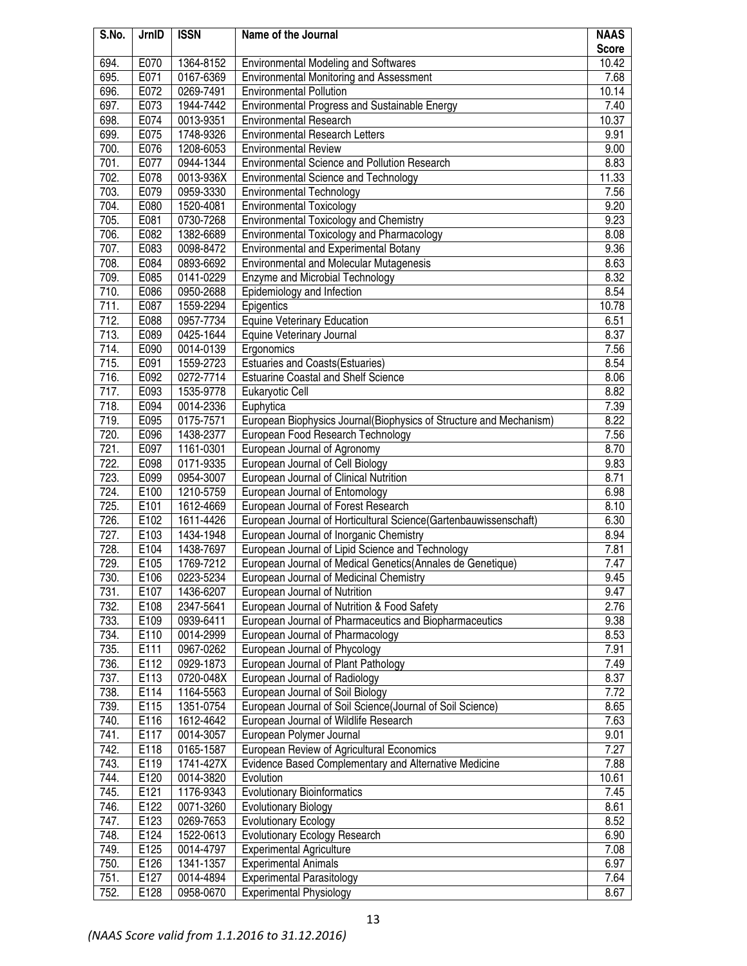| S.No.        | JrnID        | <b>ISSN</b>            | Name of the Journal                                                                | <b>NAAS</b>  |
|--------------|--------------|------------------------|------------------------------------------------------------------------------------|--------------|
|              |              |                        |                                                                                    | <b>Score</b> |
| 694.         | E070         | 1364-8152              | <b>Environmental Modeling and Softwares</b>                                        | 10.42        |
| 695.         | E071         | 0167-6369              | Environmental Monitoring and Assessment                                            | 7.68         |
| 696.         | E072         | 0269-7491              | <b>Environmental Pollution</b>                                                     | 10.14        |
| 697.         | E073         | 1944-7442              | Environmental Progress and Sustainable Energy                                      | 7.40         |
| 698.         | E074         | 0013-9351              | Environmental Research                                                             | 10.37        |
| 699.         | E075         | 1748-9326              | <b>Environmental Research Letters</b>                                              | 9.91         |
| 700.         | E076         | 1208-6053              | <b>Environmental Review</b>                                                        | 9.00         |
| 701.         | E077         | 0944-1344              | Environmental Science and Pollution Research                                       | 8.83         |
| 702.         | E078         | 0013-936X              | <b>Environmental Science and Technology</b>                                        | 11.33        |
| 703.         | E079         | 0959-3330              | <b>Environmental Technology</b>                                                    | 7.56         |
| 704.<br>705. | E080<br>E081 | 1520-4081<br>0730-7268 | <b>Environmental Toxicology</b>                                                    | 9.20<br>9.23 |
| 706.         | E082         | 1382-6689              | <b>Environmental Toxicology and Chemistry</b>                                      | 8.08         |
| 707.         | E083         |                        | Environmental Toxicology and Pharmacology<br>Environmental and Experimental Botany | 9.36         |
| 708.         | E084         | 0098-8472<br>0893-6692 | <b>Environmental and Molecular Mutagenesis</b>                                     | 8.63         |
| 709.         | E085         | 0141-0229              | Enzyme and Microbial Technology                                                    | 8.32         |
| 710.         | E086         | 0950-2688              | Epidemiology and Infection                                                         | 8.54         |
| 711.         | E087         | 1559-2294              | Epigentics                                                                         | 10.78        |
| 712.         | E088         | 0957-7734              | <b>Equine Veterinary Education</b>                                                 | 6.51         |
| 713.         | E089         | 0425-1644              | Equine Veterinary Journal                                                          | 8.37         |
| 714.         | E090         | 0014-0139              | Ergonomics                                                                         | 7.56         |
| 715.         | E091         | 1559-2723              | <b>Estuaries and Coasts(Estuaries)</b>                                             | 8.54         |
| 716.         | E092         | 0272-7714              | <b>Estuarine Coastal and Shelf Science</b>                                         | 8.06         |
| 717.         | E093         | 1535-9778              | Eukaryotic Cell                                                                    | 8.82         |
| 718.         | E094         | 0014-2336              | Euphytica                                                                          | 7.39         |
| 719.         | E095         | 0175-7571              | European Biophysics Journal(Biophysics of Structure and Mechanism)                 | 8.22         |
| 720.         | E096         | 1438-2377              | European Food Research Technology                                                  | 7.56         |
| 721.         | E097         | 1161-0301              | European Journal of Agronomy                                                       | 8.70         |
| 722.         | E098         | 0171-9335              | European Journal of Cell Biology                                                   | 9.83         |
| 723.         | E099         | 0954-3007              | European Journal of Clinical Nutrition                                             | 8.71         |
| 724.         | E100         | 1210-5759              | European Journal of Entomology                                                     | 6.98         |
| 725.         | E101         | 1612-4669              | European Journal of Forest Research                                                | 8.10         |
| 726.         | E102         | 1611-4426              | European Journal of Horticultural Science(Gartenbauwissenschaft)                   | 6.30         |
| 727.         | E103         | 1434-1948              | European Journal of Inorganic Chemistry                                            | 8.94         |
| 728.         | E104         | 1438-7697              | European Journal of Lipid Science and Technology                                   | 7.81         |
| 729.         | E105         | 1769-7212              | European Journal of Medical Genetics(Annales de Genetique)                         | 7.47         |
| 730.         | E106         | 0223-5234              | European Journal of Medicinal Chemistry                                            | 9.45         |
| 731.         | E107         | 1436-6207              | European Journal of Nutrition                                                      | 9.47         |
| 732.         | E108         | 2347-5641              | European Journal of Nutrition & Food Safety                                        | 2.76         |
| 733.         | E109         | 0939-6411              | European Journal of Pharmaceutics and Biopharmaceutics                             | 9.38         |
| 734.         | E110         | 0014-2999              | European Journal of Pharmacology                                                   | 8.53         |
| 735.         | E111         | 0967-0262              | European Journal of Phycology                                                      | 7.91         |
| 736.         | E112         | 0929-1873              | European Journal of Plant Pathology                                                | 7.49         |
| 737.         | E113         | 0720-048X              | European Journal of Radiology                                                      | 8.37         |
| 738.         | E114         | 1164-5563              | European Journal of Soil Biology                                                   | 7.72         |
| 739.         | E115         | 1351-0754              | European Journal of Soil Science(Journal of Soil Science)                          | 8.65         |
| 740.         | E116         | 1612-4642              | European Journal of Wildlife Research                                              | 7.63         |
| 741.         | E117         | 0014-3057              | European Polymer Journal                                                           | 9.01         |
| 742.         | E118         | 0165-1587              | European Review of Agricultural Economics                                          | 7.27         |
| 743.         | E119         | 1741-427X              | Evidence Based Complementary and Alternative Medicine                              | 7.88         |
| 744.         | E120         | 0014-3820              | Evolution                                                                          | 10.61        |
| 745.         | E121         | 1176-9343              | <b>Evolutionary Bioinformatics</b>                                                 | 7.45         |
| 746.         | E122         | 0071-3260              | <b>Evolutionary Biology</b>                                                        | 8.61         |
| 747.         | E123         | 0269-7653              | <b>Evolutionary Ecology</b>                                                        | 8.52         |
| 748.         | E124         | 1522-0613              | <b>Evolutionary Ecology Research</b>                                               | 6.90         |
| 749.         | E125         | 0014-4797              | <b>Experimental Agriculture</b>                                                    | 7.08         |
| 750.         | E126         | 1341-1357              | <b>Experimental Animals</b>                                                        | 6.97         |
| 751.         | E127         | 0014-4894              | <b>Experimental Parasitology</b>                                                   | 7.64         |
| 752.         | E128         | 0958-0670              | <b>Experimental Physiology</b>                                                     | 8.67         |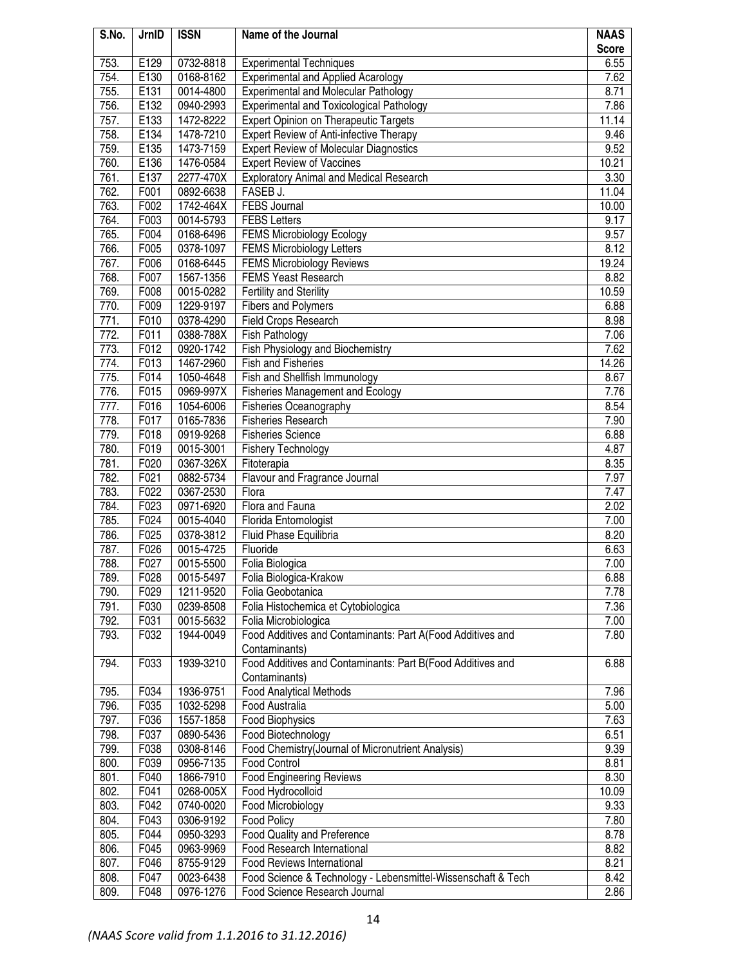| S.No. | JrnID | <b>ISSN</b> | Name of the Journal                                          | <b>NAAS</b><br><b>Score</b> |
|-------|-------|-------------|--------------------------------------------------------------|-----------------------------|
| 753.  | E129  | 0732-8818   | <b>Experimental Techniques</b>                               | 6.55                        |
| 754.  | E130  | 0168-8162   | <b>Experimental and Applied Acarology</b>                    | 7.62                        |
| 755.  | E131  | 0014-4800   | <b>Experimental and Molecular Pathology</b>                  | 8.71                        |
| 756.  | E132  | 0940-2993   | <b>Experimental and Toxicological Pathology</b>              | 7.86                        |
| 757.  | E133  | 1472-8222   | Expert Opinion on Therapeutic Targets                        | 11.14                       |
| 758.  | E134  | 1478-7210   | Expert Review of Anti-infective Therapy                      | 9.46                        |
| 759.  | E135  | 1473-7159   | <b>Expert Review of Molecular Diagnostics</b>                | 9.52                        |
| 760.  | E136  | 1476-0584   | <b>Expert Review of Vaccines</b>                             | 10.21                       |
| 761.  | E137  | 2277-470X   | <b>Exploratory Animal and Medical Research</b>               | 3.30                        |
| 762.  | F001  | 0892-6638   | FASEB J.                                                     | 11.04                       |
| 763.  | F002  | 1742-464X   | <b>FEBS Journal</b>                                          | 10.00                       |
| 764.  | F003  | 0014-5793   | <b>FEBS Letters</b>                                          | 9.17                        |
| 765.  | F004  | 0168-6496   | <b>FEMS Microbiology Ecology</b>                             | 9.57                        |
| 766.  | F005  | 0378-1097   | <b>FEMS Microbiology Letters</b>                             | 8.12                        |
| 767.  | F006  | 0168-6445   | <b>FEMS Microbiology Reviews</b>                             | 19.24                       |
| 768.  | F007  | 1567-1356   | <b>FEMS Yeast Research</b>                                   | 8.82                        |
| 769.  | F008  | 0015-0282   | Fertility and Sterility                                      | 10.59                       |
| 770.  | F009  | 1229-9197   | <b>Fibers and Polymers</b>                                   | 6.88                        |
| 771.  | F010  | 0378-4290   | <b>Field Crops Research</b>                                  | 8.98                        |
| 772.  | F011  | 0388-788X   | Fish Pathology                                               | 7.06                        |
| 773.  | F012  | 0920-1742   | <b>Fish Physiology and Biochemistry</b>                      | 7.62                        |
| 774.  | F013  | 1467-2960   | <b>Fish and Fisheries</b>                                    | 14.26                       |
| 775.  | F014  | 1050-4648   | Fish and Shellfish Immunology                                | 8.67                        |
| 776.  | F015  | 0969-997X   | <b>Fisheries Management and Ecology</b>                      | 7.76                        |
| 777.  | F016  | 1054-6006   | Fisheries Oceanography                                       | 8.54                        |
| 778.  | F017  | 0165-7836   | <b>Fisheries Research</b>                                    | 7.90                        |
| 779.  | F018  | 0919-9268   | <b>Fisheries Science</b>                                     | 6.88                        |
| 780.  | F019  | 0015-3001   | <b>Fishery Technology</b>                                    | 4.87                        |
| 781.  | F020  | 0367-326X   | Fitoterapia                                                  | 8.35                        |
| 782.  | F021  | 0882-5734   | Flavour and Fragrance Journal                                | 7.97                        |
| 783.  | F022  | 0367-2530   | Flora                                                        | 7.47                        |
| 784.  | F023  | 0971-6920   | Flora and Fauna                                              | 2.02                        |
| 785.  | F024  | 0015-4040   | Florida Entomologist                                         | 7.00                        |
| 786.  | F025  | 0378-3812   | Fluid Phase Equilibria                                       | 8.20                        |
| 787.  | F026  | 0015-4725   | Fluoride                                                     | 6.63                        |
| 788.  | F027  | 0015-5500   | Folia Biologica                                              | 7.00                        |
| 789.  | F028  | 0015-5497   | Folia Biologica-Krakow                                       | 6.88                        |
| 790.  | F029  | 1211-9520   | Folia Geobotanica                                            | 7.78                        |
| 791.  | F030  | 0239-8508   | Folia Histochemica et Cytobiologica                          | 7.36                        |
| 792.  | F031  | 0015-5632   | Folia Microbiologica                                         | 7.00                        |
| 793.  | F032  | 1944-0049   | Food Additives and Contaminants: Part A(Food Additives and   | 7.80                        |
|       |       |             | Contaminants)                                                |                             |
| 794.  | F033  | 1939-3210   | Food Additives and Contaminants: Part B(Food Additives and   | 6.88                        |
|       |       |             | Contaminants)                                                |                             |
| 795.  | F034  | 1936-9751   | <b>Food Analytical Methods</b>                               | 7.96                        |
| 796.  | F035  | 1032-5298   | Food Australia                                               | 5.00                        |
| 797.  | F036  | 1557-1858   | <b>Food Biophysics</b>                                       | 7.63                        |
| 798.  | F037  | 0890-5436   | Food Biotechnology                                           | 6.51                        |
| 799.  | F038  | 0308-8146   | Food Chemistry(Journal of Micronutrient Analysis)            | 9.39                        |
| 800.  | F039  | 0956-7135   | Food Control                                                 | 8.81                        |
| 801.  | F040  | 1866-7910   | <b>Food Engineering Reviews</b>                              | 8.30                        |
| 802.  | F041  | 0268-005X   | Food Hydrocolloid                                            | 10.09                       |
| 803.  | F042  | 0740-0020   | Food Microbiology                                            | 9.33                        |
| 804.  | F043  | 0306-9192   | Food Policy                                                  | 7.80                        |
| 805.  | F044  | 0950-3293   | Food Quality and Preference                                  | 8.78                        |
| 806.  | F045  | 0963-9969   | Food Research International                                  | 8.82                        |
| 807.  | F046  | 8755-9129   | Food Reviews International                                   | 8.21                        |
| 808.  | F047  | 0023-6438   | Food Science & Technology - Lebensmittel-Wissenschaft & Tech | 8.42                        |
| 809.  | F048  | 0976-1276   | Food Science Research Journal                                | 2.86                        |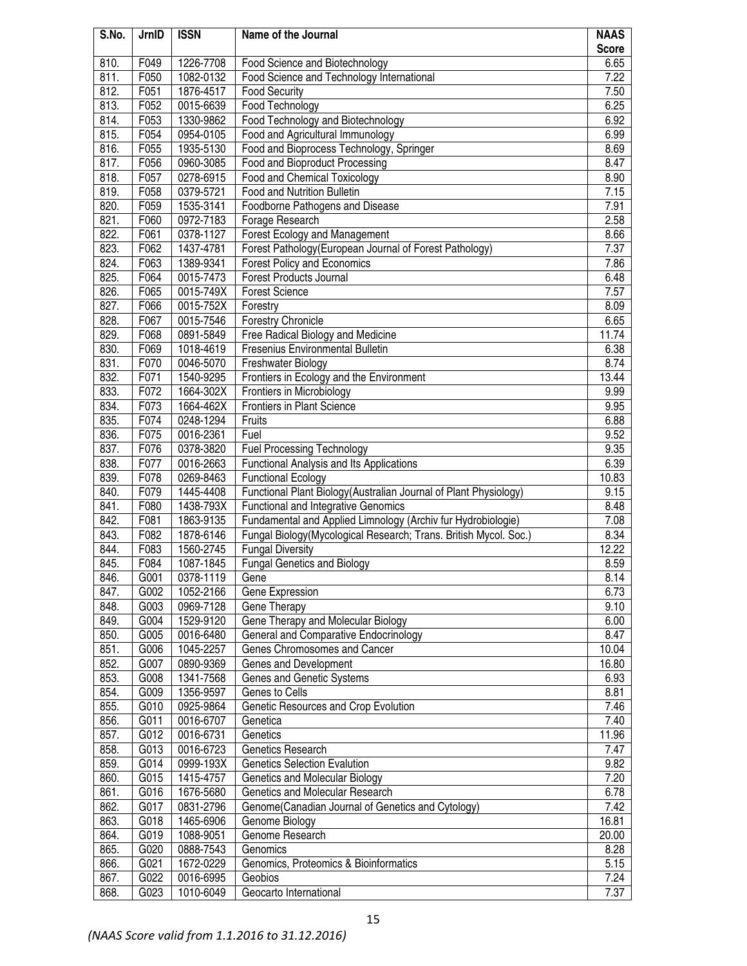| S.No. | JrnID              | <b>ISSN</b> | Name of the Journal                                               | <b>NAAS</b>  |
|-------|--------------------|-------------|-------------------------------------------------------------------|--------------|
|       |                    |             |                                                                   | <b>Score</b> |
| 810.  | F049               | 1226-7708   | Food Science and Biotechnology                                    | 6.65         |
| 811.  | F050               | 1082-0132   | Food Science and Technology International                         | 7.22         |
| 812.  | F051               | 1876-4517   | <b>Food Security</b>                                              | 7.50         |
| 813.  | F052               | 0015-6639   | Food Technology                                                   | 6.25         |
| 814.  | F053               | 1330-9862   | Food Technology and Biotechnology                                 | 6.92         |
| 815.  | F054               | 0954-0105   | Food and Agricultural Immunology                                  | 6.99         |
| 816.  | F055               | 1935-5130   | Food and Bioprocess Technology, Springer                          | 8.69         |
| 817.  | F056               | 0960-3085   | Food and Bioproduct Processing                                    | 8.47         |
| 818.  | F057               | 0278-6915   | Food and Chemical Toxicology                                      | 8.90         |
| 819.  | F058               | 0379-5721   | Food and Nutrition Bulletin                                       | 7.15         |
| 820.  | F059               | 1535-3141   | Foodborne Pathogens and Disease                                   | 7.91         |
| 821.  | F060               | 0972-7183   | Forage Research                                                   | 2.58         |
| 822.  | F061               | 0378-1127   | Forest Ecology and Management                                     | 8.66         |
| 823.  | F062               | 1437-4781   | Forest Pathology (European Journal of Forest Pathology)           | 7.37         |
| 824.  | F063               | 1389-9341   | Forest Policy and Economics                                       | 7.86         |
| 825.  | F064               | 0015-7473   | <b>Forest Products Journal</b>                                    | 6.48         |
| 826.  | F065               | 0015-749X   | <b>Forest Science</b>                                             | 7.57         |
| 827.  | F066               | 0015-752X   | Forestry                                                          | 8.09         |
| 828.  | F067               | 0015-7546   | <b>Forestry Chronicle</b>                                         | 6.65         |
| 829.  | F068               | 0891-5849   | Free Radical Biology and Medicine                                 | 11.74        |
| 830.  | F069               | 1018-4619   | Fresenius Environmental Bulletin                                  | 6.38         |
| 831.  | F070               | 0046-5070   | Freshwater Biology                                                | 8.74         |
| 832.  | F071               | 1540-9295   | Frontiers in Ecology and the Environment                          | 13.44        |
| 833.  | F072               | 1664-302X   | Frontiers in Microbiology                                         | 9.99         |
| 834.  | F073               | 1664-462X   | <b>Frontiers in Plant Science</b>                                 | 9.95         |
| 835.  | F074               | 0248-1294   | Fruits                                                            | 6.88         |
| 836.  | F075               | 0016-2361   | Fuel                                                              | 9.52         |
| 837.  | F076               | 0378-3820   | <b>Fuel Processing Technology</b>                                 | 9.35         |
| 838.  | F077               | 0016-2663   | Functional Analysis and Its Applications                          | 6.39         |
| 839.  | F078               | 0269-8463   | <b>Functional Ecology</b>                                         | 10.83        |
| 840.  | $\overline{F0}$ 79 | 1445-4408   | Functional Plant Biology (Australian Journal of Plant Physiology) | 9.15         |
| 841.  | F080               | 1438-793X   | <b>Functional and Integrative Genomics</b>                        | 8.48         |
| 842.  | F081               | 1863-9135   | Fundamental and Applied Limnology (Archiv fur Hydrobiologie)      | 7.08         |
| 843.  | F082               | 1878-6146   | Fungal Biology(Mycological Research; Trans. British Mycol. Soc.)  | 8.34         |
| 844.  | F083               | 1560-2745   | <b>Fungal Diversity</b>                                           | 12.22        |
| 845.  | F084               | 1087-1845   | <b>Fungal Genetics and Biology</b>                                | 8.59         |
| 846.  | G001               | 0378-1119   | Gene                                                              | 8.14         |
| 847.  | G002               | 1052-2166   | Gene Expression                                                   | 6.73         |
| 848.  | G003               | 0969-7128   | Gene Therapy                                                      | 9.10         |
| 849.  | G004               | 1529-9120   | Gene Therapy and Molecular Biology                                | 6.00         |
| 850.  | G005               | 0016-6480   | General and Comparative Endocrinology                             | 8.47         |
| 851.  | G006               | 1045-2257   | Genes Chromosomes and Cancer                                      | 10.04        |
| 852.  | G007               | 0890-9369   | Genes and Development                                             | 16.80        |
| 853.  | G008               | 1341-7568   | Genes and Genetic Systems                                         | 6.93         |
| 854.  | G009               | 1356-9597   | Genes to Cells                                                    | 8.81         |
| 855.  | G010               | 0925-9864   | Genetic Resources and Crop Evolution                              | 7.46         |
| 856.  | G011               | 0016-6707   | Genetica                                                          | 7.40         |
| 857.  | G012               | 0016-6731   | Genetics                                                          | 11.96        |
| 858.  | G013               | 0016-6723   | Genetics Research                                                 | 7.47         |
| 859.  | G014               | 0999-193X   | <b>Genetics Selection Evalution</b>                               | 9.82         |
| 860.  | G015               | 1415-4757   | Genetics and Molecular Biology                                    | 7.20         |
| 861.  | G016               | 1676-5680   | Genetics and Molecular Research                                   | 6.78         |
| 862.  | G017               | 0831-2796   | Genome(Canadian Journal of Genetics and Cytology)                 | 7.42         |
| 863.  | G018               | 1465-6906   | Genome Biology                                                    | 16.81        |
| 864.  | G019               | 1088-9051   | Genome Research                                                   | 20.00        |
| 865.  | G020               | 0888-7543   | Genomics                                                          | 8.28         |
| 866.  | G021               | 1672-0229   | Genomics, Proteomics & Bioinformatics                             | 5.15         |
| 867.  | G022               | 0016-6995   | Geobios                                                           | 7.24         |
| 868.  | G023               | 1010-6049   | Geocarto International                                            | 7.37         |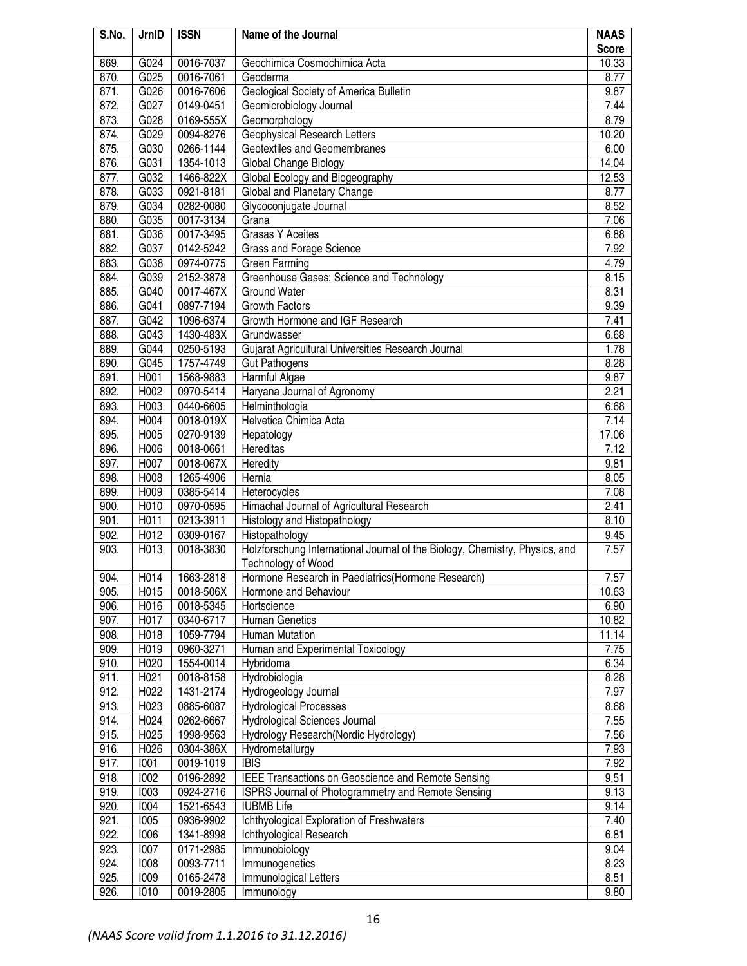| S.No. | JrnID | <b>ISSN</b> | Name of the Journal                                                         | <b>NAAS</b>  |
|-------|-------|-------------|-----------------------------------------------------------------------------|--------------|
|       |       |             |                                                                             | <b>Score</b> |
| 869.  | G024  | 0016-7037   | Geochimica Cosmochimica Acta                                                | 10.33        |
| 870.  | G025  | 0016-7061   | Geoderma                                                                    | 8.77         |
| 871.  | G026  | 0016-7606   | Geological Society of America Bulletin                                      | 9.87         |
| 872.  | G027  | 0149-0451   | Geomicrobiology Journal                                                     | 7.44         |
| 873.  | G028  | 0169-555X   | Geomorphology                                                               | 8.79         |
| 874.  | G029  | 0094-8276   | Geophysical Research Letters                                                | 10.20        |
| 875.  | G030  | 0266-1144   | Geotextiles and Geomembranes                                                | 6.00         |
| 876.  | G031  | 1354-1013   | Global Change Biology                                                       | 14.04        |
| 877.  | G032  | 1466-822X   | Global Ecology and Biogeography                                             | 12.53        |
| 878.  | G033  | 0921-8181   | Global and Planetary Change                                                 | 8.77         |
| 879.  | G034  | 0282-0080   | Glycoconjugate Journal                                                      | 8.52         |
| 880.  | G035  | 0017-3134   | Grana                                                                       | 7.06         |
| 881.  | G036  | 0017-3495   | Grasas Y Aceites                                                            | 6.88         |
| 882.  | G037  | 0142-5242   | Grass and Forage Science                                                    | 7.92         |
| 883.  | G038  | 0974-0775   | Green Farming                                                               | 4.79         |
| 884.  | G039  | 2152-3878   | Greenhouse Gases: Science and Technology                                    | 8.15         |
| 885.  | G040  | 0017-467X   | <b>Ground Water</b>                                                         | 8.31         |
| 886.  | G041  | 0897-7194   | <b>Growth Factors</b>                                                       | 9.39         |
| 887.  | G042  | 1096-6374   | Growth Hormone and IGF Research                                             | 7.41         |
| 888.  | G043  | 1430-483X   | Grundwasser                                                                 | 6.68         |
| 889.  | G044  | 0250-5193   | Gujarat Agricultural Universities Research Journal                          | 1.78         |
| 890.  | G045  | 1757-4749   | <b>Gut Pathogens</b>                                                        | 8.28         |
| 891.  | H001  | 1568-9883   | Harmful Algae                                                               | 9.87         |
| 892.  | H002  | 0970-5414   | Haryana Journal of Agronomy                                                 | 2.21         |
| 893.  | H003  | 0440-6605   | Helminthologia                                                              | 6.68         |
| 894.  | H004  | 0018-019X   | Helvetica Chimica Acta                                                      | 7.14         |
| 895.  | H005  | 0270-9139   | Hepatology                                                                  | 17.06        |
| 896.  | H006  | 0018-0661   | Hereditas                                                                   | 7.12         |
| 897.  | H007  | 0018-067X   | Heredity                                                                    | 9.81         |
| 898.  | H008  | 1265-4906   | Hernia                                                                      | 8.05         |
| 899.  | H009  | 0385-5414   | Heterocycles                                                                | 7.08         |
| 900.  | H010  | 0970-0595   | Himachal Journal of Agricultural Research                                   | 2.41         |
| 901.  | H011  | 0213-3911   | Histology and Histopathology                                                | 8.10         |
| 902.  | H012  | 0309-0167   | Histopathology                                                              | 9.45         |
| 903.  | H013  | 0018-3830   | Holzforschung International Journal of the Biology, Chemistry, Physics, and | 7.57         |
|       |       |             | Technology of Wood                                                          |              |
| 904.  | H014  | 1663-2818   | Hormone Research in Paediatrics (Hormone Research)                          | 7.57         |
| 905.  | H015  | 0018-506X   | Hormone and Behaviour                                                       | 10.63        |
| 906.  | H016  | 0018-5345   | Hortscience                                                                 | 6.90         |
| 907.  | H017  | 0340-6717   | <b>Human Genetics</b>                                                       | 10.82        |
| 908.  | H018  | 1059-7794   | <b>Human Mutation</b>                                                       | 11.14        |
| 909.  | H019  | 0960-3271   | Human and Experimental Toxicology                                           | 7.75         |
| 910.  | H020  | 1554-0014   | Hybridoma                                                                   | 6.34         |
| 911.  | H021  | 0018-8158   | Hydrobiologia                                                               | 8.28         |
| 912.  | H022  | 1431-2174   | Hydrogeology Journal                                                        | 7.97         |
| 913.  | H023  | 0885-6087   | <b>Hydrological Processes</b>                                               | 8.68         |
| 914.  | H024  | 0262-6667   | Hydrological Sciences Journal                                               | 7.55         |
| 915.  | H025  | 1998-9563   | Hydrology Research (Nordic Hydrology)                                       | 7.56         |
| 916.  | H026  | 0304-386X   | Hydrometallurgy                                                             | 7.93         |
| 917.  | 1001  | 0019-1019   | <b>IBIS</b>                                                                 | 7.92         |
| 918.  | 1002  | 0196-2892   | IEEE Transactions on Geoscience and Remote Sensing                          | 9.51         |
| 919.  | 1003  | 0924-2716   | ISPRS Journal of Photogrammetry and Remote Sensing                          | 9.13         |
| 920.  | 1004  | 1521-6543   | <b>IUBMB Life</b>                                                           | 9.14         |
| 921.  | 1005  | 0936-9902   | Ichthyological Exploration of Freshwaters                                   | 7.40         |
| 922.  | 1006  | 1341-8998   | Ichthyological Research                                                     | 6.81         |
| 923.  | 1007  | 0171-2985   | Immunobiology                                                               | 9.04         |
| 924.  | 1008  | 0093-7711   | Immunogenetics                                                              | 8.23         |
| 925.  | 1009  | 0165-2478   | Immunological Letters                                                       | 8.51         |
| 926.  | 1010  | 0019-2805   | Immunology                                                                  | 9.80         |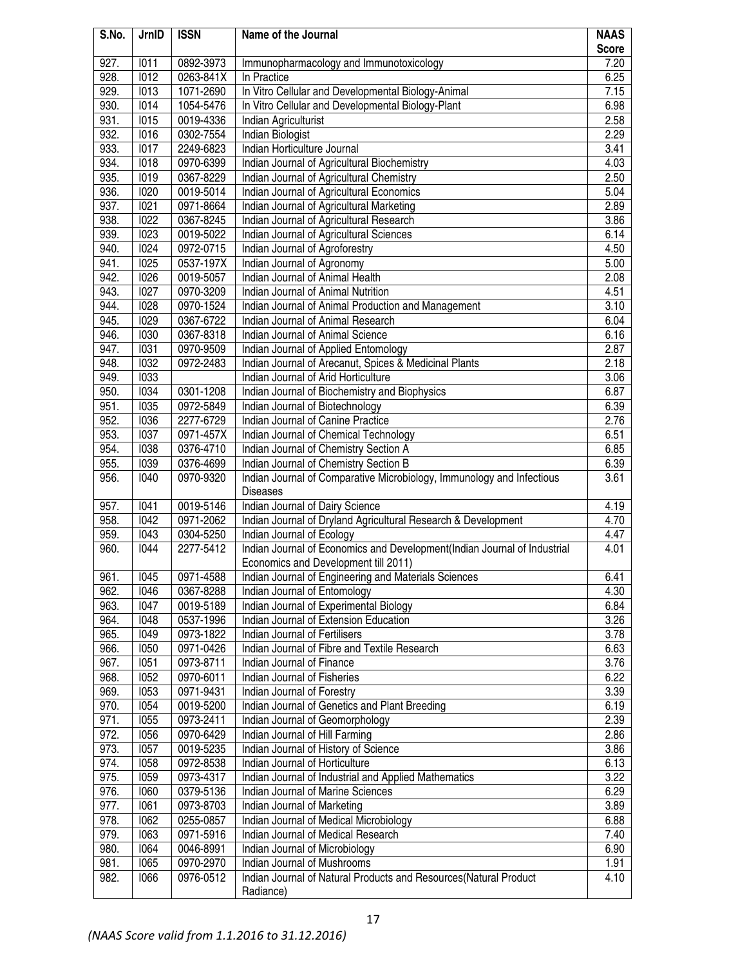| S.No.        | JrnID        | <b>ISSN</b> | Name of the Journal                                                              | <b>NAAS</b>  |
|--------------|--------------|-------------|----------------------------------------------------------------------------------|--------------|
|              |              |             |                                                                                  | <b>Score</b> |
| 927.         | 1011         | 0892-3973   | Immunopharmacology and Immunotoxicology                                          | 7.20         |
| 928.         | 1012         | 0263-841X   | In Practice                                                                      | 6.25         |
| 929.         | 1013         | 1071-2690   | In Vitro Cellular and Developmental Biology-Animal                               | 7.15         |
| 930.         | 1014         | 1054-5476   | In Vitro Cellular and Developmental Biology-Plant                                | 6.98         |
| 931.         | 1015         | 0019-4336   | Indian Agriculturist                                                             | 2.58         |
| 932.         | 1016         | 0302-7554   | Indian Biologist                                                                 | 2.29         |
| 933.         | 1017         | 2249-6823   | Indian Horticulture Journal                                                      | 3.41         |
| 934.         | 1018         | 0970-6399   | Indian Journal of Agricultural Biochemistry                                      | 4.03         |
| 935.         | 1019         | 0367-8229   | Indian Journal of Agricultural Chemistry                                         | 2.50         |
| 936.         | 1020         | 0019-5014   | Indian Journal of Agricultural Economics                                         | 5.04         |
| 937.         | 1021         | 0971-8664   | Indian Journal of Agricultural Marketing                                         | 2.89         |
| 938.         | 1022         | 0367-8245   | Indian Journal of Agricultural Research                                          | 3.86         |
| 939.         | 1023         | 0019-5022   | Indian Journal of Agricultural Sciences                                          | 6.14         |
| 940.         | 1024         | 0972-0715   | Indian Journal of Agroforestry                                                   | 4.50         |
| 941.         | <b>1025</b>  | 0537-197X   | Indian Journal of Agronomy                                                       | 5.00         |
| 942.         | 1026         | 0019-5057   | Indian Journal of Animal Health                                                  | 2.08         |
| 943.         | 1027         | 0970-3209   | Indian Journal of Animal Nutrition                                               | 4.51         |
| 944.         | 1028         | 0970-1524   | Indian Journal of Animal Production and Management                               | 3.10         |
| 945.         | 1029         | 0367-6722   | Indian Journal of Animal Research                                                | 6.04         |
| 946.<br>947. | 1030<br>1031 | 0367-8318   | Indian Journal of Animal Science                                                 | 6.16<br>2.87 |
|              |              | 0970-9509   | Indian Journal of Applied Entomology                                             |              |
| 948.<br>949. | 1032         | 0972-2483   | Indian Journal of Arecanut, Spices & Medicinal Plants                            | 2.18         |
| 950.         | 1033<br>1034 | 0301-1208   | Indian Journal of Arid Horticulture                                              | 3.06<br>6.87 |
| 951.         | 1035         | 0972-5849   | Indian Journal of Biochemistry and Biophysics<br>Indian Journal of Biotechnology | 6.39         |
| 952.         | 1036         | 2277-6729   | Indian Journal of Canine Practice                                                | 2.76         |
| 953.         | 1037         | 0971-457X   | Indian Journal of Chemical Technology                                            | 6.51         |
| 954.         | 1038         | 0376-4710   | Indian Journal of Chemistry Section A                                            | 6.85         |
| 955.         | 1039         | 0376-4699   | Indian Journal of Chemistry Section B                                            | 6.39         |
| 956.         | 1040         | 0970-9320   | Indian Journal of Comparative Microbiology, Immunology and Infectious            | 3.61         |
|              |              |             | <b>Diseases</b>                                                                  |              |
| 957.         | 1041         | 0019-5146   | Indian Journal of Dairy Science                                                  | 4.19         |
| 958.         | 1042         | 0971-2062   | Indian Journal of Dryland Agricultural Research & Development                    | 4.70         |
| 959.         | 1043         | 0304-5250   | Indian Journal of Ecology                                                        | 4.47         |
| 960.         | 1044         | 2277-5412   | Indian Journal of Economics and Development(Indian Journal of Industrial         | 4.01         |
|              |              |             | Economics and Development till 2011)                                             |              |
| 961.         | 1045         | 0971-4588   | Indian Journal of Engineering and Materials Sciences                             | 6.41         |
| 962.         | 1046         | 0367-8288   | Indian Journal of Entomology                                                     | 4.30         |
| 963.         | 1047         | 0019-5189   | Indian Journal of Experimental Biology                                           | 6.84         |
| 964.         | 1048         | 0537-1996   | Indian Journal of Extension Education                                            | 3.26         |
| 965.         | 1049         | 0973-1822   | Indian Journal of Fertilisers                                                    | 3.78         |
| 966.         | <b>1050</b>  | 0971-0426   | Indian Journal of Fibre and Textile Research                                     | 6.63         |
| 967.         | <b>1051</b>  | 0973-8711   | Indian Journal of Finance                                                        | 3.76         |
| 968.         | 1052         | 0970-6011   | Indian Journal of Fisheries                                                      | 6.22         |
| 969.         | 1053         | 0971-9431   | Indian Journal of Forestry                                                       | 3.39         |
| 970.         | 1054         | 0019-5200   | Indian Journal of Genetics and Plant Breeding                                    | 6.19         |
| 971.         | <b>1055</b>  | 0973-2411   | Indian Journal of Geomorphology                                                  | 2.39         |
| 972.         | 1056         | 0970-6429   | Indian Journal of Hill Farming                                                   | 2.86         |
| 973.         | 1057         | 0019-5235   | Indian Journal of History of Science                                             | 3.86         |
| 974.         | 1058         | 0972-8538   | Indian Journal of Horticulture                                                   | 6.13         |
| 975.         | 1059         | 0973-4317   | Indian Journal of Industrial and Applied Mathematics                             | 3.22         |
| 976.         | 1060         | 0379-5136   | Indian Journal of Marine Sciences                                                | 6.29         |
| 977.         | 1061         | 0973-8703   | Indian Journal of Marketing                                                      | 3.89         |
| 978.         | 1062         | 0255-0857   | Indian Journal of Medical Microbiology                                           | 6.88         |
| 979.         | 1063         | 0971-5916   | Indian Journal of Medical Research                                               | 7.40         |
| 980.         | 1064         | 0046-8991   | Indian Journal of Microbiology                                                   | 6.90         |
| 981.         | <b>1065</b>  | 0970-2970   | Indian Journal of Mushrooms                                                      | 1.91         |
| 982.         | 1066         | 0976-0512   | Indian Journal of Natural Products and Resources(Natural Product                 | 4.10         |
|              |              |             | Radiance)                                                                        |              |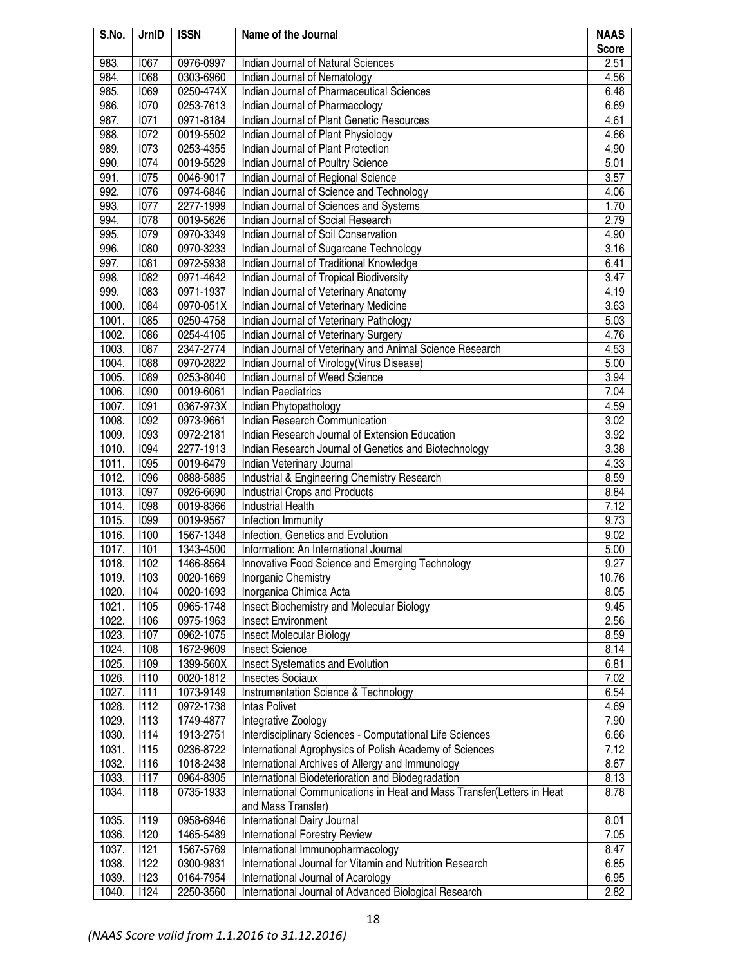| S.No. | JrnID             | <b>ISSN</b> | Name of the Journal                                                    | <b>NAAS</b>  |
|-------|-------------------|-------------|------------------------------------------------------------------------|--------------|
|       |                   |             |                                                                        | <b>Score</b> |
| 983.  | 1067              | 0976-0997   | Indian Journal of Natural Sciences                                     | 2.51         |
| 984.  | 1068              | 0303-6960   | Indian Journal of Nematology                                           | 4.56         |
| 985.  | 1069              | 0250-474X   | Indian Journal of Pharmaceutical Sciences                              | 6.48         |
| 986.  | 1070              | 0253-7613   | Indian Journal of Pharmacology                                         | 6.69         |
| 987.  | 1071              | 0971-8184   | Indian Journal of Plant Genetic Resources                              | 4.61         |
| 988.  | 1072              | 0019-5502   | Indian Journal of Plant Physiology                                     | 4.66         |
| 989.  | 1073              | 0253-4355   | Indian Journal of Plant Protection                                     | 4.90         |
| 990.  | 1074              | 0019-5529   | Indian Journal of Poultry Science                                      | 5.01         |
| 991.  | <b>1075</b>       | 0046-9017   | Indian Journal of Regional Science                                     | 3.57         |
| 992.  | $\overline{1076}$ | 0974-6846   | Indian Journal of Science and Technology                               | 4.06         |
| 993.  | 1077              | 2277-1999   | Indian Journal of Sciences and Systems                                 | 1.70         |
| 994.  | 1078              | 0019-5626   | Indian Journal of Social Research                                      | 2.79         |
| 995.  | 1079              | 0970-3349   | Indian Journal of Soil Conservation                                    | 4.90         |
| 996.  | 1080              | 0970-3233   | Indian Journal of Sugarcane Technology                                 | 3.16         |
| 997.  | 1081              | 0972-5938   | Indian Journal of Traditional Knowledge                                | 6.41         |
| 998.  | 1082              | 0971-4642   | Indian Journal of Tropical Biodiversity                                | 3.47         |
| 999.  | 1083              | 0971-1937   | Indian Journal of Veterinary Anatomy                                   | 4.19         |
| 1000. | 1084              | 0970-051X   | Indian Journal of Veterinary Medicine                                  | 3.63         |
| 1001. | 1085              | 0250-4758   | Indian Journal of Veterinary Pathology                                 | 5.03         |
| 1002. | 1086              | 0254-4105   | Indian Journal of Veterinary Surgery                                   | 4.76         |
| 1003. | 1087              | 2347-2774   | Indian Journal of Veterinary and Animal Science Research               | 4.53         |
| 1004. | 1088              | 0970-2822   | Indian Journal of Virology (Virus Disease)                             | 5.00         |
| 1005. | 1089              | 0253-8040   | Indian Journal of Weed Science                                         | 3.94         |
| 1006. | 1090              | 0019-6061   | <b>Indian Paediatrics</b>                                              | 7.04         |
| 1007. | 1091              | 0367-973X   | Indian Phytopathology                                                  | 4.59         |
| 1008. | 1092              | 0973-9661   | Indian Research Communication                                          | 3.02         |
| 1009. | 1093              | 0972-2181   | Indian Research Journal of Extension Education                         | 3.92         |
| 1010. | 1094              | 2277-1913   | Indian Research Journal of Genetics and Biotechnology                  | 3.38         |
| 1011. | <b>1095</b>       | 0019-6479   | Indian Veterinary Journal                                              | 4.33         |
| 1012. | 1096              | 0888-5885   | Industrial & Engineering Chemistry Research                            | 8.59         |
| 1013. | 1097              | 0926-6690   | <b>Industrial Crops and Products</b>                                   | 8.84         |
| 1014. | 1098              | 0019-8366   | <b>Industrial Health</b>                                               | 7.12         |
| 1015. | 1099              | 0019-9567   | Infection Immunity                                                     | 9.73         |
| 1016. | 1100              | 1567-1348   | Infection, Genetics and Evolution                                      | 9.02         |
| 1017. | 1101              | 1343-4500   | Information: An International Journal                                  | 5.00         |
| 1018. | 1102              | 1466-8564   | Innovative Food Science and Emerging Technology                        | 9.27         |
| 1019. | 1103              | 0020-1669   | Inorganic Chemistry                                                    | 10.76        |
| 1020. | 1104              | 0020-1693   | Inorganica Chimica Acta                                                | 8.05         |
| 1021. | <b>I105</b>       | 0965-1748   | Insect Biochemistry and Molecular Biology                              | 9.45         |
| 1022. | 1106              | 0975-1963   | <b>Insect Environment</b>                                              | 2.56         |
| 1023. | <b>I107</b>       | 0962-1075   | Insect Molecular Biology                                               | 8.59         |
| 1024. | 1108              | 1672-9609   | <b>Insect Science</b>                                                  | 8.14         |
| 1025. | 1109              | 1399-560X   | Insect Systematics and Evolution                                       | 6.81         |
| 1026. | 1110              | 0020-1812   | <b>Insectes Sociaux</b>                                                | 7.02         |
| 1027. | 1111              | 1073-9149   | <b>Instrumentation Science &amp; Technology</b>                        | 6.54         |
| 1028. | 1112              | 0972-1738   | <b>Intas Polivet</b>                                                   | 4.69         |
| 1029. | 1113              | 1749-4877   | Integrative Zoology                                                    | 7.90         |
| 1030. | 1114              | 1913-2751   | Interdisciplinary Sciences - Computational Life Sciences               | 6.66         |
| 1031. | <b>I115</b>       | 0236-8722   | International Agrophysics of Polish Academy of Sciences                | 7.12         |
| 1032. | 1116              | 1018-2438   | International Archives of Allergy and Immunology                       | 8.67         |
| 1033. | 1117              | 0964-8305   | International Biodeterioration and Biodegradation                      | 8.13         |
| 1034. | 1118              | 0735-1933   | International Communications in Heat and Mass Transfer(Letters in Heat | 8.78         |
|       |                   |             | and Mass Transfer)                                                     |              |
| 1035. | 1119              | 0958-6946   | International Dairy Journal                                            | 8.01         |
| 1036. | 1120              | 1465-5489   | <b>International Forestry Review</b>                                   | 7.05         |
| 1037. | 1121              | 1567-5769   | International Immunopharmacology                                       | 8.47         |
| 1038. | 1122              | 0300-9831   | International Journal for Vitamin and Nutrition Research               | 6.85         |
| 1039. | 1123              | 0164-7954   | International Journal of Acarology                                     | 6.95         |
| 1040. | 1124              | 2250-3560   | International Journal of Advanced Biological Research                  | 2.82         |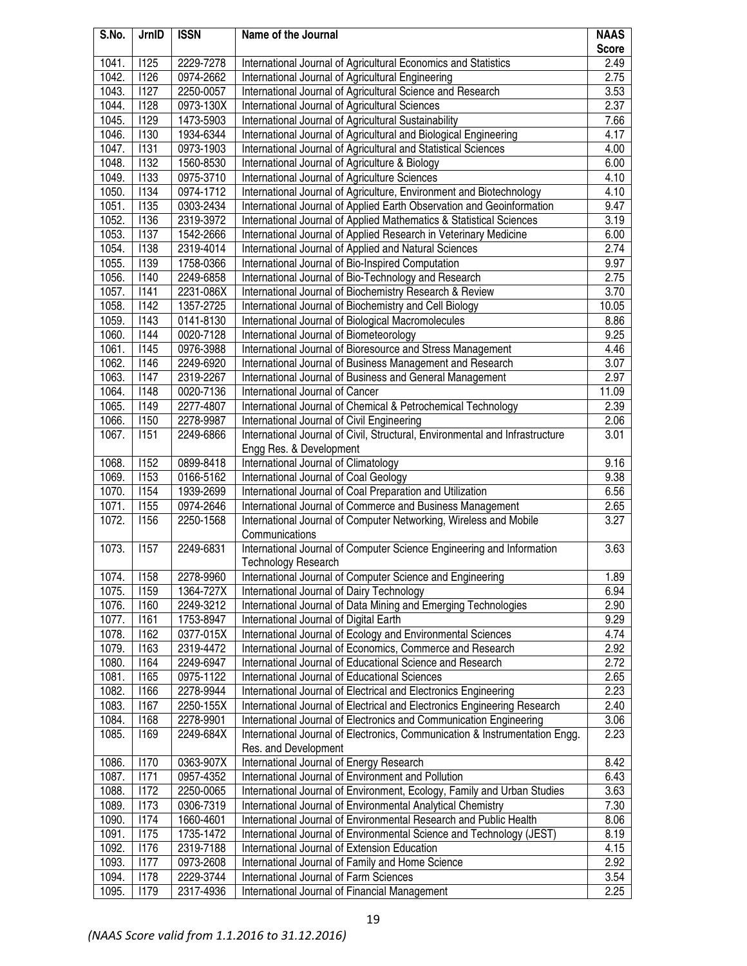| S.No.          | JrnID               | <b>ISSN</b>            | Name of the Journal                                                                                             | <b>NAAS</b>  |
|----------------|---------------------|------------------------|-----------------------------------------------------------------------------------------------------------------|--------------|
|                |                     |                        |                                                                                                                 | <b>Score</b> |
| 1041.          | <b>I125</b>         | 2229-7278              | International Journal of Agricultural Economics and Statistics                                                  | 2.49         |
| 1042.<br>1043. | <b>I126</b><br>1127 | 0974-2662<br>2250-0057 | International Journal of Agricultural Engineering<br>International Journal of Agricultural Science and Research | 2.75<br>3.53 |
| 1044.          | 1128                | 0973-130X              | International Journal of Agricultural Sciences                                                                  | 2.37         |
| 1045.          | 1129                | 1473-5903              | International Journal of Agricultural Sustainability                                                            | 7.66         |
| 1046.          | 1130                | 1934-6344              | International Journal of Agricultural and Biological Engineering                                                | 4.17         |
| 1047.          | 1131                | 0973-1903              | International Journal of Agricultural and Statistical Sciences                                                  | 4.00         |
| 1048.          | <b>I132</b>         | 1560-8530              | International Journal of Agriculture & Biology                                                                  | 6.00         |
| 1049.          | 1133                | 0975-3710              | International Journal of Agriculture Sciences                                                                   | 4.10         |
| 1050.          | 1134                | 0974-1712              | International Journal of Agriculture, Environment and Biotechnology                                             | 4.10         |
| 1051.          | 1135                | 0303-2434              | International Journal of Applied Earth Observation and Geoinformation                                           | 9.47         |
| 1052.          | 1136                | 2319-3972              | International Journal of Applied Mathematics & Statistical Sciences                                             | 3.19         |
| 1053.          | 1137                | 1542-2666              | International Journal of Applied Research in Veterinary Medicine                                                | 6.00         |
| 1054.          | 1138                | 2319-4014              | International Journal of Applied and Natural Sciences                                                           | 2.74         |
| 1055.          | 1139                | 1758-0366              | International Journal of Bio-Inspired Computation                                                               | 9.97         |
| 1056.          | 1140                | 2249-6858              | International Journal of Bio-Technology and Research                                                            | 2.75         |
| 1057.          | 7141                | 2231-086X              | International Journal of Biochemistry Research & Review                                                         | 3.70         |
| 1058.          | <b>I142</b>         | 1357-2725              | International Journal of Biochemistry and Cell Biology                                                          | 10.05        |
| 1059.          | <b>I143</b>         | 0141-8130              | International Journal of Biological Macromolecules                                                              | 8.86         |
| 1060.          | 1144                | 0020-7128              | International Journal of Biometeorology                                                                         | 9.25         |
| 1061.          | <b>I145</b>         | 0976-3988              | International Journal of Bioresource and Stress Management                                                      | 4.46         |
| 1062.          | <b>I146</b>         | 2249-6920              | International Journal of Business Management and Research                                                       | 3.07         |
| 1063.          | <b>I147</b>         | 2319-2267              | International Journal of Business and General Management                                                        | 2.97         |
| 1064.          | 1148                | 0020-7136              | International Journal of Cancer                                                                                 | 11.09        |
| 1065.          | 1149                | 2277-4807              | International Journal of Chemical & Petrochemical Technology                                                    | 2.39         |
| 1066.          | 1150                | 2278-9987              | International Journal of Civil Engineering                                                                      | 2.06         |
| 1067.          | 1151                | 2249-6866              | International Journal of Civil, Structural, Environmental and Infrastructure                                    | 3.01         |
|                |                     |                        | Engg Res. & Development                                                                                         |              |
| 1068.          | <b>I152</b>         | 0899-8418              | International Journal of Climatology                                                                            | 9.16         |
| 1069.          | 1153                | 0166-5162              | International Journal of Coal Geology                                                                           | 9.38         |
| 1070.          | 1154                | 1939-2699              | International Journal of Coal Preparation and Utilization                                                       | 6.56         |
| 1071.          | <b>I155</b>         | 0974-2646              | International Journal of Commerce and Business Management                                                       | 2.65         |
| 1072.          | 1156                | 2250-1568              | International Journal of Computer Networking, Wireless and Mobile                                               | 3.27         |
|                |                     |                        | Communications                                                                                                  |              |
| 1073.          | <b>I157</b>         | 2249-6831              | International Journal of Computer Science Engineering and Information                                           | 3.63         |
|                |                     |                        | <b>Technology Research</b>                                                                                      |              |
| 1074.          | 1158                | 2278-9960              | International Journal of Computer Science and Engineering                                                       | 1.89         |
| 1075.          | 1159                | 1364-727X              | International Journal of Dairy Technology                                                                       | 6.94         |
| 1076.          | 1160                | 2249-3212              | International Journal of Data Mining and Emerging Technologies                                                  | 2.90         |
| 1077.          | 1161                | 1753-8947              | International Journal of Digital Earth                                                                          | 9.29         |
| 1078.          | 1162                | 0377-015X              | International Journal of Ecology and Environmental Sciences                                                     | 4.74         |
| 1079.          | 1163                | 2319-4472              | International Journal of Economics, Commerce and Research                                                       | 2.92         |
| 1080.          | 1164                | 2249-6947              | International Journal of Educational Science and Research                                                       | 2.72         |
| 1081.          | 1165                | 0975-1122              | International Journal of Educational Sciences                                                                   | 2.65         |
| 1082.          | 1166                | 2278-9944              | International Journal of Electrical and Electronics Engineering                                                 | 2.23         |
| 1083.          | <b>I167</b>         | 2250-155X              | International Journal of Electrical and Electronics Engineering Research                                        | 2.40         |
| 1084.          | 1168                | 2278-9901              | International Journal of Electronics and Communication Engineering                                              | 3.06         |
| 1085.          | 1169                | 2249-684X              | International Journal of Electronics, Communication & Instrumentation Engg.                                     | 2.23         |
|                |                     |                        | Res. and Development                                                                                            |              |
| 1086.          | 1170                | 0363-907X              | International Journal of Energy Research                                                                        | 8.42         |
| 1087.          | 1171                | 0957-4352              | International Journal of Environment and Pollution                                                              | 6.43         |
| 1088.          | <b>I172</b>         | 2250-0065              | International Journal of Environment, Ecology, Family and Urban Studies                                         | 3.63         |
| 1089.          | 1173                | 0306-7319              | International Journal of Environmental Analytical Chemistry                                                     | 7.30         |
| 1090.          | 1174                | 1660-4601              | International Journal of Environmental Research and Public Health                                               | 8.06         |
| 1091.          | <b>I175</b>         | 1735-1472              | International Journal of Environmental Science and Technology (JEST)                                            | 8.19         |
| 1092.          | <b>I176</b>         | 2319-7188              | International Journal of Extension Education                                                                    | 4.15         |
| 1093.          | 1177                | 0973-2608              | International Journal of Family and Home Science                                                                | 2.92         |
| 1094.          | 1178                | 2229-3744              | International Journal of Farm Sciences                                                                          | 3.54         |
| 1095.          | <b>I179</b>         | 2317-4936              | International Journal of Financial Management                                                                   | 2.25         |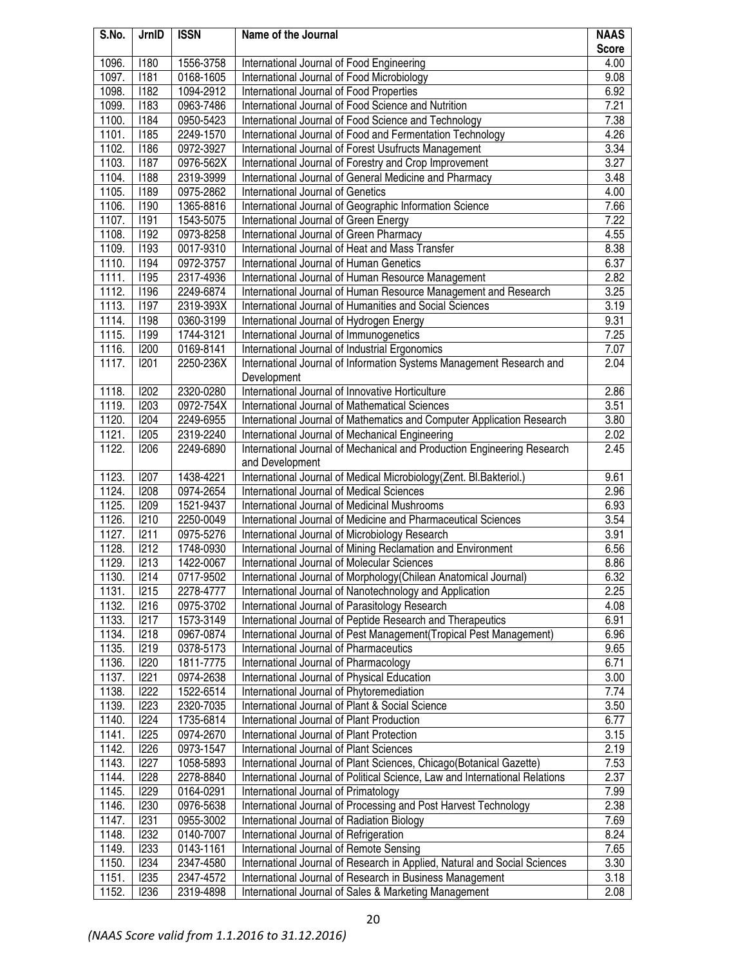| S.No. | JrnID       | <b>ISSN</b> | Name of the Journal                                                         | <b>NAAS</b>  |
|-------|-------------|-------------|-----------------------------------------------------------------------------|--------------|
|       |             |             |                                                                             | <b>Score</b> |
| 1096. | 1180        | 1556-3758   | International Journal of Food Engineering                                   | 4.00         |
| 1097. | 1181        | 0168-1605   | International Journal of Food Microbiology                                  | 9.08         |
| 1098. | 1182        | 1094-2912   | International Journal of Food Properties                                    | 6.92         |
| 1099. | 1183        | 0963-7486   | International Journal of Food Science and Nutrition                         | 7.21         |
| 1100. | 1184        | 0950-5423   | International Journal of Food Science and Technology                        | 7.38         |
| 1101. | <b>1185</b> | 2249-1570   | International Journal of Food and Fermentation Technology                   | 4.26         |
| 1102. | 1186        | 0972-3927   | International Journal of Forest Usufructs Management                        | 3.34         |
| 1103. | <b>I187</b> | 0976-562X   | International Journal of Forestry and Crop Improvement                      | 3.27         |
| 1104. | <b>I188</b> | 2319-3999   | International Journal of General Medicine and Pharmacy                      | 3.48         |
| 1105. | 1189        | 0975-2862   | International Journal of Genetics                                           | 4.00         |
| 1106. | 1190        | 1365-8816   | International Journal of Geographic Information Science                     | 7.66         |
| 1107. | <b>I191</b> | 1543-5075   | International Journal of Green Energy                                       | 7.22         |
| 1108. | 1192        | 0973-8258   | International Journal of Green Pharmacy                                     | 4.55         |
| 1109. | 1193        | 0017-9310   | International Journal of Heat and Mass Transfer                             | 8.38         |
| 1110. | 1194        | 0972-3757   | International Journal of Human Genetics                                     | 6.37         |
| 1111. | 195         | 2317-4936   | International Journal of Human Resource Management                          | 2.82         |
| 1112. | <b>I196</b> | 2249-6874   | International Journal of Human Resource Management and Research             | 3.25         |
| 1113. | <b>I197</b> | 2319-393X   | International Journal of Humanities and Social Sciences                     | 3.19         |
| 1114. | <b>I198</b> | 0360-3199   | International Journal of Hydrogen Energy                                    | 9.31         |
| 1115. | 1199        | 1744-3121   | International Journal of Immunogenetics                                     | 7.25         |
| 1116. | 1200        | 0169-8141   | International Journal of Industrial Ergonomics                              | 7.07         |
| 1117. | 1201        | 2250-236X   | International Journal of Information Systems Management Research and        | 2.04         |
|       |             |             | Development                                                                 |              |
| 1118. | 1202        | 2320-0280   | International Journal of Innovative Horticulture                            | 2.86         |
| 1119. | <b>I203</b> | 0972-754X   | International Journal of Mathematical Sciences                              | 3.51         |
| 1120. | 1204        | 2249-6955   | International Journal of Mathematics and Computer Application Research      | 3.80         |
| 1121. | 1205        | 2319-2240   | International Journal of Mechanical Engineering                             | 2.02         |
| 1122. | 1206        | 2249-6890   | International Journal of Mechanical and Production Engineering Research     | 2.45         |
|       |             |             | and Development                                                             |              |
| 1123. | <b>I207</b> | 1438-4221   | International Journal of Medical Microbiology(Zent. Bl.Bakteriol.)          | 9.61         |
| 1124. | <b>I208</b> | 0974-2654   | International Journal of Medical Sciences                                   | 2.96         |
| 1125. | <b>I209</b> | 1521-9437   | International Journal of Medicinal Mushrooms                                | 6.93         |
| 1126. | 1210        | 2250-0049   | International Journal of Medicine and Pharmaceutical Sciences               | 3.54         |
| 1127. | 1211        | 0975-5276   | International Journal of Microbiology Research                              | 3.91         |
| 1128. | 1212        | 1748-0930   | International Journal of Mining Reclamation and Environment                 | 6.56         |
| 1129. | I213        | 1422-0067   | International Journal of Molecular Sciences                                 | 8.86         |
| 1130. | 1214        | 0717-9502   | International Journal of Morphology (Chilean Anatomical Journal)            | 6.32         |
| 1131. | 1215        | 2278-4777   | International Journal of Nanotechnology and Application                     | 2.25         |
| 1132. | 1216        | 0975-3702   | International Journal of Parasitology Research                              | 4.08         |
| 1133. | 1217        | 1573-3149   | International Journal of Peptide Research and Therapeutics                  | 6.91         |
| 1134. | 1218        | 0967-0874   | International Journal of Pest Management(Tropical Pest Management)          | 6.96         |
| 1135. | 1219        | 0378-5173   | International Journal of Pharmaceutics                                      | 9.65         |
| 1136. | 1220        | 1811-7775   | International Journal of Pharmacology                                       | 6.71         |
| 1137. | 1221        | 0974-2638   | International Journal of Physical Education                                 | 3.00         |
| 1138. | 1222        | 1522-6514   | International Journal of Phytoremediation                                   | 7.74         |
| 1139. | 1223        | 2320-7035   | International Journal of Plant & Social Science                             | 3.50         |
| 1140. | 1224        | 1735-6814   | International Journal of Plant Production                                   | 6.77         |
| 1141. | 1225        | 0974-2670   | International Journal of Plant Protection                                   | 3.15         |
| 1142. | 1226        | 0973-1547   | International Journal of Plant Sciences                                     | 2.19         |
| 1143. | 1227        | 1058-5893   | International Journal of Plant Sciences, Chicago(Botanical Gazette)         | 7.53         |
| 1144. | 1228        | 2278-8840   | International Journal of Political Science, Law and International Relations | 2.37         |
| 1145. | 1229        | 0164-0291   | International Journal of Primatology                                        | 7.99         |
| 1146. | 1230        | 0976-5638   | International Journal of Processing and Post Harvest Technology             | 2.38         |
| 1147. | 1231        | 0955-3002   | International Journal of Radiation Biology                                  | 7.69         |
| 1148. | 1232        | 0140-7007   | International Journal of Refrigeration                                      | 8.24         |
| 1149. | 1233        | 0143-1161   | International Journal of Remote Sensing                                     | 7.65         |
| 1150. | 1234        | 2347-4580   | International Journal of Research in Applied, Natural and Social Sciences   | 3.30         |
| 1151. | 1235        | 2347-4572   | International Journal of Research in Business Management                    | 3.18         |
| 1152. | 1236        | 2319-4898   | International Journal of Sales & Marketing Management                       | 2.08         |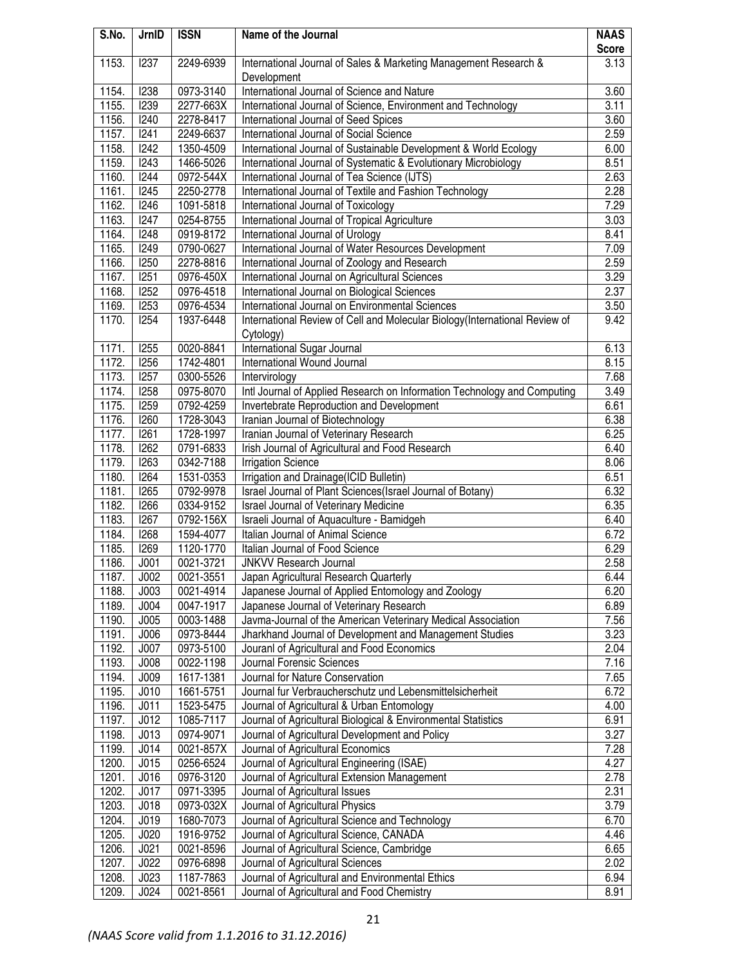| S.No. | JrnID            | <b>ISSN</b> | Name of the Journal                                                         | <b>NAAS</b>  |
|-------|------------------|-------------|-----------------------------------------------------------------------------|--------------|
|       |                  |             |                                                                             | <b>Score</b> |
| 1153. | 1237             | 2249-6939   | International Journal of Sales & Marketing Management Research &            | 3.13         |
|       |                  |             | Development                                                                 |              |
| 1154. | 1238             | 0973-3140   | International Journal of Science and Nature                                 | 3.60         |
| 1155. | 1239             | 2277-663X   | International Journal of Science, Environment and Technology                | 3.11         |
| 1156. | 1240             | 2278-8417   | International Journal of Seed Spices                                        | 3.60         |
| 1157. | 1241             | 2249-6637   | International Journal of Social Science                                     | 2.59         |
| 1158. | 1242             | 1350-4509   | International Journal of Sustainable Development & World Ecology            | 6.00         |
| 1159. | I243             | 1466-5026   | International Journal of Systematic & Evolutionary Microbiology             | 8.51         |
| 1160. | 1244             | 0972-544X   | International Journal of Tea Science (IJTS)                                 | 2.63         |
| 1161. | 1245             | 2250-2778   | International Journal of Textile and Fashion Technology                     | 2.28         |
| 1162. | 1246             | 1091-5818   | International Journal of Toxicology                                         | 7.29         |
| 1163. | 1247             | 0254-8755   | International Journal of Tropical Agriculture                               | 3.03         |
| 1164. | 1248             | 0919-8172   | International Journal of Urology                                            | 8.41         |
| 1165. | 1249             | 0790-0627   | International Journal of Water Resources Development                        | 7.09         |
| 1166. | 1250             | 2278-8816   | International Journal of Zoology and Research                               | 2.59         |
| 1167. | 1251             | 0976-450X   | International Journal on Agricultural Sciences                              | 3.29         |
| 1168. | 1252             | 0976-4518   | International Journal on Biological Sciences                                | 2.37         |
| 1169. | <b>I253</b>      | 0976-4534   | International Journal on Environmental Sciences                             | 3.50         |
| 1170. | 1254             | 1937-6448   | International Review of Cell and Molecular Biology (International Review of | 9.42         |
|       |                  |             | Cytology)                                                                   |              |
| 1171. | 1255             | 0020-8841   | International Sugar Journal                                                 | 6.13         |
| 1172. | 1256             | 1742-4801   | International Wound Journal                                                 | 8.15         |
| 1173. | 1257             | 0300-5526   | Intervirology                                                               | 7.68         |
| 1174. | 1258             | 0975-8070   | Intl Journal of Applied Research on Information Technology and Computing    | 3.49         |
| 1175. | 1259             | 0792-4259   | Invertebrate Reproduction and Development                                   | 6.61         |
| 1176. | 1260             | 1728-3043   | Iranian Journal of Biotechnology                                            | 6.38         |
| 1177. | 1261             | 1728-1997   | Iranian Journal of Veterinary Research                                      | 6.25         |
| 1178. | 1262             | 0791-6833   | Irish Journal of Agricultural and Food Research                             | 6.40         |
| 1179. | <b>I263</b>      | 0342-7188   | <b>Irrigation Science</b>                                                   | 8.06         |
| 1180. | 1264             | 1531-0353   | Irrigation and Drainage(ICID Bulletin)                                      | 6.51         |
| 1181. | <b>I265</b>      | 0792-9978   | Israel Journal of Plant Sciences(Israel Journal of Botany)                  | 6.32         |
| 1182. | 1266             | 0334-9152   | Israel Journal of Veterinary Medicine                                       | 6.35         |
| 1183. | 1267             | 0792-156X   | Israeli Journal of Aquaculture - Bamidgeh                                   | 6.40         |
| 1184. | 1268             | 1594-4077   | Italian Journal of Animal Science                                           | 6.72         |
| 1185. | 1269             | 1120-1770   | Italian Journal of Food Science                                             | 6.29         |
| 1186. | J001             | 0021-3721   | <b>JNKVV Research Journal</b>                                               | 2.58         |
| 1187. | J002             | 0021-3551   | Japan Agricultural Research Quarterly                                       | 6.44         |
| 1188. | J003             | 0021-4914   | Japanese Journal of Applied Entomology and Zoology                          | 6.20         |
| 1189. | J004             | 0047-1917   | Japanese Journal of Veterinary Research                                     | 6.89         |
| 1190. | J005             | 0003-1488   | Javma-Journal of the American Veterinary Medical Association                | 7.56         |
| 1191. | J006             | 0973-8444   | Jharkhand Journal of Development and Management Studies                     | 3.23         |
| 1192. | J007             | 0973-5100   | Jouranl of Agricultural and Food Economics                                  | 2.04         |
| 1193. | J008             | 0022-1198   | Journal Forensic Sciences                                                   | 7.16         |
| 1194. | J009             | 1617-1381   | Journal for Nature Conservation                                             | 7.65         |
| 1195. | J <sub>010</sub> | 1661-5751   | Journal fur Verbraucherschutz und Lebensmittelsicherheit                    | 6.72         |
| 1196. | J011             | 1523-5475   | Journal of Agricultural & Urban Entomology                                  | 4.00         |
| 1197. | J012             | 1085-7117   | Journal of Agricultural Biological & Environmental Statistics               | 6.91         |
| 1198. | J013             | 0974-9071   | Journal of Agricultural Development and Policy                              | 3.27         |
| 1199. | J014             | 0021-857X   | Journal of Agricultural Economics                                           | 7.28         |
| 1200. | J015             | 0256-6524   | Journal of Agricultural Engineering (ISAE)                                  | 4.27         |
| 1201. | J016             | 0976-3120   | Journal of Agricultural Extension Management                                | 2.78         |
| 1202. | J017             | 0971-3395   | Journal of Agricultural Issues                                              | 2.31         |
| 1203. | J018             | 0973-032X   | Journal of Agricultural Physics                                             | 3.79         |
| 1204. | J019             | 1680-7073   | Journal of Agricultural Science and Technology                              | 6.70         |
| 1205. | J020             | 1916-9752   | Journal of Agricultural Science, CANADA                                     | 4.46         |
| 1206. | J021             | 0021-8596   | Journal of Agricultural Science, Cambridge                                  | 6.65         |
| 1207. | J022             | 0976-6898   | Journal of Agricultural Sciences                                            | 2.02         |
| 1208. | J023             | 1187-7863   | Journal of Agricultural and Environmental Ethics                            | 6.94         |
| 1209. | J024             | 0021-8561   | Journal of Agricultural and Food Chemistry                                  | 8.91         |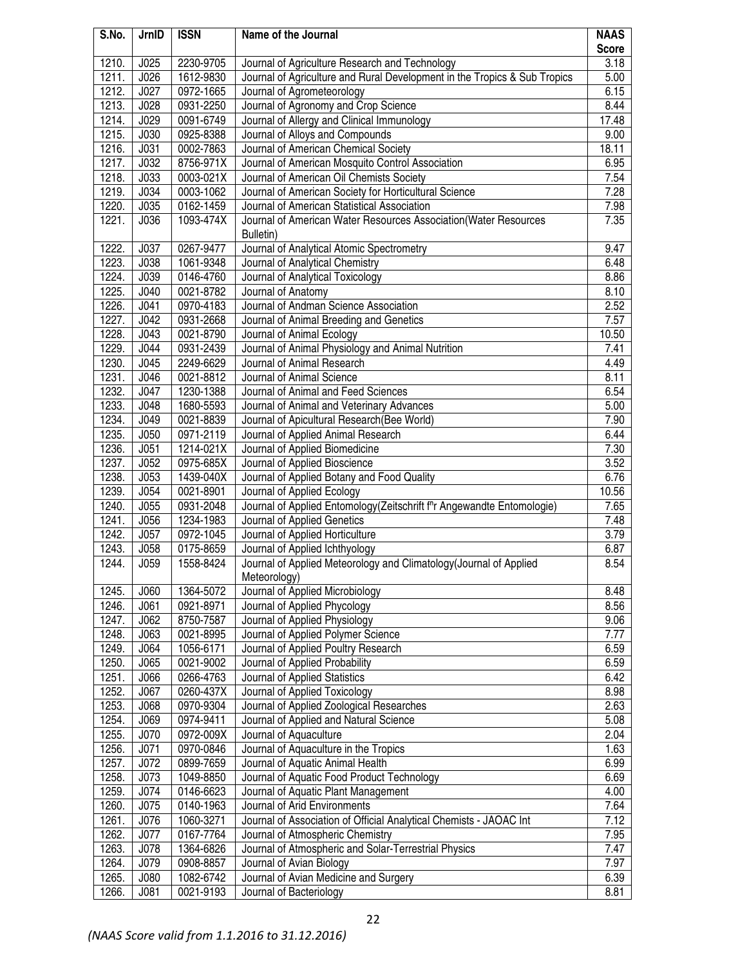| S.No. | JrnID       | <b>ISSN</b> | Name of the Journal                                                                | <b>NAAS</b>  |
|-------|-------------|-------------|------------------------------------------------------------------------------------|--------------|
|       |             |             |                                                                                    | <b>Score</b> |
| 1210. | J025        | 2230-9705   | Journal of Agriculture Research and Technology                                     | 3.18         |
| 1211. | J026        | 1612-9830   | Journal of Agriculture and Rural Development in the Tropics & Sub Tropics          | 5.00         |
| 1212. | J027        | 0972-1665   | Journal of Agrometeorology                                                         | 6.15         |
| 1213. | J028        | 0931-2250   | Journal of Agronomy and Crop Science                                               | 8.44         |
| 1214. | J029        | 0091-6749   | Journal of Allergy and Clinical Immunology                                         | 17.48        |
| 1215. | J030        | 0925-8388   | Journal of Alloys and Compounds                                                    | 9.00         |
| 1216. | J031        | 0002-7863   | Journal of American Chemical Society                                               | 18.11        |
| 1217. | J032        | 8756-971X   | Journal of American Mosquito Control Association                                   | 6.95         |
| 1218. | <b>J033</b> | 0003-021X   | Journal of American Oil Chemists Society                                           | 7.54         |
| 1219. | J034        | 0003-1062   | Journal of American Society for Horticultural Science                              | 7.28         |
| 1220. | J035        | 0162-1459   | Journal of American Statistical Association                                        | 7.98         |
| 1221. | J036        | 1093-474X   | Journal of American Water Resources Association(Water Resources                    | 7.35         |
|       |             |             | Bulletin)                                                                          |              |
| 1222. | J037        | 0267-9477   | Journal of Analytical Atomic Spectrometry                                          | 9.47         |
| 1223. | J038        | 1061-9348   | Journal of Analytical Chemistry                                                    | 6.48         |
| 1224. | J039        | 0146-4760   | Journal of Analytical Toxicology                                                   | 8.86         |
| 1225. | J040        | 0021-8782   | Journal of Anatomy                                                                 | 8.10         |
| 1226. | J041        | 0970-4183   | Journal of Andman Science Association                                              | 2.52         |
| 1227. | J042        | 0931-2668   | Journal of Animal Breeding and Genetics                                            | 7.57         |
| 1228. | J043        | 0021-8790   | Journal of Animal Ecology                                                          | 10.50        |
| 1229. | J044        | 0931-2439   | Journal of Animal Physiology and Animal Nutrition                                  | 7.41         |
| 1230. | J045        | 2249-6629   | Journal of Animal Research                                                         | 4.49         |
| 1231. | J046        | 0021-8812   | Journal of Animal Science                                                          | 8.11         |
| 1232. | J047        | 1230-1388   | Journal of Animal and Feed Sciences                                                | 6.54         |
| 1233. | J048        | 1680-5593   | Journal of Animal and Veterinary Advances                                          | 5.00         |
| 1234. | J049        | 0021-8839   | Journal of Apicultural Research (Bee World)                                        | 7.90         |
| 1235. | J050        | 0971-2119   | Journal of Applied Animal Research                                                 | 6.44         |
| 1236. | J051        | 1214-021X   | Journal of Applied Biomedicine                                                     | 7.30         |
| 1237. | J052        | 0975-685X   | Journal of Applied Bioscience                                                      | 3.52         |
| 1238. | J053        | 1439-040X   | Journal of Applied Botany and Food Quality                                         | 6.76         |
| 1239. | J054        | 0021-8901   | Journal of Applied Ecology                                                         | 10.56        |
| 1240. | J055        | 0931-2048   | Journal of Applied Entomology(Zeitschrift f <sup>n</sup> r Angewandte Entomologie) | 7.65         |
| 1241. | J056        | 1234-1983   | Journal of Applied Genetics                                                        | 7.48         |
| 1242. | J057        | 0972-1045   | Journal of Applied Horticulture                                                    | 3.79         |
| 1243. | <b>J058</b> | 0175-8659   | Journal of Applied Ichthyology                                                     | 6.87         |
| 1244. | J059        | 1558-8424   | Journal of Applied Meteorology and Climatology(Journal of Applied                  | 8.54         |
|       |             |             | Meteorology)                                                                       |              |
| 1245. | J060        | 1364-5072   | Journal of Applied Microbiology                                                    | 8.48         |
| 1246. | J061        | 0921-8971   | Journal of Applied Phycology                                                       | 8.56         |
| 1247. | J062        | 8750-7587   | Journal of Applied Physiology                                                      | 9.06         |
| 1248. | J063        | 0021-8995   | Journal of Applied Polymer Science                                                 | 7.77         |
| 1249. | J064        | 1056-6171   | Journal of Applied Poultry Research                                                | 6.59         |
| 1250. | J065        | 0021-9002   | Journal of Applied Probability                                                     | 6.59         |
| 1251. | J066        | 0266-4763   | Journal of Applied Statistics                                                      | 6.42         |
| 1252. | J067        | 0260-437X   | Journal of Applied Toxicology                                                      | 8.98         |
| 1253. | J068        | 0970-9304   | Journal of Applied Zoological Researches                                           | 2.63         |
| 1254. | J069        | 0974-9411   | Journal of Applied and Natural Science                                             | 5.08         |
| 1255. | J070        | 0972-009X   | Journal of Aquaculture                                                             | 2.04         |
| 1256. | J071        | 0970-0846   | Journal of Aquaculture in the Tropics                                              | 1.63         |
| 1257. | J072        | 0899-7659   | Journal of Aquatic Animal Health                                                   | 6.99         |
| 1258. | J073        | 1049-8850   | Journal of Aquatic Food Product Technology                                         | 6.69         |
| 1259. | J074        | 0146-6623   | Journal of Aquatic Plant Management                                                | 4.00         |
| 1260. | J075        | 0140-1963   | Journal of Arid Environments                                                       | 7.64         |
| 1261. | J076        | 1060-3271   | Journal of Association of Official Analytical Chemists - JAOAC Int                 | 7.12         |
| 1262. | J077        | 0167-7764   | Journal of Atmospheric Chemistry                                                   | 7.95         |
| 1263. | <b>J078</b> | 1364-6826   | Journal of Atmospheric and Solar-Terrestrial Physics                               | 7.47         |
| 1264. | J079        | 0908-8857   | Journal of Avian Biology                                                           | 7.97         |
| 1265. | J080        | 1082-6742   | Journal of Avian Medicine and Surgery                                              | 6.39         |
| 1266. | J081        | 0021-9193   | Journal of Bacteriology                                                            | 8.81         |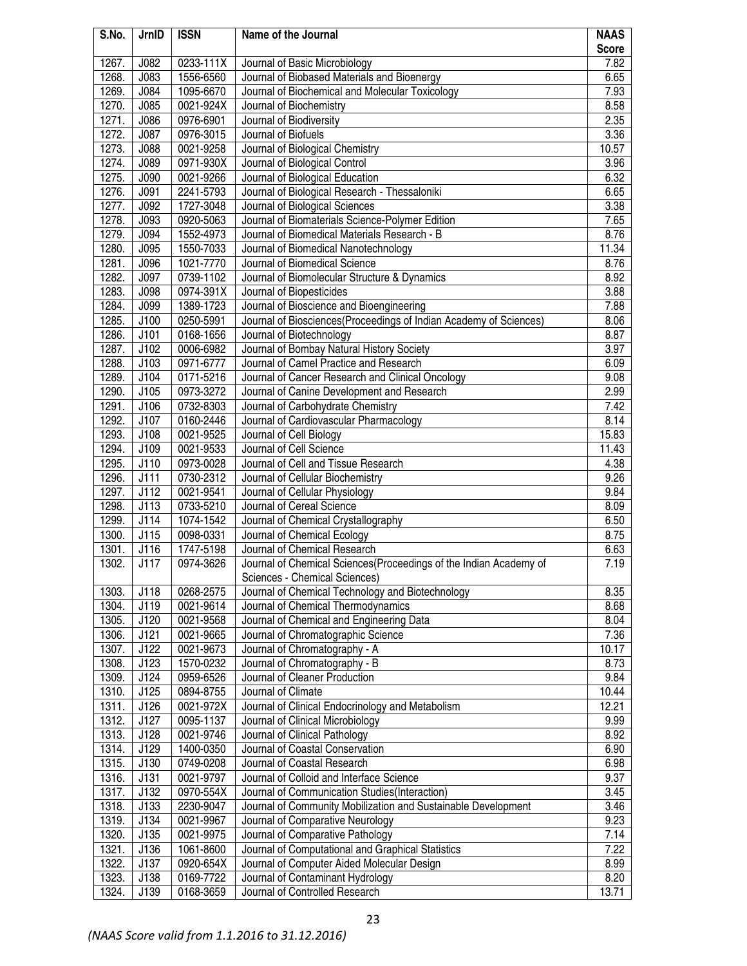| S.No. | JrnID       | <b>ISSN</b> | Name of the Journal                                               | <b>NAAS</b>  |
|-------|-------------|-------------|-------------------------------------------------------------------|--------------|
|       |             |             |                                                                   | <b>Score</b> |
| 1267. | J082        | 0233-111X   | Journal of Basic Microbiology                                     | 7.82         |
| 1268. | J083        | 1556-6560   | Journal of Biobased Materials and Bioenergy                       | 6.65         |
| 1269. | J084        | 1095-6670   | Journal of Biochemical and Molecular Toxicology                   | 7.93         |
| 1270. | J085        | 0021-924X   | Journal of Biochemistry                                           | 8.58         |
| 1271. | J086        | 0976-6901   | Journal of Biodiversity                                           | 2.35         |
| 1272. | J087        | 0976-3015   | Journal of Biofuels                                               | 3.36         |
| 1273. | J088        | 0021-9258   | Journal of Biological Chemistry                                   | 10.57        |
| 1274. | J089        | 0971-930X   | Journal of Biological Control                                     | 3.96         |
| 1275. | J090        | 0021-9266   | Journal of Biological Education                                   | 6.32         |
| 1276. | J091        | 2241-5793   | Journal of Biological Research - Thessaloniki                     | 6.65         |
| 1277. | J092        | 1727-3048   | Journal of Biological Sciences                                    | 3.38         |
| 1278. | J093        | 0920-5063   | Journal of Biomaterials Science-Polymer Edition                   | 7.65         |
| 1279. | J094        | 1552-4973   | Journal of Biomedical Materials Research - B                      | 8.76         |
| 1280. | J095        | 1550-7033   | Journal of Biomedical Nanotechnology                              | 11.34        |
| 1281. | J096        | 1021-7770   | Journal of Biomedical Science                                     | 8.76         |
| 1282. | J097        | 0739-1102   | Journal of Biomolecular Structure & Dynamics                      | 8.92         |
| 1283. | <b>J098</b> | 0974-391X   | Journal of Biopesticides                                          | 3.88         |
| 1284. | J099        | 1389-1723   | Journal of Bioscience and Bioengineering                          | 7.88         |
| 1285. | J100        | 0250-5991   | Journal of Biosciences(Proceedings of Indian Academy of Sciences) | 8.06         |
| 1286. | J101        | 0168-1656   | Journal of Biotechnology                                          | 8.87         |
| 1287. | J102        | 0006-6982   | Journal of Bombay Natural History Society                         | 3.97         |
| 1288. | J103        | 0971-6777   | Journal of Camel Practice and Research                            | 6.09         |
| 1289. | J104        | 0171-5216   | Journal of Cancer Research and Clinical Oncology                  | 9.08         |
| 1290. | J105        | 0973-3272   | Journal of Canine Development and Research                        | 2.99         |
| 1291. | J106        | 0732-8303   | Journal of Carbohydrate Chemistry                                 | 7.42         |
| 1292. | J107        | 0160-2446   | Journal of Cardiovascular Pharmacology                            | 8.14         |
| 1293. | J108        | 0021-9525   | Journal of Cell Biology                                           | 15.83        |
| 1294. | J109        | 0021-9533   | Journal of Cell Science                                           | 11.43        |
| 1295. | J110        | 0973-0028   | Journal of Cell and Tissue Research                               | 4.38         |
| 1296. | J111        | 0730-2312   | Journal of Cellular Biochemistry                                  | 9.26         |
| 1297. | J112        | 0021-9541   | Journal of Cellular Physiology                                    | 9.84         |
| 1298. | J113        | 0733-5210   | Journal of Cereal Science                                         | 8.09         |
| 1299. | J114        | 1074-1542   | Journal of Chemical Crystallography                               | 6.50         |
| 1300. | J115        | 0098-0331   | Journal of Chemical Ecology                                       | 8.75         |
| 1301. | J116        | 1747-5198   | Journal of Chemical Research                                      | 6.63         |
| 1302. | J117        | 0974-3626   | Journal of Chemical Sciences(Proceedings of the Indian Academy of | 7.19         |
|       |             |             | Sciences - Chemical Sciences)                                     |              |
| 1303. | J118        | 0268-2575   | Journal of Chemical Technology and Biotechnology                  | 8.35         |
| 1304. | J119        | 0021-9614   | Journal of Chemical Thermodynamics                                | 8.68         |
| 1305. | J120        | 0021-9568   | Journal of Chemical and Engineering Data                          | 8.04         |
| 1306. | J121        | 0021-9665   | Journal of Chromatographic Science                                | 7.36         |
| 1307. | J122        | 0021-9673   | Journal of Chromatography - A                                     | 10.17        |
| 1308. | J123        | 1570-0232   | Journal of Chromatography - B                                     | 8.73         |
| 1309. | J124        | 0959-6526   | Journal of Cleaner Production                                     | 9.84         |
| 1310. | J125        | 0894-8755   | Journal of Climate                                                | 10.44        |
| 1311. | J126        | 0021-972X   | Journal of Clinical Endocrinology and Metabolism                  | 12.21        |
| 1312. | J127        | 0095-1137   | Journal of Clinical Microbiology                                  | 9.99         |
| 1313. | J128        | 0021-9746   | Journal of Clinical Pathology                                     | 8.92         |
| 1314. | J129        | 1400-0350   | Journal of Coastal Conservation                                   | 6.90         |
| 1315. | J130        | 0749-0208   | Journal of Coastal Research                                       | 6.98         |
| 1316. | J131        | 0021-9797   | Journal of Colloid and Interface Science                          | 9.37         |
| 1317. | J132        | 0970-554X   | Journal of Communication Studies (Interaction)                    | 3.45         |
| 1318. | J133        | 2230-9047   | Journal of Community Mobilization and Sustainable Development     | 3.46         |
| 1319. | J134        | 0021-9967   | Journal of Comparative Neurology                                  | 9.23         |
| 1320. | J135        | 0021-9975   | Journal of Comparative Pathology                                  | 7.14         |
| 1321. | J136        | 1061-8600   | Journal of Computational and Graphical Statistics                 | 7.22         |
| 1322. | J137        | 0920-654X   | Journal of Computer Aided Molecular Design                        | 8.99         |
| 1323. | J138        | 0169-7722   | Journal of Contaminant Hydrology                                  | 8.20         |
| 1324. | J139        | 0168-3659   | Journal of Controlled Research                                    | 13.71        |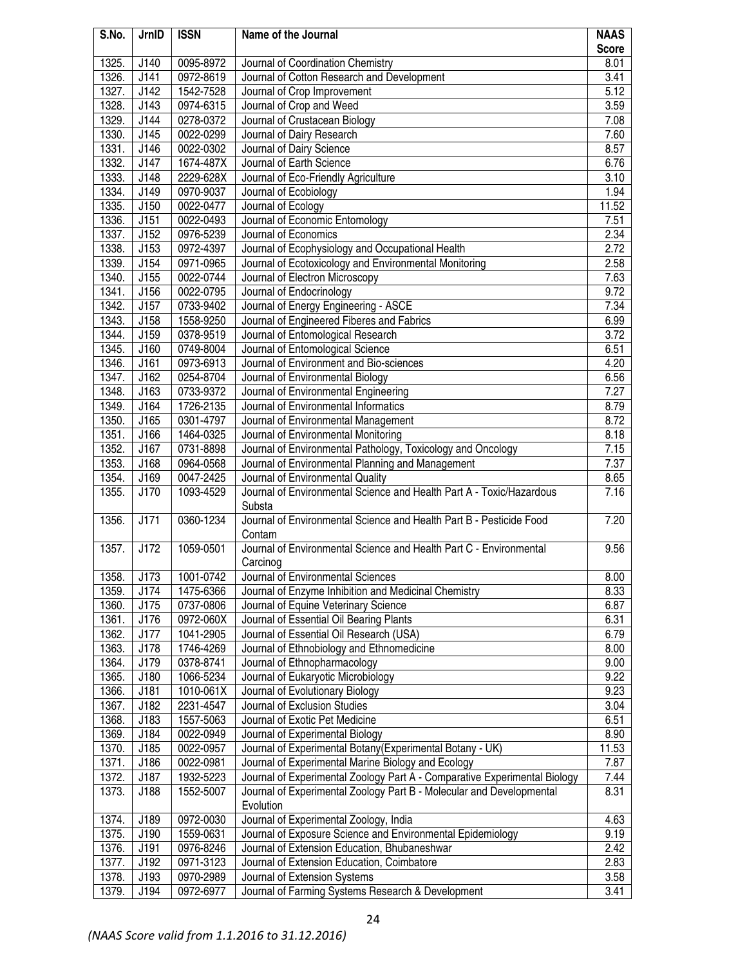| S.No.              | JrnID | <b>ISSN</b> | Name of the Journal                                                       | <b>NAAS</b>  |
|--------------------|-------|-------------|---------------------------------------------------------------------------|--------------|
|                    |       |             |                                                                           | <b>Score</b> |
| 1325.              | J140  | 0095-8972   | Journal of Coordination Chemistry                                         | 8.01         |
| 1326.              | J141  | 0972-8619   | Journal of Cotton Research and Development                                | 3.41         |
| 1327.              | J142  | 1542-7528   | Journal of Crop Improvement                                               | 5.12         |
| 1328.              | J143  | 0974-6315   | Journal of Crop and Weed                                                  | 3.59         |
| 1329.              | J144  | 0278-0372   | Journal of Crustacean Biology                                             | 7.08         |
| 1330.              | J145  | 0022-0299   | Journal of Dairy Research                                                 | 7.60         |
| 1331.              | J146  | 0022-0302   | Journal of Dairy Science                                                  | 8.57         |
| 1332.              | J147  | 1674-487X   | Journal of Earth Science                                                  | 6.76         |
| 1333.              | J148  | 2229-628X   | Journal of Eco-Friendly Agriculture                                       | 3.10         |
| 1334.              | J149  | 0970-9037   | Journal of Ecobiology                                                     | 1.94         |
| 1335.              | J150  | 0022-0477   | Journal of Ecology                                                        | 11.52        |
| 1336.              | J151  | 0022-0493   | Journal of Economic Entomology                                            | 7.51         |
| 1337.              | J152  | 0976-5239   | Journal of Economics                                                      | 2.34         |
| 1338.              | J153  | 0972-4397   | Journal of Ecophysiology and Occupational Health                          | 2.72         |
| 1339.              | J154  | 0971-0965   | Journal of Ecotoxicology and Environmental Monitoring                     | 2.58         |
| 1340.              | J155  | 0022-0744   | Journal of Electron Microscopy                                            | 7.63         |
| 1341.              | J156  | 0022-0795   | Journal of Endocrinology                                                  | 9.72         |
| 1342.              | J157  | 0733-9402   | Journal of Energy Engineering - ASCE                                      | 7.34         |
| 1343.              | J158  | 1558-9250   | Journal of Engineered Fiberes and Fabrics                                 | 6.99         |
| 1344.              | J159  | 0378-9519   | Journal of Entomological Research                                         | 3.72         |
| 1345.              | J160  | 0749-8004   | Journal of Entomological Science                                          | 6.51         |
| 1346.              | J161  | 0973-6913   | Journal of Environment and Bio-sciences                                   | 4.20         |
| 1347.              | J162  | 0254-8704   | Journal of Environmental Biology                                          | 6.56         |
| 1348.              | J163  | 0733-9372   | Journal of Environmental Engineering                                      | 7.27         |
| 1349.              | J164  | 1726-2135   | Journal of Environmental Informatics                                      | 8.79         |
|                    |       |             |                                                                           |              |
| 1350.              | J165  | 0301-4797   | Journal of Environmental Management                                       | 8.72         |
| 1351.              | J166  | 1464-0325   | Journal of Environmental Monitoring                                       | 8.18         |
| 1352.              | J167  | 0731-8898   | Journal of Environmental Pathology, Toxicology and Oncology               | 7.15         |
| 1353.              | J168  | 0964-0568   | Journal of Environmental Planning and Management                          | 7.37         |
| 1354.              | J169  | 0047-2425   | Journal of Environmental Quality                                          | 8.65         |
| 1355.              | J170  | 1093-4529   | Journal of Environmental Science and Health Part A - Toxic/Hazardous      | 7.16         |
|                    | J171  |             | Substa                                                                    |              |
| 1356.              |       | 0360-1234   | Journal of Environmental Science and Health Part B - Pesticide Food       | 7.20         |
|                    |       |             | Contam                                                                    |              |
| 1357.              | J172  | 1059-0501   | Journal of Environmental Science and Health Part C - Environmental        | 9.56         |
|                    |       |             | Carcinog                                                                  |              |
| 1358.              | J173  | 1001-0742   | Journal of Environmental Sciences                                         | 8.00         |
| 1359.              | J174  | 1475-6366   | Journal of Enzyme Inhibition and Medicinal Chemistry                      | 8.33         |
| 1360.              | J175  | 0737-0806   | Journal of Equine Veterinary Science                                      | 6.87         |
| 1361.              | J176  | 0972-060X   | Journal of Essential Oil Bearing Plants                                   | 6.31         |
| 1362.              | J177  | 1041-2905   | Journal of Essential Oil Research (USA)                                   | 6.79         |
| 1363.              | J178  | 1746-4269   | Journal of Ethnobiology and Ethnomedicine                                 | 8.00         |
| 1364.              | J179  | 0378-8741   | Journal of Ethnopharmacology                                              | 9.00         |
| 1365.              | J180  | 1066-5234   | Journal of Eukaryotic Microbiology                                        | 9.22         |
| 1366.              | J181  | 1010-061X   | Journal of Evolutionary Biology                                           | 9.23         |
| 1367.              | J182  | 2231-4547   | Journal of Exclusion Studies                                              | 3.04         |
| 1368.              | J183  | 1557-5063   | Journal of Exotic Pet Medicine                                            | 6.51         |
| 1369.              | J184  | 0022-0949   | Journal of Experimental Biology                                           | 8.90         |
| 1370.              | J185  | 0022-0957   | Journal of Experimental Botany (Experimental Botany - UK)                 | 11.53        |
| $\overline{1}371.$ | J186  | 0022-0981   | Journal of Experimental Marine Biology and Ecology                        | 7.87         |
| 1372.              | J187  | 1932-5223   | Journal of Experimental Zoology Part A - Comparative Experimental Biology | 7.44         |
| 1373.              | J188  | 1552-5007   | Journal of Experimental Zoology Part B - Molecular and Developmental      | 8.31         |
|                    |       |             | Evolution                                                                 |              |
| 1374.              | J189  | 0972-0030   | Journal of Experimental Zoology, India                                    | 4.63         |
| 1375.              | J190  | 1559-0631   | Journal of Exposure Science and Environmental Epidemiology                | 9.19         |
| 1376.              | J191  | 0976-8246   | Journal of Extension Education, Bhubaneshwar                              | 2.42         |
| 1377.              | J192  | 0971-3123   | Journal of Extension Education, Coimbatore                                | 2.83         |
| 1378.              | J193  | 0970-2989   | Journal of Extension Systems                                              | 3.58         |
| 1379.              | J194  | 0972-6977   | Journal of Farming Systems Research & Development                         | 3.41         |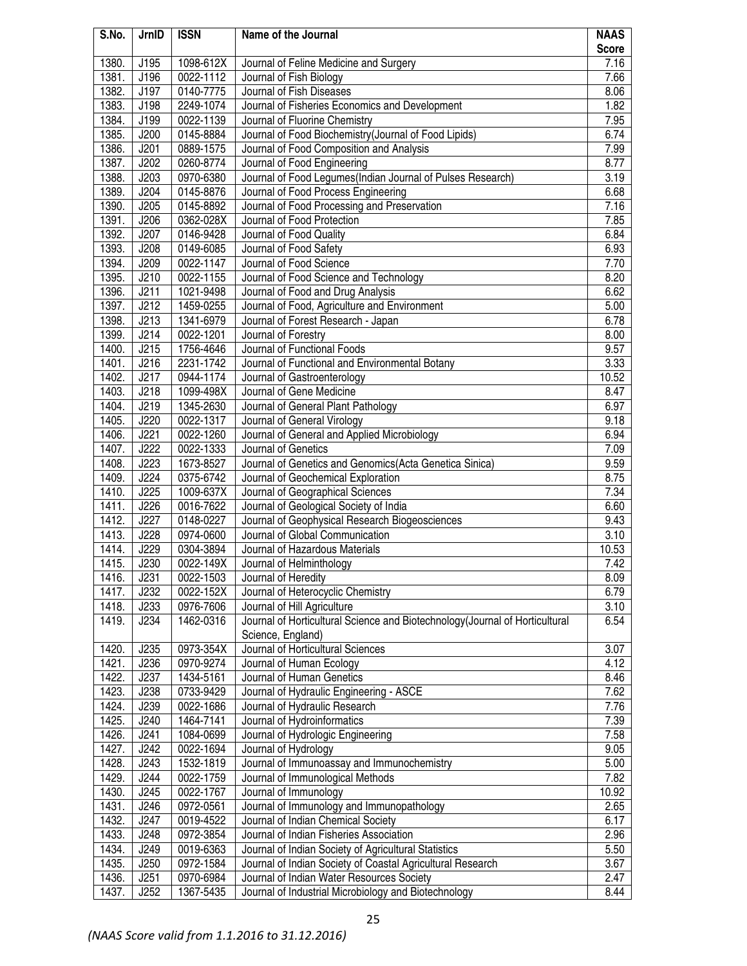| S.No.          | JrnID        | <b>ISSN</b>            | Name of the Journal                                                         | <b>NAAS</b>   |
|----------------|--------------|------------------------|-----------------------------------------------------------------------------|---------------|
|                |              |                        |                                                                             | <b>Score</b>  |
| 1380.          | J195         | 1098-612X              | Journal of Feline Medicine and Surgery                                      | 7.16          |
| 1381.          | J196         | 0022-1112              | Journal of Fish Biology                                                     | 7.66          |
| 1382.          | J197         | 0140-7775              | Journal of Fish Diseases                                                    | 8.06          |
| 1383.          | J198         | 2249-1074              | Journal of Fisheries Economics and Development                              | 1.82          |
| 1384.          | J199         | 0022-1139              | Journal of Fluorine Chemistry                                               | 7.95          |
| 1385.          | J200         | 0145-8884              | Journal of Food Biochemistry(Journal of Food Lipids)                        | 6.74          |
| 1386.          | J201         | 0889-1575              | Journal of Food Composition and Analysis                                    | 7.99          |
| 1387.          | J202         | 0260-8774              | Journal of Food Engineering                                                 | 8.77          |
| 1388.          | J203         | 0970-6380              | Journal of Food Legumes(Indian Journal of Pulses Research)                  | 3.19          |
| 1389.          | J204         | 0145-8876              | Journal of Food Process Engineering                                         | 6.68          |
| 1390.          | J205         | 0145-8892              | Journal of Food Processing and Preservation                                 | 7.16          |
| 1391.          | J206         | 0362-028X              | Journal of Food Protection                                                  | 7.85          |
| 1392.          | J207         | 0146-9428              | Journal of Food Quality                                                     | 6.84          |
| 1393.          | J208         | 0149-6085              | Journal of Food Safety                                                      | 6.93          |
| 1394.          | J209         | 0022-1147              | Journal of Food Science                                                     | 7.70          |
| 1395.          | J210         | 0022-1155              | Journal of Food Science and Technology                                      | 8.20          |
| 1396.          | J211         | 1021-9498              | Journal of Food and Drug Analysis                                           | 6.62          |
| 1397.          | J212         | 1459-0255              | Journal of Food, Agriculture and Environment                                | 5.00          |
| 1398.          | J213         | 1341-6979              | Journal of Forest Research - Japan                                          | 6.78          |
| 1399.          | J214         | 0022-1201              | Journal of Forestry<br>Journal of Functional Foods                          | 8.00          |
| 1400.          | J215         | 1756-4646              |                                                                             | 9.57          |
| 1401.<br>1402. | J216<br>J217 | 2231-1742<br>0944-1174 | Journal of Functional and Environmental Botany                              | 3.33<br>10.52 |
| 1403.          | J218         | 1099-498X              | Journal of Gastroenterology<br>Journal of Gene Medicine                     | 8.47          |
| 1404.          | J219         | 1345-2630              | Journal of General Plant Pathology                                          | 6.97          |
| 1405.          | J220         | 0022-1317              | Journal of General Virology                                                 | 9.18          |
| 1406.          | J221         | 0022-1260              | Journal of General and Applied Microbiology                                 | 6.94          |
| 1407.          | J222         | 0022-1333              | Journal of Genetics                                                         | 7.09          |
| 1408.          | J223         | 1673-8527              | Journal of Genetics and Genomics(Acta Genetica Sinica)                      | 9.59          |
| 1409.          | J224         | 0375-6742              | Journal of Geochemical Exploration                                          | 8.75          |
| 1410.          | J225         | 1009-637X              | Journal of Geographical Sciences                                            | 7.34          |
| 1411.          | J226         | 0016-7622              | Journal of Geological Society of India                                      | 6.60          |
| 1412.          | J227         | 0148-0227              | Journal of Geophysical Research Biogeosciences                              | 9.43          |
| 1413.          | J228         | 0974-0600              | Journal of Global Communication                                             | 3.10          |
| 1414.          | J229         | 0304-3894              | Journal of Hazardous Materials                                              | 10.53         |
| 1415.          | J230         | 0022-149X              | Journal of Helminthology                                                    | 7.42          |
| 1416.          | J231         | 0022-1503              | Journal of Heredity                                                         | 8.09          |
| 1417.          | J232         | 0022-152X              | Journal of Heterocyclic Chemistry                                           | 6.79          |
| 1418.          | J233         | 0976-7606              | Journal of Hill Agriculture                                                 | 3.10          |
| 1419.          | J234         | 1462-0316              | Journal of Horticultural Science and Biotechnology(Journal of Horticultural | 6.54          |
|                |              |                        | Science, England)                                                           |               |
| 1420.          | J235         | 0973-354X              | Journal of Horticultural Sciences                                           | 3.07          |
| 1421.          | J236         | 0970-9274              | Journal of Human Ecology                                                    | 4.12          |
| 1422.          | J237         | 1434-5161              | Journal of Human Genetics                                                   | 8.46          |
| 1423.          | J238         | 0733-9429              | Journal of Hydraulic Engineering - ASCE                                     | 7.62          |
| 1424.          | J239         | 0022-1686              | Journal of Hydraulic Research                                               | 7.76          |
| 1425.          | J240         | 1464-7141              | Journal of Hydroinformatics                                                 | 7.39          |
| 1426.          | J241         | 1084-0699              | Journal of Hydrologic Engineering                                           | 7.58          |
| 1427.          | J242         | 0022-1694              | Journal of Hydrology                                                        | 9.05          |
| 1428.          | J243         | 1532-1819              | Journal of Immunoassay and Immunochemistry                                  | 5.00          |
| 1429.          | J244         | 0022-1759              | Journal of Immunological Methods                                            | 7.82          |
| 1430.          | J245         | 0022-1767              | Journal of Immunology                                                       | 10.92         |
| 1431.          | J246         | 0972-0561              | Journal of Immunology and Immunopathology                                   | 2.65          |
| 1432.          | J247         | 0019-4522              | Journal of Indian Chemical Society                                          | 6.17          |
| 1433.          | J248         | 0972-3854              | Journal of Indian Fisheries Association                                     | 2.96          |
| 1434.          | J249         | 0019-6363              | Journal of Indian Society of Agricultural Statistics                        | 5.50          |
| 1435.          | J250         | 0972-1584              | Journal of Indian Society of Coastal Agricultural Research                  | 3.67          |
| 1436.          | J251         | 0970-6984              | Journal of Indian Water Resources Society                                   | 2.47          |
| 1437.          | J252         | 1367-5435              | Journal of Industrial Microbiology and Biotechnology                        | 8.44          |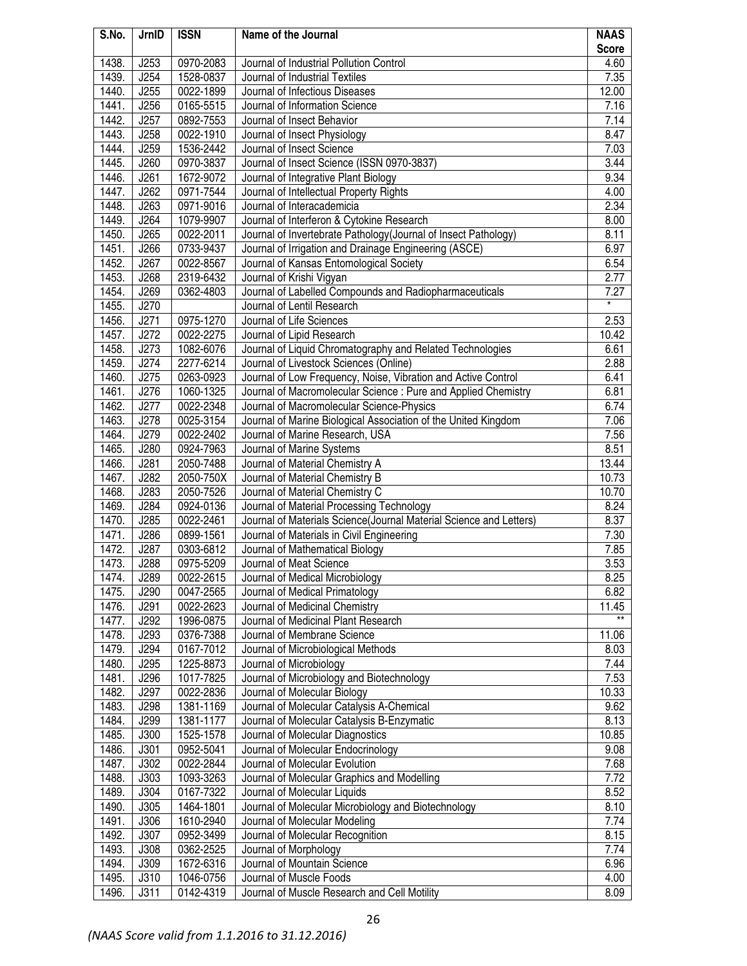| S.No. | JrnID | <b>ISSN</b> | Name of the Journal                                                | <b>NAAS</b>  |
|-------|-------|-------------|--------------------------------------------------------------------|--------------|
|       |       |             |                                                                    | <b>Score</b> |
| 1438. | J253  | 0970-2083   | Journal of Industrial Pollution Control                            | 4.60         |
| 1439. | J254  | 1528-0837   | Journal of Industrial Textiles                                     | 7.35         |
| 1440. | J255  | 0022-1899   | Journal of Infectious Diseases                                     | 12.00        |
| 1441. | J256  | 0165-5515   | Journal of Information Science                                     | 7.16         |
| 1442. | J257  | 0892-7553   | Journal of Insect Behavior                                         | 7.14         |
| 1443. | J258  | 0022-1910   | Journal of Insect Physiology                                       | 8.47         |
| 1444. | J259  | 1536-2442   | Journal of Insect Science                                          | 7.03         |
| 1445. | J260  | 0970-3837   | Journal of Insect Science (ISSN 0970-3837)                         | 3.44         |
| 1446. | J261  | 1672-9072   | Journal of Integrative Plant Biology                               | 9.34         |
| 1447. | J262  | 0971-7544   | Journal of Intellectual Property Rights                            | 4.00         |
| 1448. | J263  | 0971-9016   | Journal of Interacademicia                                         | 2.34         |
| 1449. | J264  | 1079-9907   | Journal of Interferon & Cytokine Research                          | 8.00         |
| 1450. | J265  | 0022-2011   | Journal of Invertebrate Pathology(Journal of Insect Pathology)     | 8.11         |
| 1451. | J266  | 0733-9437   | Journal of Irrigation and Drainage Engineering (ASCE)              | 6.97         |
| 1452. | J267  | 0022-8567   | Journal of Kansas Entomological Society                            | 6.54         |
| 1453. | J268  | 2319-6432   | Journal of Krishi Vigyan                                           | 2.77         |
| 1454. | J269  | 0362-4803   | Journal of Labelled Compounds and Radiopharmaceuticals             | 7.27         |
| 1455. | J270  |             | Journal of Lentil Research                                         |              |
| 1456. | J271  | 0975-1270   | Journal of Life Sciences                                           | 2.53         |
| 1457. | J272  | 0022-2275   | Journal of Lipid Research                                          | 10.42        |
| 1458. | J273  | 1082-6076   | Journal of Liquid Chromatography and Related Technologies          | 6.61         |
| 1459. | J274  | 2277-6214   | Journal of Livestock Sciences (Online)                             | 2.88         |
| 1460. | J275  | 0263-0923   | Journal of Low Frequency, Noise, Vibration and Active Control      | 6.41         |
| 1461. | J276  | 1060-1325   | Journal of Macromolecular Science : Pure and Applied Chemistry     | 6.81         |
| 1462. | J277  | 0022-2348   | Journal of Macromolecular Science-Physics                          | 6.74         |
| 1463. | J278  | 0025-3154   | Journal of Marine Biological Association of the United Kingdom     | 7.06         |
| 1464. | J279  | 0022-2402   | Journal of Marine Research, USA                                    | 7.56         |
| 1465. | J280  | 0924-7963   | Journal of Marine Systems                                          | 8.51         |
| 1466. | J281  | 2050-7488   | Journal of Material Chemistry A                                    | 13.44        |
| 1467. | J282  | 2050-750X   | Journal of Material Chemistry B                                    | 10.73        |
| 1468. | J283  | 2050-7526   | Journal of Material Chemistry C                                    | 10.70        |
| 1469. | J284  | 0924-0136   | Journal of Material Processing Technology                          | 8.24         |
| 1470. | J285  | 0022-2461   | Journal of Materials Science(Journal Material Science and Letters) | 8.37         |
| 1471. | J286  | 0899-1561   | Journal of Materials in Civil Engineering                          | 7.30         |
| 1472. | J287  | 0303-6812   | Journal of Mathematical Biology                                    | 7.85         |
| 1473. | J288  | 0975-5209   | Journal of Meat Science                                            | 3.53         |
| 1474. | J289  | 0022-2615   | Journal of Medical Microbiology                                    | 8.25         |
| 1475. | J290  | 0047-2565   | Journal of Medical Primatology                                     | 6.82         |
| 1476. | J291  | 0022-2623   | Journal of Medicinal Chemistry                                     | 11.45        |
| 1477. | J292  | 1996-0875   | Journal of Medicinal Plant Research                                |              |
| 1478. | J293  | 0376-7388   | Journal of Membrane Science                                        | 11.06        |
| 1479. | J294  | 0167-7012   | Journal of Microbiological Methods                                 | 8.03         |
| 1480. | J295  | 1225-8873   | Journal of Microbiology                                            | 7.44         |
| 1481. | J296  | 1017-7825   | Journal of Microbiology and Biotechnology                          | 7.53         |
| 1482. | J297  | 0022-2836   | Journal of Molecular Biology                                       | 10.33        |
| 1483. | J298  | 1381-1169   | Journal of Molecular Catalysis A-Chemical                          | 9.62         |
| 1484. | J299  | 1381-1177   | Journal of Molecular Catalysis B-Enzymatic                         | 8.13         |
| 1485. | J300  | 1525-1578   | Journal of Molecular Diagnostics                                   | 10.85        |
| 1486. | J301  | 0952-5041   | Journal of Molecular Endocrinology                                 | 9.08         |
| 1487. | J302  | 0022-2844   | Journal of Molecular Evolution                                     | 7.68         |
| 1488. | J303  | 1093-3263   | Journal of Molecular Graphics and Modelling                        | 7.72         |
| 1489. | J304  | 0167-7322   | Journal of Molecular Liquids                                       | 8.52         |
| 1490. | J305  | 1464-1801   | Journal of Molecular Microbiology and Biotechnology                | 8.10         |
| 1491. | J306  | 1610-2940   | Journal of Molecular Modeling                                      | 7.74         |
| 1492. | J307  | 0952-3499   | Journal of Molecular Recognition                                   | 8.15         |
| 1493. | J308  | 0362-2525   | Journal of Morphology                                              | 7.74         |
| 1494. | J309  | 1672-6316   | Journal of Mountain Science                                        | 6.96         |
| 1495. | J310  | 1046-0756   | Journal of Muscle Foods                                            | 4.00         |
| 1496. | J311  | 0142-4319   | Journal of Muscle Research and Cell Motility                       | 8.09         |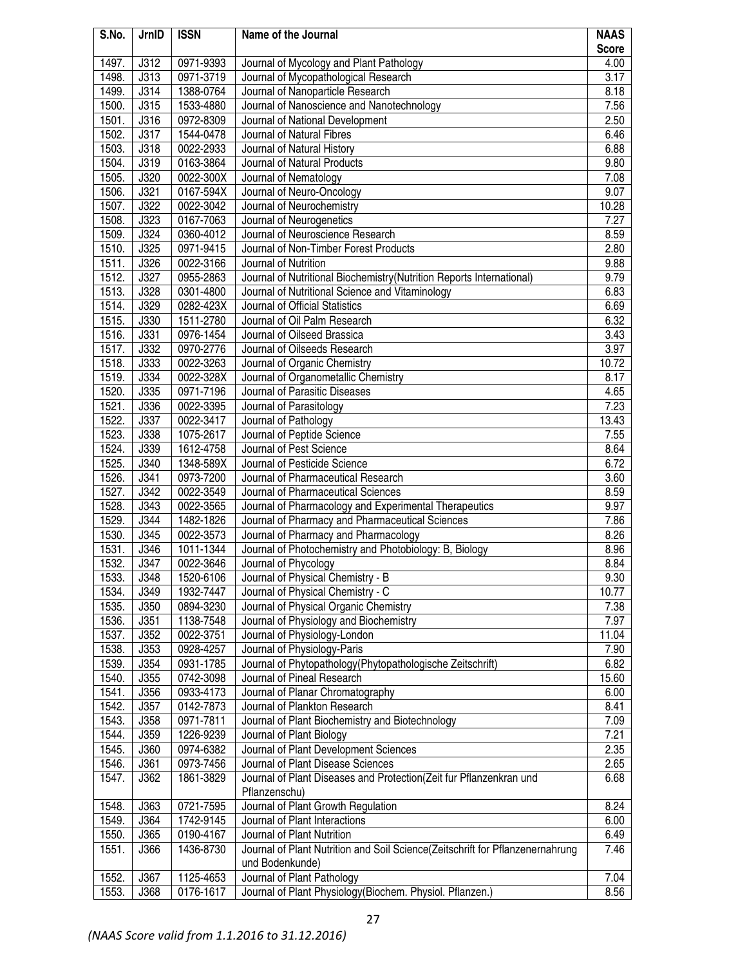| S.No. | JrnID       | <b>ISSN</b> | Name of the Journal                                                           | <b>NAAS</b>  |
|-------|-------------|-------------|-------------------------------------------------------------------------------|--------------|
|       |             |             |                                                                               | <b>Score</b> |
| 1497. | J312        | 0971-9393   | Journal of Mycology and Plant Pathology                                       | 4.00         |
| 1498. | J313        | 0971-3719   | Journal of Mycopathological Research                                          | 3.17         |
| 1499. | J314        | 1388-0764   | Journal of Nanoparticle Research                                              | 8.18         |
| 1500. | J315        | 1533-4880   | Journal of Nanoscience and Nanotechnology                                     | 7.56         |
| 1501. | J316        | 0972-8309   | Journal of National Development                                               | 2.50         |
| 1502. | J317        | 1544-0478   | Journal of Natural Fibres                                                     | 6.46         |
| 1503. | J318        | 0022-2933   | Journal of Natural History                                                    | 6.88         |
| 1504. | J319        | 0163-3864   | Journal of Natural Products                                                   | 9.80         |
| 1505. | J320        | 0022-300X   | Journal of Nematology                                                         | 7.08         |
| 1506. | J321        | 0167-594X   | Journal of Neuro-Oncology                                                     | 9.07         |
| 1507. | J322        | 0022-3042   | Journal of Neurochemistry                                                     | 10.28        |
| 1508. | J323        | 0167-7063   | Journal of Neurogenetics                                                      | 7.27         |
| 1509. | J324        | 0360-4012   | Journal of Neuroscience Research                                              | 8.59         |
| 1510. | J325        | 0971-9415   | Journal of Non-Timber Forest Products                                         | 2.80         |
| 1511. | J326        | 0022-3166   | Journal of Nutrition                                                          | 9.88         |
| 1512. | J327        | 0955-2863   | Journal of Nutritional Biochemistry (Nutrition Reports International)         | 9.79         |
| 1513. | J328        | 0301-4800   | Journal of Nutritional Science and Vitaminology                               | 6.83         |
| 1514. | J329        | 0282-423X   | Journal of Official Statistics                                                | 6.69         |
| 1515. | J330        | 1511-2780   | Journal of Oil Palm Research                                                  | 6.32         |
| 1516. | J331        | 0976-1454   | Journal of Oilseed Brassica                                                   | 3.43         |
| 1517. | J332        | 0970-2776   | Journal of Oilseeds Research                                                  | 3.97         |
|       |             |             |                                                                               |              |
| 1518. | J333        | 0022-3263   | Journal of Organic Chemistry                                                  | 10.72        |
| 1519. | J334        | 0022-328X   | Journal of Organometallic Chemistry                                           | 8.17         |
| 1520. | <b>J335</b> | 0971-7196   | Journal of Parasitic Diseases                                                 | 4.65         |
| 1521. | J336        | 0022-3395   | Journal of Parasitology                                                       | 7.23         |
| 1522. | J337        | 0022-3417   | Journal of Pathology                                                          | 13.43        |
| 1523. | <b>J338</b> | 1075-2617   | Journal of Peptide Science                                                    | 7.55         |
| 1524. | J339        | 1612-4758   | Journal of Pest Science                                                       | 8.64         |
| 1525. | J340        | 1348-589X   | Journal of Pesticide Science                                                  | 6.72         |
| 1526. | J341        | 0973-7200   | Journal of Pharmaceutical Research                                            | 3.60         |
| 1527. | J342        | 0022-3549   | Journal of Pharmaceutical Sciences                                            | 8.59         |
| 1528. | J343        | 0022-3565   | Journal of Pharmacology and Experimental Therapeutics                         | 9.97         |
| 1529. | J344        | 1482-1826   | Journal of Pharmacy and Pharmaceutical Sciences                               | 7.86         |
| 1530. | J345        | 0022-3573   | Journal of Pharmacy and Pharmacology                                          | 8.26         |
| 1531. | J346        | 1011-1344   | Journal of Photochemistry and Photobiology: B, Biology                        | 8.96         |
| 1532. | J347        | 0022-3646   | Journal of Phycology                                                          | 8.84         |
| 1533. | J348        | 1520-6106   | Journal of Physical Chemistry - B                                             | 9.30         |
| 1534. | J349        | 1932-7447   | Journal of Physical Chemistry - C                                             | 10.77        |
| 1535. | J350        | 0894-3230   | Journal of Physical Organic Chemistry                                         | 7.38         |
| 1536. | J351        | 1138-7548   | Journal of Physiology and Biochemistry                                        | 7.97         |
| 1537. | J352        | 0022-3751   | Journal of Physiology-London                                                  | 11.04        |
|       |             |             |                                                                               |              |
| 1538. | J353        | 0928-4257   | Journal of Physiology-Paris                                                   | 7.90         |
| 1539. | J354        | 0931-1785   | Journal of Phytopathology (Phytopathologische Zeitschrift)                    | 6.82         |
| 1540. | J355        | 0742-3098   | Journal of Pineal Research                                                    | 15.60        |
| 1541. | J356        | 0933-4173   | Journal of Planar Chromatography                                              | 6.00         |
| 1542. | J357        | 0142-7873   | Journal of Plankton Research                                                  | 8.41         |
| 1543. | J358        | 0971-7811   | Journal of Plant Biochemistry and Biotechnology                               | 7.09         |
| 1544. | J359        | 1226-9239   | Journal of Plant Biology                                                      | 7.21         |
| 1545. | J360        | 0974-6382   | Journal of Plant Development Sciences                                         | 2.35         |
| 1546. | J361        | 0973-7456   | Journal of Plant Disease Sciences                                             | 2.65         |
| 1547. | J362        | 1861-3829   | Journal of Plant Diseases and Protection(Zeit fur Pflanzenkran und            | 6.68         |
|       |             |             | Pflanzenschu)                                                                 |              |
| 1548. | J363        | 0721-7595   | Journal of Plant Growth Regulation                                            | 8.24         |
| 1549. | J364        | 1742-9145   | Journal of Plant Interactions                                                 | 6.00         |
| 1550. | J365        | 0190-4167   | Journal of Plant Nutrition                                                    | 6.49         |
| 1551. | J366        | 1436-8730   | Journal of Plant Nutrition and Soil Science(Zeitschrift for Pflanzenernahrung | 7.46         |
|       |             |             | und Bodenkunde)                                                               |              |
| 1552. | J367        | 1125-4653   | Journal of Plant Pathology                                                    | 7.04         |
| 1553. | J368        | 0176-1617   | Journal of Plant Physiology(Biochem. Physiol. Pflanzen.)                      | 8.56         |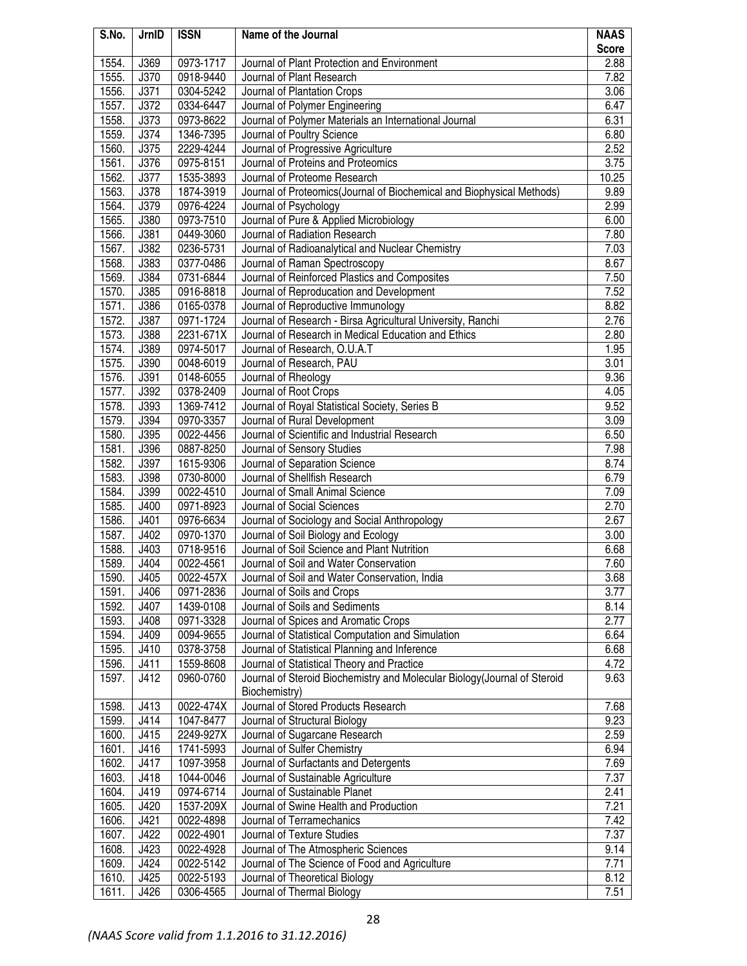| S.No. | JrnID       | <b>ISSN</b> | Name of the Journal                                                       | <b>NAAS</b>  |
|-------|-------------|-------------|---------------------------------------------------------------------------|--------------|
|       |             |             |                                                                           | <b>Score</b> |
| 1554. | J369        | 0973-1717   | Journal of Plant Protection and Environment                               | 2.88         |
| 1555. | J370        | 0918-9440   | Journal of Plant Research                                                 | 7.82         |
| 1556. | J371        | 0304-5242   | Journal of Plantation Crops                                               | 3.06         |
| 1557. | J372        | 0334-6447   | Journal of Polymer Engineering                                            | 6.47         |
| 1558. | J373        | 0973-8622   | Journal of Polymer Materials an International Journal                     | 6.31         |
| 1559. | J374        | 1346-7395   | Journal of Poultry Science                                                | 6.80         |
| 1560. | J375        | 2229-4244   | Journal of Progressive Agriculture                                        | 2.52         |
| 1561. | J376        | 0975-8151   | Journal of Proteins and Proteomics                                        | 3.75         |
| 1562. | J377        | 1535-3893   | Journal of Proteome Research                                              | 10.25        |
| 1563. | J378        | 1874-3919   | Journal of Proteomics (Journal of Biochemical and Biophysical Methods)    | 9.89         |
| 1564. | J379        | 0976-4224   | Journal of Psychology                                                     | 2.99         |
| 1565. | J380        | 0973-7510   | Journal of Pure & Applied Microbiology                                    | 6.00         |
| 1566. | J381        | 0449-3060   | Journal of Radiation Research                                             | 7.80         |
| 1567. | J382        | 0236-5731   | Journal of Radioanalytical and Nuclear Chemistry                          | 7.03         |
| 1568. | J383        | 0377-0486   | Journal of Raman Spectroscopy                                             | 8.67         |
| 1569. | J384        | 0731-6844   | Journal of Reinforced Plastics and Composites                             | 7.50         |
| 1570. | J385        | 0916-8818   | Journal of Reproducation and Development                                  | 7.52         |
| 1571. | J386        | 0165-0378   | Journal of Reproductive Immunology                                        | 8.82         |
| 1572. | J387        | 0971-1724   | Journal of Research - Birsa Agricultural University, Ranchi               | 2.76         |
| 1573. | J388        | 2231-671X   | Journal of Research in Medical Education and Ethics                       | 2.80         |
| 1574. | J389        | 0974-5017   | Journal of Research, O.U.A.T                                              | 1.95         |
| 1575. | J390        | 0048-6019   | Journal of Research, PAU                                                  | 3.01         |
| 1576. | J391        | 0148-6055   | Journal of Rheology                                                       | 9.36         |
| 1577. | J392        | 0378-2409   | Journal of Root Crops                                                     | 4.05         |
| 1578. | J393        | 1369-7412   | Journal of Royal Statistical Society, Series B                            | 9.52         |
| 1579. | J394        | 0970-3357   | Journal of Rural Development                                              | 3.09         |
| 1580. | J395        | 0022-4456   | Journal of Scientific and Industrial Research                             | 6.50         |
| 1581. | J396        | 0887-8250   | Journal of Sensory Studies                                                | 7.98         |
| 1582. | J397        | 1615-9306   | Journal of Separation Science                                             | 8.74         |
| 1583. | <b>J398</b> | 0730-8000   | Journal of Shellfish Research                                             | 6.79         |
| 1584. | J399        | 0022-4510   | Journal of Small Animal Science                                           | 7.09         |
| 1585. | J400        | 0971-8923   | Journal of Social Sciences                                                | 2.70         |
| 1586. | J401        | 0976-6634   | Journal of Sociology and Social Anthropology                              | 2.67         |
| 1587. | J402        | 0970-1370   | Journal of Soil Biology and Ecology                                       | 3.00         |
| 1588. | J403        | 0718-9516   | Journal of Soil Science and Plant Nutrition                               | 6.68         |
| 1589. | J404        | 0022-4561   | Journal of Soil and Water Conservation                                    | 7.60         |
| 1590. | J405        | 0022-457X   | Journal of Soil and Water Conservation, India                             | 3.68         |
| 1591. | J406        | 0971-2836   | Journal of Soils and Crops                                                | 3.77         |
| 1592. | J407        | 1439-0108   | Journal of Soils and Sediments                                            | 8.14         |
| 1593. | J408        | 0971-3328   | Journal of Spices and Aromatic Crops                                      | 2.77         |
| 1594. | J409        | 0094-9655   | Journal of Statistical Computation and Simulation                         | 6.64         |
| 1595. | J410        | 0378-3758   | Journal of Statistical Planning and Inference                             | 6.68         |
| 1596. | J411        | 1559-8608   | Journal of Statistical Theory and Practice                                | 4.72         |
| 1597. | J412        | 0960-0760   | Journal of Steroid Biochemistry and Molecular Biology (Journal of Steroid | 9.63         |
|       |             |             | Biochemistry)                                                             |              |
| 1598. | J413        | 0022-474X   | Journal of Stored Products Research                                       | 7.68         |
| 1599. | J414        | 1047-8477   | Journal of Structural Biology                                             | 9.23         |
| 1600. | J415        | 2249-927X   | Journal of Sugarcane Research                                             | 2.59         |
| 1601. | J416        | 1741-5993   | Journal of Sulfer Chemistry                                               | 6.94         |
| 1602. | J417        | 1097-3958   | Journal of Surfactants and Detergents                                     | 7.69         |
| 1603. | J418        | 1044-0046   | Journal of Sustainable Agriculture                                        | 7.37         |
| 1604. | J419        | 0974-6714   | Journal of Sustainable Planet                                             | 2.41         |
| 1605. | J420        | 1537-209X   | Journal of Swine Health and Production                                    | 7.21         |
| 1606. | J421        | 0022-4898   | Journal of Terramechanics                                                 | 7.42         |
| 1607. | J422        | 0022-4901   | Journal of Texture Studies                                                | 7.37         |
| 1608. | J423        | 0022-4928   | Journal of The Atmospheric Sciences                                       | 9.14         |
| 1609. | J424        | 0022-5142   | Journal of The Science of Food and Agriculture                            | 7.71         |
| 1610. | J425        | 0022-5193   | Journal of Theoretical Biology                                            | 8.12         |
| 1611. | J426        | 0306-4565   | Journal of Thermal Biology                                                | 7.51         |
|       |             |             |                                                                           |              |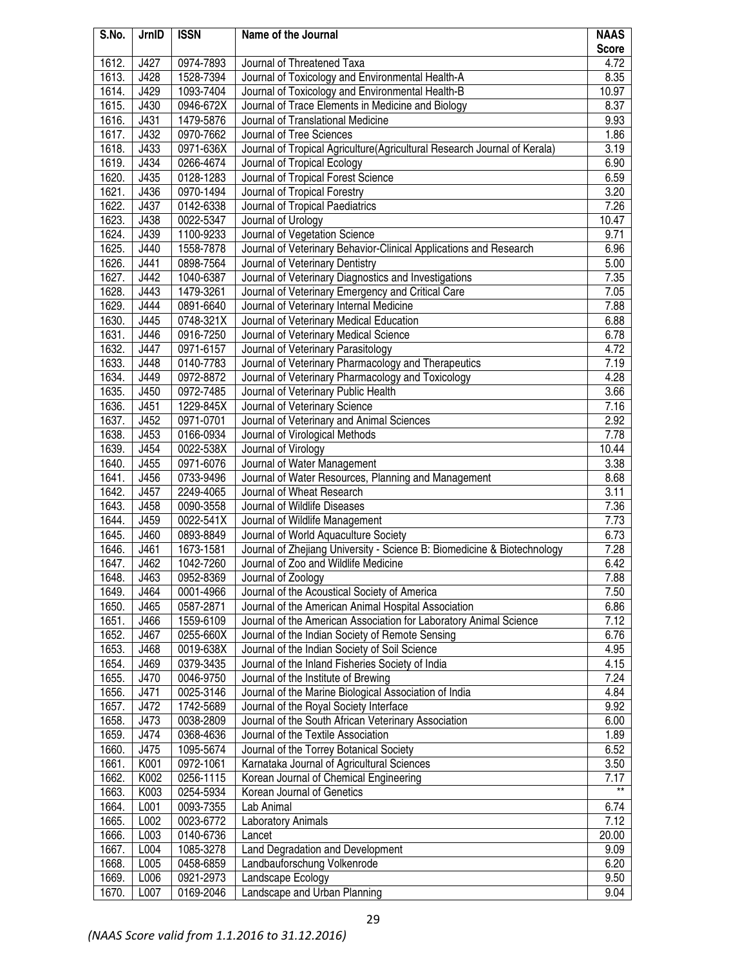| S.No. | JrnID | <b>ISSN</b> | Name of the Journal                                                      | <b>NAAS</b>   |
|-------|-------|-------------|--------------------------------------------------------------------------|---------------|
|       |       |             |                                                                          | <b>Score</b>  |
| 1612. | J427  | 0974-7893   | Journal of Threatened Taxa                                               | 4.72          |
| 1613. | J428  | 1528-7394   | Journal of Toxicology and Environmental Health-A                         | 8.35          |
| 1614. | J429  | 1093-7404   | Journal of Toxicology and Environmental Health-B                         | 10.97         |
| 1615. | J430  | 0946-672X   | Journal of Trace Elements in Medicine and Biology                        | 8.37          |
| 1616. | J431  | 1479-5876   | Journal of Translational Medicine                                        | 9.93          |
| 1617. | J432  | 0970-7662   | Journal of Tree Sciences                                                 | 1.86          |
| 1618. | J433  | 0971-636X   | Journal of Tropical Agriculture(Agricultural Research Journal of Kerala) | 3.19          |
| 1619. | J434  | 0266-4674   | Journal of Tropical Ecology                                              | 6.90          |
| 1620. | J435  | 0128-1283   | Journal of Tropical Forest Science                                       | 6.59          |
| 1621. | J436  | 0970-1494   | Journal of Tropical Forestry                                             | 3.20          |
| 1622. | J437  | 0142-6338   | Journal of Tropical Paediatrics                                          | 7.26          |
| 1623. | J438  | 0022-5347   | Journal of Urology                                                       | 10.47         |
| 1624. | J439  | 1100-9233   | Journal of Vegetation Science                                            | 9.71          |
| 1625. | J440  | 1558-7878   | Journal of Veterinary Behavior-Clinical Applications and Research        | 6.96          |
| 1626. | J441  | 0898-7564   | Journal of Veterinary Dentistry                                          | 5.00          |
| 1627. | J442  | 1040-6387   | Journal of Veterinary Diagnostics and Investigations                     | 7.35          |
| 1628. | J443  | 1479-3261   | Journal of Veterinary Emergency and Critical Care                        | 7.05          |
| 1629. | J444  | 0891-6640   | Journal of Veterinary Internal Medicine                                  | 7.88          |
| 1630. | J445  | 0748-321X   | Journal of Veterinary Medical Education                                  | 6.88          |
| 1631. | J446  | 0916-7250   | Journal of Veterinary Medical Science                                    | 6.78          |
| 1632. | J447  | 0971-6157   | Journal of Veterinary Parasitology                                       | 4.72          |
| 1633. | J448  | 0140-7783   | Journal of Veterinary Pharmacology and Therapeutics                      | 7.19          |
| 1634. | J449  | 0972-8872   | Journal of Veterinary Pharmacology and Toxicology                        | 4.28          |
| 1635. | J450  | 0972-7485   | Journal of Veterinary Public Health                                      | 3.66          |
| 1636. | J451  | 1229-845X   | Journal of Veterinary Science                                            | 7.16          |
| 1637. | J452  | 0971-0701   | Journal of Veterinary and Animal Sciences                                | 2.92          |
| 1638. | J453  | 0166-0934   | Journal of Virological Methods                                           | 7.78          |
| 1639. | J454  | 0022-538X   | Journal of Virology                                                      | 10.44         |
| 1640. | J455  | 0971-6076   | Journal of Water Management                                              | 3.38          |
| 1641. | J456  | 0733-9496   | Journal of Water Resources, Planning and Management                      | 8.68          |
| 1642. | J457  | 2249-4065   | Journal of Wheat Research                                                | 3.11          |
| 1643. | J458  | 0090-3558   | Journal of Wildlife Diseases                                             | 7.36          |
| 1644. | J459  | 0022-541X   | Journal of Wildlife Management                                           | 7.73          |
| 1645. | J460  | 0893-8849   | Journal of World Aquaculture Society                                     | 6.73          |
| 1646. | J461  | 1673-1581   | Journal of Zhejiang University - Science B: Biomedicine & Biotechnology  | 7.28          |
| 1647. | J462  | 1042-7260   | Journal of Zoo and Wildlife Medicine                                     | 6.42          |
| 1648. | J463  | 0952-8369   | Journal of Zoology                                                       | 7.88          |
| 1649. | J464  | 0001-4966   | Journal of the Acoustical Society of America                             | 7.50          |
| 1650. | J465  | 0587-2871   | Journal of the American Animal Hospital Association                      | 6.86          |
| 1651. | J466  | 1559-6109   | Journal of the American Association for Laboratory Animal Science        | 7.12          |
| 1652. | J467  | 0255-660X   | Journal of the Indian Society of Remote Sensing                          | 6.76          |
| 1653. | J468  | 0019-638X   | Journal of the Indian Society of Soil Science                            | 4.95          |
| 1654. | J469  | 0379-3435   | Journal of the Inland Fisheries Society of India                         | 4.15          |
| 1655. | J470  | 0046-9750   | Journal of the Institute of Brewing                                      | 7.24          |
| 1656. | J471  | 0025-3146   | Journal of the Marine Biological Association of India                    | 4.84          |
| 1657. | J472  | 1742-5689   | Journal of the Royal Society Interface                                   | 9.92          |
| 1658. | J473  | 0038-2809   | Journal of the South African Veterinary Association                      | 6.00          |
| 1659. | J474  | 0368-4636   | Journal of the Textile Association                                       | 1.89          |
| 1660. | J475  | 1095-5674   | Journal of the Torrey Botanical Society                                  | 6.52          |
| 1661. | K001  | 0972-1061   | Karnataka Journal of Agricultural Sciences                               | 3.50          |
| 1662. | K002  | 0256-1115   | Korean Journal of Chemical Engineering                                   | 7.17<br>$***$ |
| 1663. | K003  | 0254-5934   | Korean Journal of Genetics                                               |               |
| 1664. | L001  | 0093-7355   | Lab Animal                                                               | 6.74          |
| 1665. | L002  | 0023-6772   | Laboratory Animals                                                       | 7.12          |
| 1666. | L003  | 0140-6736   | Lancet                                                                   | 20.00         |
| 1667. | L004  | 1085-3278   | Land Degradation and Development                                         | 9.09          |
| 1668. | L005  | 0458-6859   | Landbauforschung Volkenrode                                              | 6.20          |
| 1669. | L006  | 0921-2973   | Landscape Ecology                                                        | 9.50          |
| 1670. | L007  | 0169-2046   | Landscape and Urban Planning                                             | 9.04          |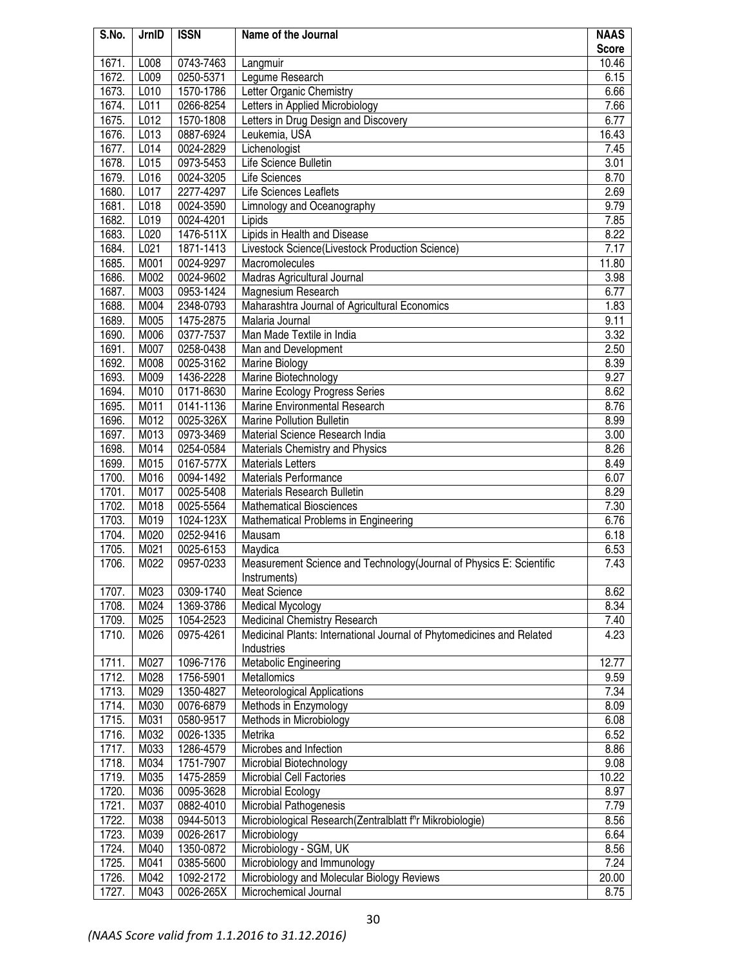| S.No. | JrnID | <b>ISSN</b> | Name of the Journal                                                   | <b>NAAS</b>  |
|-------|-------|-------------|-----------------------------------------------------------------------|--------------|
|       |       |             |                                                                       | <b>Score</b> |
| 1671. | L008  | 0743-7463   | Langmuir                                                              | 10.46        |
| 1672. | L009  | 0250-5371   | Legume Research                                                       | 6.15         |
| 1673. | L010  | 1570-1786   | Letter Organic Chemistry                                              | 6.66         |
| 1674. | L011  | 0266-8254   | Letters in Applied Microbiology                                       | 7.66         |
| 1675. | L012  | 1570-1808   | Letters in Drug Design and Discovery                                  | 6.77         |
| 1676. | L013  | 0887-6924   | Leukemia, USA                                                         | 16.43        |
| 1677. | L014  | 0024-2829   | Lichenologist                                                         | 7.45         |
| 1678. | L015  | 0973-5453   | Life Science Bulletin                                                 | 3.01         |
| 1679. | L016  | 0024-3205   | Life Sciences                                                         | 8.70         |
| 1680. | L017  | 2277-4297   | Life Sciences Leaflets                                                | 2.69         |
| 1681. | L018  | 0024-3590   | Limnology and Oceanography                                            | 9.79         |
| 1682. | L019  | 0024-4201   | Lipids                                                                | 7.85         |
| 1683. | L020  | 1476-511X   | Lipids in Health and Disease                                          | 8.22         |
| 1684. | L021  | 1871-1413   | Livestock Science(Livestock Production Science)                       | 7.17         |
| 1685. | M001  | 0024-9297   | Macromolecules                                                        | 11.80        |
| 1686. | M002  | 0024-9602   | Madras Agricultural Journal                                           | 3.98         |
| 1687. | M003  | 0953-1424   | Magnesium Research                                                    | 6.77         |
| 1688. | M004  | 2348-0793   | Maharashtra Journal of Agricultural Economics                         | 1.83         |
| 1689. | M005  | 1475-2875   | Malaria Journal                                                       | 9.11         |
| 1690. | M006  | 0377-7537   | Man Made Textile in India                                             | 3.32         |
| 1691. | M007  | 0258-0438   | Man and Development                                                   | 2.50         |
| 1692. | M008  | 0025-3162   | Marine Biology                                                        | 8.39         |
| 1693. | M009  | 1436-2228   | Marine Biotechnology                                                  | 9.27         |
| 1694. | M010  | 0171-8630   | Marine Ecology Progress Series                                        | 8.62         |
| 1695. | M011  | 0141-1136   | Marine Environmental Research                                         | 8.76         |
| 1696. | M012  | 0025-326X   | <b>Marine Pollution Bulletin</b>                                      | 8.99         |
| 1697. | M013  | 0973-3469   | Material Science Research India                                       | 3.00         |
| 1698. | M014  | 0254-0584   | Materials Chemistry and Physics                                       | 8.26         |
| 1699. | M015  | 0167-577X   | <b>Materials Letters</b>                                              | 8.49         |
| 1700. | M016  | 0094-1492   | <b>Materials Performance</b>                                          | 6.07         |
| 1701. | M017  | 0025-5408   | <b>Materials Research Bulletin</b>                                    | 8.29         |
| 1702. | M018  | 0025-5564   | <b>Mathematical Biosciences</b>                                       | 7.30         |
| 1703. | M019  | 1024-123X   | Mathematical Problems in Engineering                                  | 6.76         |
| 1704. | M020  | 0252-9416   | Mausam                                                                | 6.18         |
| 1705. | M021  | 0025-6153   | Maydica                                                               | 6.53         |
| 1706. | M022  | 0957-0233   | Measurement Science and Technology(Journal of Physics E: Scientific   | 7.43         |
|       |       |             | Instruments)                                                          |              |
| 1707. | M023  | 0309-1740   | Meat Science                                                          | 8.62         |
| 1708. | M024  | 1369-3786   | <b>Medical Mycology</b>                                               | 8.34         |
| 1709. | M025  | 1054-2523   | Medicinal Chemistry Research                                          | 7.40         |
| 1710. | M026  | 0975-4261   | Medicinal Plants: International Journal of Phytomedicines and Related | 4.23         |
|       |       |             | Industries                                                            |              |
| 1711. | M027  | 1096-7176   | Metabolic Engineering                                                 | 12.77        |
| 1712. | M028  | 1756-5901   | Metallomics                                                           | 9.59         |
| 1713. | M029  | 1350-4827   | <b>Meteorological Applications</b>                                    | 7.34         |
| 1714. | M030  | 0076-6879   | Methods in Enzymology                                                 | 8.09         |
| 1715. | M031  | 0580-9517   | Methods in Microbiology                                               | 6.08         |
| 1716. | M032  | 0026-1335   | Metrika                                                               | 6.52         |
| 1717. | M033  | 1286-4579   | Microbes and Infection                                                | 8.86         |
| 1718. | M034  | 1751-7907   | Microbial Biotechnology                                               | 9.08         |
| 1719. | M035  | 1475-2859   | <b>Microbial Cell Factories</b>                                       | 10.22        |
| 1720. | M036  | 0095-3628   | Microbial Ecology                                                     | 8.97         |
| 1721. | M037  | 0882-4010   | Microbial Pathogenesis                                                | 7.79         |
| 1722. | M038  | 0944-5013   | Microbiological Research(Zentralblatt f <sup>o</sup> r Mikrobiologie) | 8.56         |
| 1723. | M039  | 0026-2617   | Microbiology                                                          | 6.64         |
| 1724. | M040  | 1350-0872   | Microbiology - SGM, UK                                                | 8.56         |
| 1725. | M041  | 0385-5600   | Microbiology and Immunology                                           | 7.24         |
| 1726. | M042  | 1092-2172   | Microbiology and Molecular Biology Reviews                            | 20.00        |
| 1727. | M043  | 0026-265X   | Microchemical Journal                                                 | 8.75         |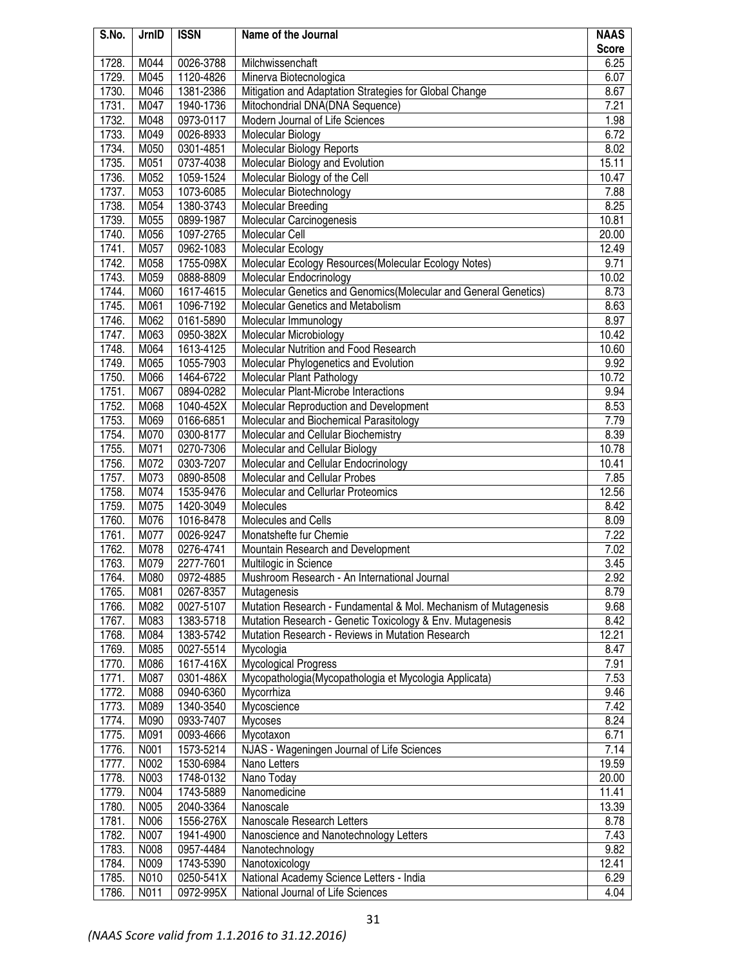| S.No. | JrnID | <b>ISSN</b> | Name of the Journal                                              | <b>NAAS</b>  |
|-------|-------|-------------|------------------------------------------------------------------|--------------|
|       |       |             |                                                                  | <b>Score</b> |
| 1728. | M044  | 0026-3788   | Milchwissenchaft                                                 | 6.25         |
| 1729. | M045  | 1120-4826   | Minerva Biotecnologica                                           | 6.07         |
| 1730. | M046  | 1381-2386   | Mitigation and Adaptation Strategies for Global Change           | 8.67         |
| 1731. | M047  | 1940-1736   | Mitochondrial DNA(DNA Sequence)                                  | 7.21         |
| 1732. | M048  | 0973-0117   | Modern Journal of Life Sciences                                  | 1.98         |
| 1733. | M049  | 0026-8933   | Molecular Biology                                                | 6.72         |
| 1734. | M050  | 0301-4851   | Molecular Biology Reports                                        | 8.02         |
| 1735. | M051  | 0737-4038   | Molecular Biology and Evolution                                  | 15.11        |
| 1736. | M052  | 1059-1524   | Molecular Biology of the Cell                                    | 10.47        |
| 1737. | M053  | 1073-6085   | Molecular Biotechnology                                          | 7.88         |
| 1738. | M054  | 1380-3743   | Molecular Breeding                                               | 8.25         |
| 1739. | M055  | 0899-1987   | Molecular Carcinogenesis                                         | 10.81        |
| 1740. | M056  | 1097-2765   | Molecular Cell                                                   | 20.00        |
| 1741. | M057  | 0962-1083   | Molecular Ecology                                                | 12.49        |
| 1742. | M058  | 1755-098X   | Molecular Ecology Resources(Molecular Ecology Notes)             | 9.71         |
| 1743. | M059  | 0888-8809   | Molecular Endocrinology                                          | 10.02        |
| 1744. | M060  | 1617-4615   | Molecular Genetics and Genomics (Molecular and General Genetics) | 8.73         |
| 1745. | M061  | 1096-7192   | Molecular Genetics and Metabolism                                | 8.63         |
| 1746. | M062  | 0161-5890   | Molecular Immunology                                             | 8.97         |
| 1747. | M063  | 0950-382X   | Molecular Microbiology                                           | 10.42        |
| 1748. | M064  | 1613-4125   | Molecular Nutrition and Food Research                            | 10.60        |
| 1749. | M065  | 1055-7903   | Molecular Phylogenetics and Evolution                            | 9.92         |
| 1750. | M066  | 1464-6722   | Molecular Plant Pathology                                        | 10.72        |
| 1751. | M067  | 0894-0282   | Molecular Plant-Microbe Interactions                             | 9.94         |
| 1752. | M068  | 1040-452X   | Molecular Reproduction and Development                           | 8.53         |
| 1753. | M069  | 0166-6851   | Molecular and Biochemical Parasitology                           | 7.79         |
| 1754. | M070  | 0300-8177   | Molecular and Cellular Biochemistry                              | 8.39         |
| 1755. | M071  | 0270-7306   | Molecular and Cellular Biology                                   | 10.78        |
| 1756. | M072  | 0303-7207   | Molecular and Cellular Endocrinology                             | 10.41        |
| 1757. | M073  | 0890-8508   | Molecular and Cellular Probes                                    | 7.85         |
| 1758. | M074  | 1535-9476   | Molecular and Cellurlar Proteomics                               | 12.56        |
| 1759. | M075  | 1420-3049   | Molecules                                                        | 8.42         |
| 1760. | M076  | 1016-8478   | Molecules and Cells                                              | 8.09         |
| 1761. | M077  | 0026-9247   | Monatshefte fur Chemie                                           | 7.22         |
| 1762. | M078  | 0276-4741   | Mountain Research and Development                                | 7.02         |
| 1763. | M079  | 2277-7601   | Multilogic in Science                                            | 3.45         |
| 1764. | M080  | 0972-4885   | Mushroom Research - An International Journal                     | 2.92         |
| 1765. | M081  | 0267-8357   | Mutagenesis                                                      | 8.79         |
| 1766. | M082  | 0027-5107   | Mutation Research - Fundamental & Mol. Mechanism of Mutagenesis  | 9.68         |
| 1767. | M083  | 1383-5718   | Mutation Research - Genetic Toxicology & Env. Mutagenesis        | 8.42         |
| 1768. | M084  | 1383-5742   | Mutation Research - Reviews in Mutation Research                 | 12.21        |
| 1769. | M085  | 0027-5514   | Mycologia                                                        | 8.47         |
| 1770. | M086  | 1617-416X   | Mycological Progress                                             | 7.91         |
| 1771. | M087  | 0301-486X   | Mycopathologia (Mycopathologia et Mycologia Applicata)           | 7.53         |
| 1772. | M088  | 0940-6360   | Mycorrhiza                                                       | 9.46         |
| 1773. | M089  | 1340-3540   | Mycoscience                                                      | 7.42         |
| 1774. | M090  | 0933-7407   | Mycoses                                                          | 8.24         |
| 1775. | M091  | 0093-4666   | Mycotaxon                                                        | 6.71         |
| 1776. | N001  | 1573-5214   | NJAS - Wageningen Journal of Life Sciences                       | 7.14         |
| 1777. | N002  | 1530-6984   | Nano Letters                                                     | 19.59        |
| 1778. | N003  | 1748-0132   | Nano Today                                                       | 20.00        |
| 1779. | N004  | 1743-5889   | Nanomedicine                                                     | 11.41        |
| 1780. | N005  | 2040-3364   | Nanoscale                                                        | 13.39        |
| 1781. | N006  | 1556-276X   | Nanoscale Research Letters                                       | 8.78         |
| 1782. | N007  | 1941-4900   | Nanoscience and Nanotechnology Letters                           | 7.43         |
| 1783. | N008  | 0957-4484   | Nanotechnology                                                   | 9.82         |
| 1784. | N009  | 1743-5390   | Nanotoxicology                                                   | 12.41        |
| 1785. | N010  | 0250-541X   | National Academy Science Letters - India                         | 6.29         |
| 1786. | N011  | 0972-995X   | National Journal of Life Sciences                                | 4.04         |
|       |       |             |                                                                  |              |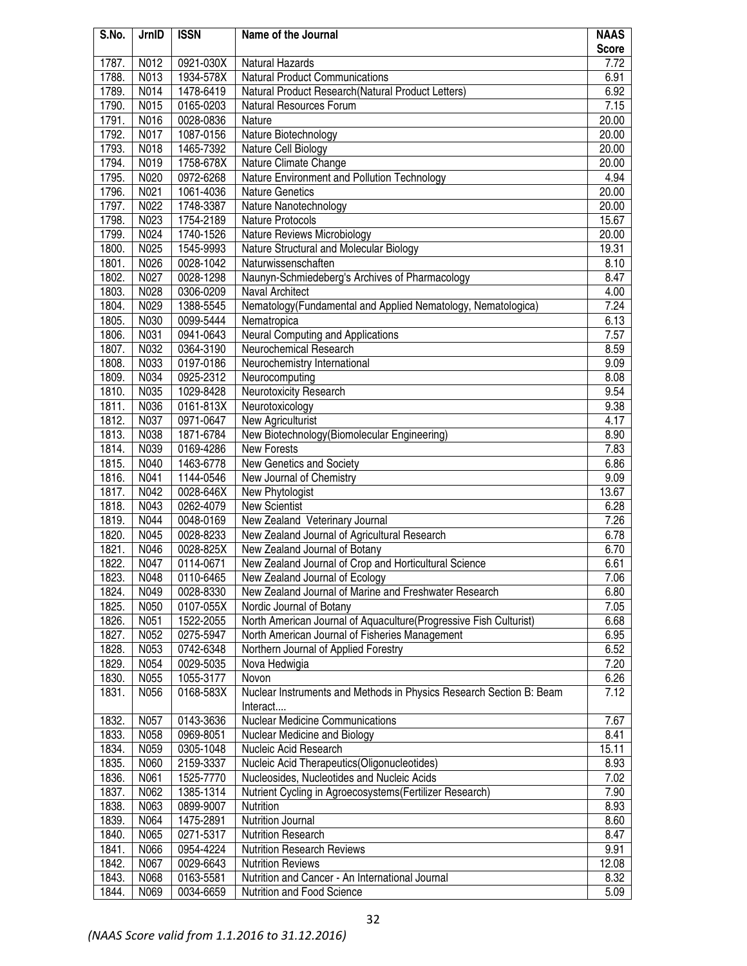| S.No. | JrnID | <b>ISSN</b> | Name of the Journal                                                 | <b>NAAS</b>  |
|-------|-------|-------------|---------------------------------------------------------------------|--------------|
|       |       |             |                                                                     | <b>Score</b> |
| 1787. | N012  | 0921-030X   | <b>Natural Hazards</b>                                              | 7.72         |
| 1788. | N013  | 1934-578X   | <b>Natural Product Communications</b>                               | 6.91         |
| 1789. | N014  | 1478-6419   | Natural Product Research(Natural Product Letters)                   | 6.92         |
| 1790. | N015  | 0165-0203   | Natural Resources Forum                                             | 7.15         |
| 1791. | N016  | 0028-0836   | Nature                                                              | 20.00        |
| 1792. | N017  | 1087-0156   | Nature Biotechnology                                                | 20.00        |
| 1793. | N018  | 1465-7392   | Nature Cell Biology                                                 | 20.00        |
| 1794. | N019  | 1758-678X   | Nature Climate Change                                               | 20.00        |
| 1795. | N020  | 0972-6268   | Nature Environment and Pollution Technology                         | 4.94         |
| 1796. | N021  | 1061-4036   | <b>Nature Genetics</b>                                              | 20.00        |
| 1797. | N022  | 1748-3387   | Nature Nanotechnology                                               | 20.00        |
| 1798. | N023  | 1754-2189   | <b>Nature Protocols</b>                                             | 15.67        |
| 1799. | N024  | 1740-1526   | Nature Reviews Microbiology                                         | 20.00        |
| 1800. | N025  | 1545-9993   | Nature Structural and Molecular Biology                             | 19.31        |
| 1801. | N026  | 0028-1042   | Naturwissenschaften                                                 | 8.10         |
| 1802. | N027  | 0028-1298   | Naunyn-Schmiedeberg's Archives of Pharmacology                      | 8.47         |
| 1803. | N028  | 0306-0209   | Naval Architect                                                     | 4.00         |
| 1804. | N029  | 1388-5545   | Nematology(Fundamental and Applied Nematology, Nematologica)        | 7.24         |
| 1805. | N030  | 0099-5444   | Nematropica                                                         | 6.13         |
| 1806. | N031  | 0941-0643   | <b>Neural Computing and Applications</b>                            | 7.57         |
| 1807. | N032  | 0364-3190   | Neurochemical Research                                              | 8.59         |
| 1808. | N033  | 0197-0186   | Neurochemistry International                                        | 9.09         |
| 1809. | N034  | 0925-2312   | Neurocomputing                                                      | 8.08         |
| 1810. | N035  | 1029-8428   | Neurotoxicity Research                                              | 9.54         |
| 1811. | N036  | 0161-813X   | Neurotoxicology                                                     | 9.38         |
| 1812. | N037  | 0971-0647   | New Agriculturist                                                   | 4.17         |
| 1813. | N038  | 1871-6784   | New Biotechnology (Biomolecular Engineering)                        | 8.90         |
| 1814. | N039  | 0169-4286   | <b>New Forests</b>                                                  | 7.83         |
| 1815. | N040  | 1463-6778   | New Genetics and Society                                            | 6.86         |
| 1816. | N041  | 1144-0546   | New Journal of Chemistry                                            | 9.09         |
| 1817. | N042  | 0028-646X   | New Phytologist                                                     | 13.67        |
| 1818. | N043  | 0262-4079   | New Scientist                                                       | 6.28         |
| 1819. | N044  | 0048-0169   | New Zealand Veterinary Journal                                      | 7.26         |
| 1820. | N045  | 0028-8233   | New Zealand Journal of Agricultural Research                        | 6.78         |
| 1821. | N046  | 0028-825X   | New Zealand Journal of Botany                                       | 6.70         |
| 1822. | N047  | 0114-0671   | New Zealand Journal of Crop and Horticultural Science               | 6.61         |
| 1823. | N048  | 0110-6465   | New Zealand Journal of Ecology                                      | 7.06         |
| 1824. | N049  | 0028-8330   | New Zealand Journal of Marine and Freshwater Research               | 6.80         |
| 1825. | N050  | 0107-055X   | Nordic Journal of Botany                                            | 7.05         |
| 1826. | N051  | 1522-2055   | North American Journal of Aquaculture(Progressive Fish Culturist)   | 6.68         |
| 1827. | N052  | 0275-5947   | North American Journal of Fisheries Management                      | 6.95         |
| 1828. | N053  | 0742-6348   | Northern Journal of Applied Forestry                                | 6.52         |
| 1829. | N054  | 0029-5035   | Nova Hedwigia                                                       | 7.20         |
| 1830. | N055  | 1055-3177   | Novon                                                               | 6.26         |
| 1831. | N056  | 0168-583X   | Nuclear Instruments and Methods in Physics Research Section B: Beam | 7.12         |
|       |       |             | Interact                                                            |              |
| 1832. | N057  | 0143-3636   | <b>Nuclear Medicine Communications</b>                              | 7.67         |
| 1833. | N058  | 0969-8051   | Nuclear Medicine and Biology                                        | 8.41         |
| 1834. | N059  | 0305-1048   | Nucleic Acid Research                                               | 15.11        |
| 1835. | N060  | 2159-3337   | Nucleic Acid Therapeutics(Oligonucleotides)                         | 8.93         |
| 1836. | N061  | 1525-7770   | Nucleosides, Nucleotides and Nucleic Acids                          | 7.02         |
| 1837. | N062  | 1385-1314   | Nutrient Cycling in Agroecosystems(Fertilizer Research)             | 7.90         |
| 1838. | N063  | 0899-9007   | Nutrition                                                           | 8.93         |
| 1839. | N064  | 1475-2891   | Nutrition Journal                                                   | 8.60         |
| 1840. | N065  | 0271-5317   | <b>Nutrition Research</b>                                           | 8.47         |
| 1841. | N066  | 0954-4224   | <b>Nutrition Research Reviews</b>                                   | 9.91         |
| 1842. | N067  | 0029-6643   | <b>Nutrition Reviews</b>                                            | 12.08        |
| 1843. | N068  | 0163-5581   | Nutrition and Cancer - An International Journal                     | 8.32         |
| 1844. | N069  | 0034-6659   | Nutrition and Food Science                                          | 5.09         |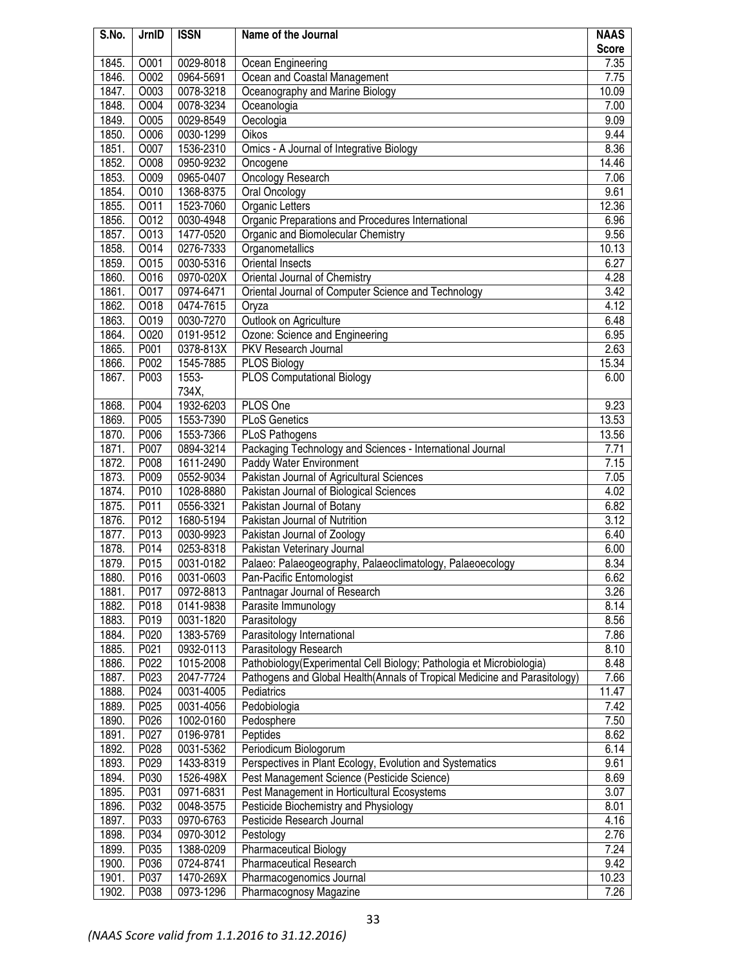| S.No. | JrnID        | <b>ISSN</b> | Name of the Journal                                                        | <b>NAAS</b>  |
|-------|--------------|-------------|----------------------------------------------------------------------------|--------------|
| 1845. | O001         | 0029-8018   |                                                                            | <b>Score</b> |
| 1846. | O002         | 0964-5691   | Ocean Engineering                                                          | 7.35<br>7.75 |
| 1847. | O003         | 0078-3218   | Ocean and Coastal Management<br>Oceanography and Marine Biology            | 10.09        |
|       |              |             |                                                                            |              |
| 1848. | O004<br>O005 | 0078-3234   | Oceanologia                                                                | 7.00         |
| 1849. |              | 0029-8549   | Oecologia                                                                  | 9.09         |
| 1850. | O006         | 0030-1299   | Oikos                                                                      | 9.44         |
| 1851. | O007         | 1536-2310   | Omics - A Journal of Integrative Biology                                   | 8.36         |
| 1852. | O008         | 0950-9232   | Oncogene                                                                   | 14.46        |
| 1853. | O009         | 0965-0407   | Oncology Research                                                          | 7.06         |
| 1854. | O010         | 1368-8375   | Oral Oncology                                                              | 9.61         |
| 1855. | O011         | 1523-7060   | <b>Organic Letters</b>                                                     | 12.36        |
| 1856. | O012         | 0030-4948   | Organic Preparations and Procedures International                          | 6.96         |
| 1857. | O013         | 1477-0520   | Organic and Biomolecular Chemistry                                         | 9.56         |
| 1858. | O014         | 0276-7333   | Organometallics                                                            | 10.13        |
| 1859. | O015         | 0030-5316   | <b>Oriental Insects</b>                                                    | 6.27         |
| 1860. | O016         | 0970-020X   | Oriental Journal of Chemistry                                              | 4.28         |
| 1861. | O017         | 0974-6471   | Oriental Journal of Computer Science and Technology                        | 3.42         |
| 1862. | O018         | 0474-7615   | Oryza                                                                      | 4.12         |
| 1863. | O019         | 0030-7270   | Outlook on Agriculture                                                     | 6.48         |
| 1864. | O020         | 0191-9512   | Ozone: Science and Engineering                                             | 6.95         |
| 1865. | P001         | 0378-813X   | PKV Research Journal                                                       | 2.63         |
| 1866. | P002         | 1545-7885   | <b>PLOS Biology</b>                                                        | 15.34        |
| 1867. | P003         | 1553-       | <b>PLOS Computational Biology</b>                                          | 6.00         |
|       |              | 734X,       |                                                                            |              |
| 1868. | P004         | 1932-6203   | PLOS One                                                                   | 9.23         |
| 1869. | P005         | 1553-7390   | <b>PLoS Genetics</b>                                                       | 13.53        |
| 1870. | P006         | 1553-7366   | PLoS Pathogens                                                             | 13.56        |
| 1871. | P007         | 0894-3214   | Packaging Technology and Sciences - International Journal                  | 7.71         |
| 1872. | P008         | 1611-2490   | Paddy Water Environment                                                    | 7.15         |
| 1873. | P009         | 0552-9034   | Pakistan Journal of Agricultural Sciences                                  | 7.05         |
| 1874. | P010         | 1028-8880   | Pakistan Journal of Biological Sciences                                    | 4.02         |
| 1875. | P011         | 0556-3321   | Pakistan Journal of Botany                                                 | 6.82         |
| 1876. | P012         | 1680-5194   | Pakistan Journal of Nutrition                                              | 3.12         |
| 1877. | P013         | 0030-9923   | Pakistan Journal of Zoology                                                | 6.40         |
| 1878. | P014         | 0253-8318   | Pakistan Veterinary Journal                                                | 6.00         |
| 1879. | P015         | 0031-0182   | Palaeo: Palaeogeography, Palaeoclimatology, Palaeoecology                  | 8.34         |
| 1880. | P016         | 0031-0603   | Pan-Pacific Entomologist                                                   | 6.62         |
| 1881. | P017         | 0972-8813   | Pantnagar Journal of Research                                              | 3.26         |
| 1882. | P018         | 0141-9838   | Parasite Immunology                                                        | 8.14         |
| 1883. | P019         | 0031-1820   | Parasitology                                                               | 8.56         |
| 1884. | P020         | 1383-5769   | Parasitology International                                                 | 7.86         |
| 1885. | P021         | 0932-0113   | Parasitology Research                                                      | 8.10         |
| 1886. | P022         | 1015-2008   | Pathobiology (Experimental Cell Biology; Pathologia et Microbiologia)      | 8.48         |
| 1887. | P023         | 2047-7724   | Pathogens and Global Health (Annals of Tropical Medicine and Parasitology) | 7.66         |
| 1888. | P024         | 0031-4005   | Pediatrics                                                                 | 11.47        |
| 1889. | P025         | 0031-4056   | Pedobiologia                                                               | 7.42         |
| 1890. | P026         | 1002-0160   | Pedosphere                                                                 | 7.50         |
| 1891. | P027         | 0196-9781   | Peptides                                                                   | 8.62         |
| 1892. | P028         | 0031-5362   | Periodicum Biologorum                                                      | 6.14         |
| 1893. | P029         | 1433-8319   | Perspectives in Plant Ecology, Evolution and Systematics                   | 9.61         |
| 1894. | P030         | 1526-498X   | Pest Management Science (Pesticide Science)                                | 8.69         |
| 1895. | P031         | 0971-6831   | Pest Management in Horticultural Ecosystems                                | 3.07         |
| 1896. | P032         | 0048-3575   | Pesticide Biochemistry and Physiology                                      | 8.01         |
| 1897. | P033         | 0970-6763   | Pesticide Research Journal                                                 | 4.16         |
| 1898. | P034         | 0970-3012   | Pestology                                                                  | 2.76         |
| 1899. | P035         | 1388-0209   | <b>Pharmaceutical Biology</b>                                              | 7.24         |
| 1900. | P036         | 0724-8741   | Pharmaceutical Research                                                    | 9.42         |
| 1901. | P037         | 1470-269X   | Pharmacogenomics Journal                                                   | 10.23        |
| 1902. | P038         | 0973-1296   | Pharmacognosy Magazine                                                     | 7.26         |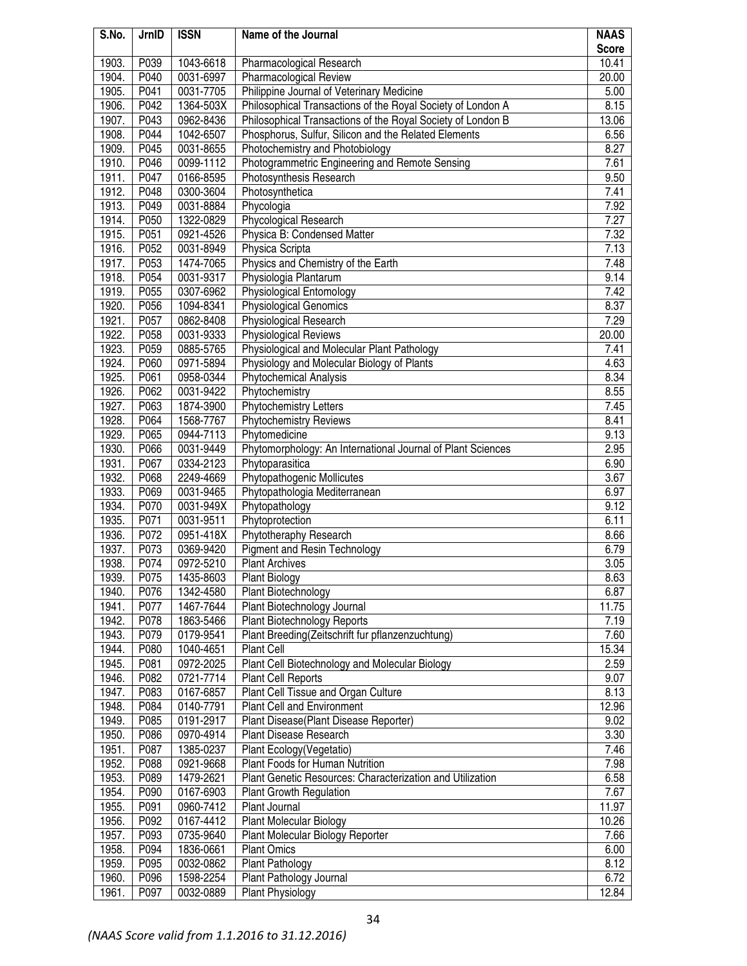| S.No. | JrnID             | <b>ISSN</b> | Name of the Journal                                         | <b>NAAS</b>  |
|-------|-------------------|-------------|-------------------------------------------------------------|--------------|
|       |                   |             |                                                             | <b>Score</b> |
| 1903. | P039              | 1043-6618   | Pharmacological Research                                    | 10.41        |
| 1904. | P040              | 0031-6997   | Pharmacological Review                                      | 20.00        |
| 1905. | P041              | 0031-7705   | Philippine Journal of Veterinary Medicine                   | 5.00         |
| 1906. | P042              | 1364-503X   | Philosophical Transactions of the Royal Society of London A | 8.15         |
| 1907. | P043              | 0962-8436   | Philosophical Transactions of the Royal Society of London B | 13.06        |
| 1908. | P044              | 1042-6507   | Phosphorus, Sulfur, Silicon and the Related Elements        | 6.56         |
| 1909. | P045              | 0031-8655   | Photochemistry and Photobiology                             | 8.27         |
| 1910. | P046              | 0099-1112   | Photogrammetric Engineering and Remote Sensing              | 7.61         |
| 1911. | P047              | 0166-8595   | Photosynthesis Research                                     | 9.50         |
| 1912. | P048              | 0300-3604   | Photosynthetica                                             | 7.41         |
| 1913. | P049              | 0031-8884   | Phycologia                                                  | 7.92         |
| 1914. | P050              | 1322-0829   | Phycological Research                                       | 7.27         |
| 1915. | $\overline{P051}$ | 0921-4526   | Physica B: Condensed Matter                                 | 7.32         |
| 1916. | P052              | 0031-8949   | Physica Scripta                                             | 7.13         |
| 1917. | P053              | 1474-7065   | Physics and Chemistry of the Earth                          | 7.48         |
| 1918. | P054              | 0031-9317   | Physiologia Plantarum                                       | 9.14         |
| 1919. | P055              | 0307-6962   | Physiological Entomology                                    | 7.42         |
| 1920. | P056              | 1094-8341   | Physiological Genomics                                      | 8.37         |
| 1921. | P057              | 0862-8408   | Physiological Research                                      | 7.29         |
| 1922. | P058              | 0031-9333   | <b>Physiological Reviews</b>                                | 20.00        |
| 1923. | P059              | 0885-5765   | Physiological and Molecular Plant Pathology                 | 7.41         |
| 1924. | P060              | 0971-5894   | Physiology and Molecular Biology of Plants                  | 4.63         |
| 1925. | P061              | 0958-0344   | <b>Phytochemical Analysis</b>                               | 8.34         |
| 1926. | P062              | 0031-9422   | Phytochemistry                                              | 8.55         |
| 1927. | P063              | 1874-3900   | Phytochemistry Letters                                      | 7.45         |
| 1928. | P064              | 1568-7767   | <b>Phytochemistry Reviews</b>                               | 8.41         |
| 1929. | P065              | 0944-7113   | Phytomedicine                                               | 9.13         |
| 1930. | P066              | 0031-9449   | Phytomorphology: An International Journal of Plant Sciences | 2.95         |
| 1931. | P067              | 0334-2123   | Phytoparasitica                                             | 6.90         |
| 1932. | P068              | 2249-4669   | Phytopathogenic Mollicutes                                  | 3.67         |
| 1933. | P069              | 0031-9465   | Phytopathologia Mediterranean                               | 6.97         |
| 1934. | P070              | 0031-949X   | Phytopathology                                              | 9.12         |
| 1935. | P071              | 0031-9511   | Phytoprotection                                             | 6.11         |
| 1936. | P072              | 0951-418X   | Phytotheraphy Research                                      | 8.66         |
| 1937. | P073              | 0369-9420   | <b>Pigment and Resin Technology</b>                         | 6.79         |
| 1938. | P074              | 0972-5210   | <b>Plant Archives</b>                                       | 3.05         |
| 1939. | P075              | 1435-8603   | Plant Biology                                               | 8.63         |
| 1940. | P076              | 1342-4580   | Plant Biotechnology                                         | 6.87         |
| 1941. | P077              | 1467-7644   | Plant Biotechnology Journal                                 | 11.75        |
| 1942. | P078              | 1863-5466   | Plant Biotechnology Reports                                 | 7.19         |
| 1943. | P079              | 0179-9541   | Plant Breeding(Zeitschrift fur pflanzenzuchtung)            | 7.60         |
| 1944. | P080              | 1040-4651   | <b>Plant Cell</b>                                           | 15.34        |
| 1945. | P081              | 0972-2025   | Plant Cell Biotechnology and Molecular Biology              | 2.59         |
| 1946. | P082              | 0721-7714   | Plant Cell Reports                                          | 9.07         |
| 1947. | P083              | 0167-6857   | Plant Cell Tissue and Organ Culture                         | 8.13         |
| 1948. | P084              | 0140-7791   | <b>Plant Cell and Environment</b>                           | 12.96        |
| 1949. | P085              | 0191-2917   | Plant Disease(Plant Disease Reporter)                       | 9.02         |
| 1950. | P086              | 0970-4914   | Plant Disease Research                                      | 3.30         |
| 1951. | P087              | 1385-0237   | Plant Ecology (Vegetatio)                                   | 7.46         |
| 1952. | P088              | 0921-9668   | Plant Foods for Human Nutrition                             | 7.98         |
| 1953. | P089              | 1479-2621   | Plant Genetic Resources: Characterization and Utilization   | 6.58         |
| 1954. | P090              | 0167-6903   | Plant Growth Regulation                                     | 7.67         |
| 1955. | P091              | 0960-7412   | Plant Journal                                               | 11.97        |
| 1956. | P092              | 0167-4412   | Plant Molecular Biology                                     | 10.26        |
| 1957. | P093              | 0735-9640   | Plant Molecular Biology Reporter                            | 7.66         |
| 1958. | P094              | 1836-0661   | <b>Plant Omics</b>                                          | 6.00         |
| 1959. | P095              | 0032-0862   | Plant Pathology                                             | 8.12         |
| 1960. | P096              | 1598-2254   | Plant Pathology Journal                                     | 6.72         |
| 1961. | P097              | 0032-0889   | Plant Physiology                                            | 12.84        |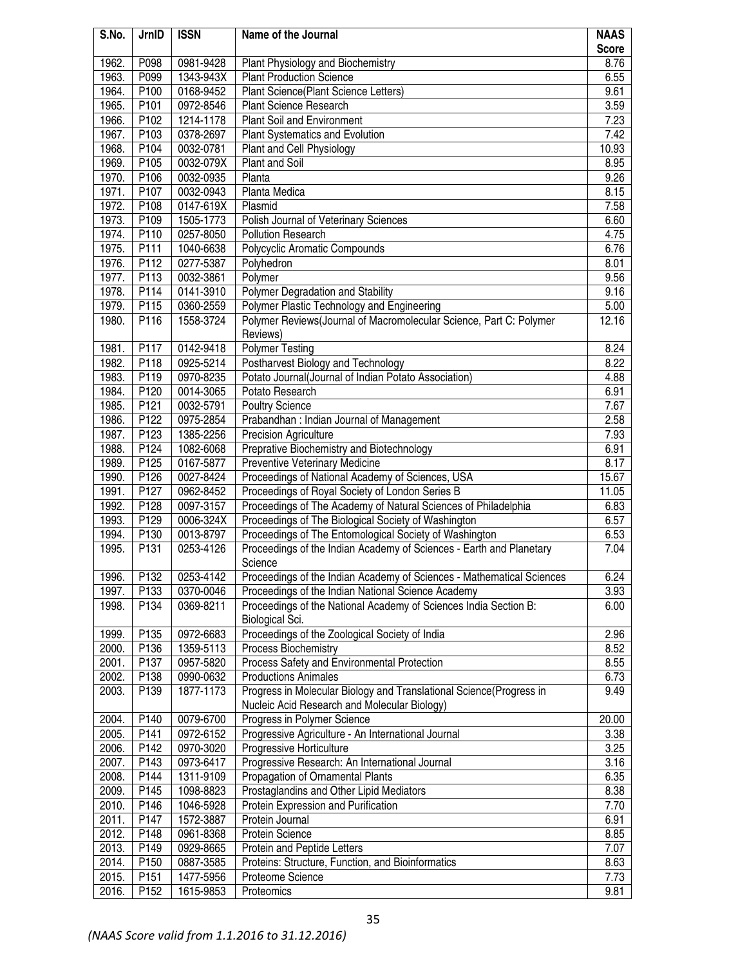| S.No.          | JrnID            | <b>ISSN</b>            | Name of the Journal                                                     | <b>NAAS</b>   |
|----------------|------------------|------------------------|-------------------------------------------------------------------------|---------------|
|                |                  |                        |                                                                         | <b>Score</b>  |
| 1962.          | P098             | 0981-9428              | Plant Physiology and Biochemistry                                       | 8.76          |
| 1963.          | P099             | 1343-943X              | <b>Plant Production Science</b><br>Plant Science(Plant Science Letters) | 6.55          |
| 1964.          | P100             | 0168-9452              |                                                                         | 9.61          |
| 1965.          | P101             | 0972-8546              | Plant Science Research                                                  | 3.59          |
| 1966.          | P102             | 1214-1178              | <b>Plant Soil and Environment</b>                                       | 7.23          |
| 1967.<br>1968. | P103<br>P104     | 0378-2697<br>0032-0781 | Plant Systematics and Evolution                                         | 7.42<br>10.93 |
| 1969.          | P105             | 0032-079X              | Plant and Cell Physiology<br>Plant and Soil                             | 8.95          |
| 1970.          | P106             | 0032-0935              | Planta                                                                  | 9.26          |
| 1971.          | P107             | 0032-0943              | Planta Medica                                                           | 8.15          |
| 1972.          | P108             | 0147-619X              | Plasmid                                                                 | 7.58          |
| 1973.          | P109             | 1505-1773              | Polish Journal of Veterinary Sciences                                   | 6.60          |
| 1974.          | P110             | 0257-8050              | <b>Pollution Research</b>                                               | 4.75          |
| 1975.          | P111             | 1040-6638              | Polycyclic Aromatic Compounds                                           | 6.76          |
| 1976.          | P112             | 0277-5387              | Polyhedron                                                              | 8.01          |
| 1977.          | P113             | 0032-3861              | Polymer                                                                 | 9.56          |
| 1978.          | P114             | 0141-3910              | Polymer Degradation and Stability                                       | 9.16          |
| 1979.          | P115             | 0360-2559              | Polymer Plastic Technology and Engineering                              | 5.00          |
| 1980.          | P116             | 1558-3724              | Polymer Reviews(Journal of Macromolecular Science, Part C: Polymer      | 12.16         |
|                |                  |                        | Reviews)                                                                |               |
| 1981.          | P117             | 0142-9418              | <b>Polymer Testing</b>                                                  | 8.24          |
| 1982.          | P118             | 0925-5214              | Postharvest Biology and Technology                                      | 8.22          |
| 1983.          | P119             | 0970-8235              | Potato Journal(Journal of Indian Potato Association)                    | 4.88          |
| 1984.          | P120             | 0014-3065              | Potato Research                                                         | 6.91          |
| 1985.          | P121             | 0032-5791              | <b>Poultry Science</b>                                                  | 7.67          |
| 1986.          | P122             | 0975-2854              | Prabandhan: Indian Journal of Management                                | 2.58          |
| 1987.          | P123             | 1385-2256              | Precision Agriculture                                                   | 7.93          |
| 1988.          | P124             | 1082-6068              | Preprative Biochemistry and Biotechnology                               | 6.91          |
| 1989.          | P125             | 0167-5877              | <b>Preventive Veterinary Medicine</b>                                   | 8.17          |
| 1990.          | P126             | 0027-8424              | Proceedings of National Academy of Sciences, USA                        | 15.67         |
| 1991.          | P127             | 0962-8452              | Proceedings of Royal Society of London Series B                         | 11.05         |
| 1992.          | P128             | 0097-3157              | Proceedings of The Academy of Natural Sciences of Philadelphia          | 6.83          |
| 1993.          | P129             | 0006-324X              | Proceedings of The Biological Society of Washington                     | 6.57          |
| 1994.          | P130             | 0013-8797              | Proceedings of The Entomological Society of Washington                  | 6.53          |
| 1995.          | P131             | 0253-4126              | Proceedings of the Indian Academy of Sciences - Earth and Planetary     | 7.04          |
|                |                  |                        | Science                                                                 |               |
| 1996.          | P <sub>132</sub> | 0253-4142              | Proceedings of the Indian Academy of Sciences - Mathematical Sciences   | 6.24          |
| 1997.          | P133             | 0370-0046              | Proceedings of the Indian National Science Academy                      | 3.93          |
| 1998.          | P134             | 0369-8211              | Proceedings of the National Academy of Sciences India Section B:        | 6.00          |
|                |                  |                        | Biological Sci.                                                         |               |
| 1999.          | P135             | 0972-6683              | Proceedings of the Zoological Society of India                          | 2.96          |
| 2000.          | P136             | 1359-5113              | Process Biochemistry                                                    | 8.52          |
| 2001.          | P <sub>137</sub> | 0957-5820              | Process Safety and Environmental Protection                             | 8.55          |
| 2002.          | P138             | 0990-0632              | <b>Productions Animales</b>                                             | 6.73          |
| 2003.          | P139             | 1877-1173              | Progress in Molecular Biology and Translational Science(Progress in     | 9.49          |
|                |                  |                        | Nucleic Acid Research and Molecular Biology)                            |               |
| 2004.          | P140             | 0079-6700              | Progress in Polymer Science                                             | 20.00         |
| 2005.          | P141             | 0972-6152              | Progressive Agriculture - An International Journal                      | 3.38          |
| 2006.          | P142             | 0970-3020              | Progressive Horticulture                                                | 3.25          |
| 2007.          | P143             | 0973-6417              | Progressive Research: An International Journal                          | 3.16          |
| 2008.          | P144             | 1311-9109              | Propagation of Ornamental Plants                                        | 6.35          |
| 2009.          | P145             | 1098-8823              | Prostaglandins and Other Lipid Mediators                                | 8.38          |
| 2010.          | P146             | 1046-5928              | Protein Expression and Purification                                     | 7.70          |
| 2011.          | P147             | 1572-3887              | Protein Journal                                                         | 6.91          |
| 2012.          | P148             | 0961-8368              | Protein Science                                                         | 8.85          |
| 2013.          | P149             | 0929-8665              | Protein and Peptide Letters                                             | 7.07          |
| 2014.          | P <sub>150</sub> | 0887-3585              | Proteins: Structure, Function, and Bioinformatics                       | 8.63          |
| 2015.          | P <sub>151</sub> | 1477-5956              | Proteome Science                                                        | 7.73          |
| 2016.          | P152             | 1615-9853              | Proteomics                                                              | 9.81          |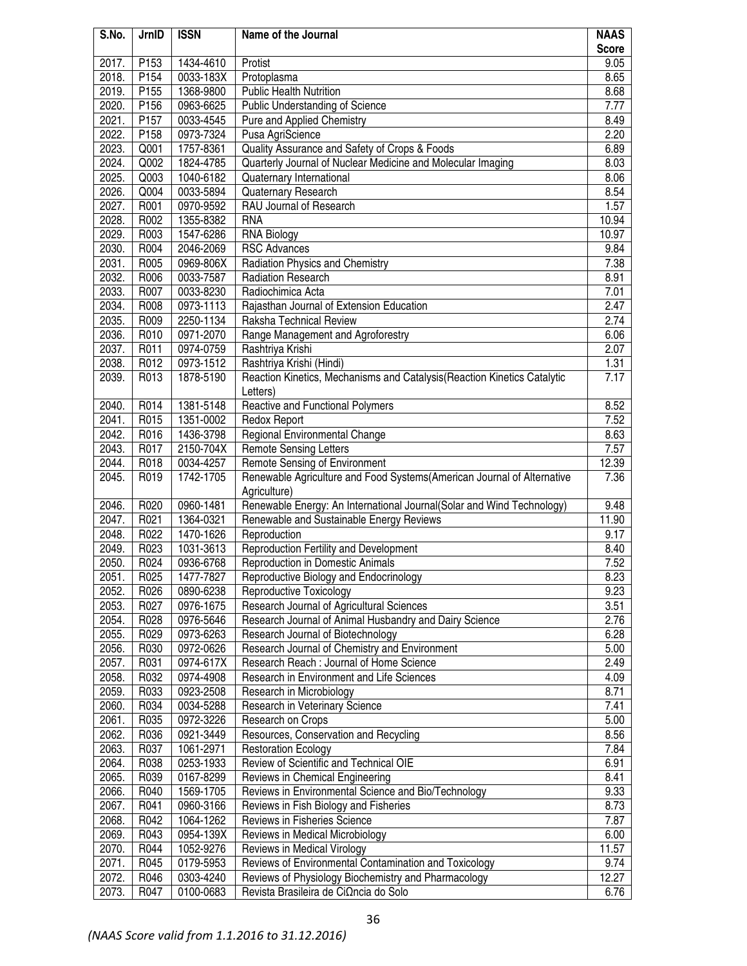| S.No. | JrnID            | <b>ISSN</b> | Name of the Journal                                                                   | <b>NAAS</b>  |
|-------|------------------|-------------|---------------------------------------------------------------------------------------|--------------|
|       |                  |             |                                                                                       | <b>Score</b> |
| 2017. | P153             | 1434-4610   | Protist                                                                               | 9.05         |
| 2018. | P154             | 0033-183X   | Protoplasma                                                                           | 8.65         |
| 2019. | P155             | 1368-9800   | <b>Public Health Nutrition</b>                                                        | 8.68         |
| 2020. | P156             | 0963-6625   | Public Understanding of Science                                                       | 7.77         |
| 2021. | P <sub>157</sub> | 0033-4545   | Pure and Applied Chemistry                                                            | 8.49         |
| 2022. | P158             | 0973-7324   | Pusa AgriScience                                                                      | 2.20         |
| 2023. | Q001             | 1757-8361   | Quality Assurance and Safety of Crops & Foods                                         | 6.89         |
| 2024. | Q002             | 1824-4785   | Quarterly Journal of Nuclear Medicine and Molecular Imaging                           | 8.03         |
| 2025. | Q003             | 1040-6182   | Quaternary International                                                              | 8.06         |
| 2026. | Q004             | 0033-5894   | Quaternary Research                                                                   | 8.54         |
| 2027. | R001             | 0970-9592   | RAU Journal of Research                                                               | 1.57         |
| 2028. | R002             | 1355-8382   | <b>RNA</b>                                                                            | 10.94        |
| 2029. | R003             | 1547-6286   | <b>RNA Biology</b>                                                                    | 10.97        |
| 2030. | R004             | 2046-2069   | <b>RSC Advances</b>                                                                   | 9.84         |
| 2031. | R005             | 0969-806X   | Radiation Physics and Chemistry                                                       | 7.38         |
| 2032. | R006             | 0033-7587   | Radiation Research                                                                    | 8.91         |
| 2033. | R007             | 0033-8230   | Radiochimica Acta                                                                     | 7.01         |
| 2034. | R008             | 0973-1113   | Rajasthan Journal of Extension Education                                              | 2.47         |
| 2035. | R009             | 2250-1134   | Raksha Technical Review                                                               | 2.74         |
| 2036. | R010             | 0971-2070   | Range Management and Agroforestry                                                     | 6.06         |
| 2037. | R011             | 0974-0759   | Rashtriya Krishi                                                                      | 2.07         |
| 2038. | R012             | 0973-1512   | Rashtriya Krishi (Hindi)                                                              | 1.31         |
| 2039. | R013             | 1878-5190   | Reaction Kinetics, Mechanisms and Catalysis (Reaction Kinetics Catalytic<br>Letters)  | 7.17         |
| 2040. | R014             | 1381-5148   | Reactive and Functional Polymers                                                      | 8.52         |
| 2041. | R015             | 1351-0002   | <b>Redox Report</b>                                                                   | 7.52         |
| 2042. | R016             | 1436-3798   | Regional Environmental Change                                                         | 8.63         |
| 2043. | R017             | 2150-704X   | <b>Remote Sensing Letters</b>                                                         | 7.57         |
| 2044. | R018             | 0034-4257   | Remote Sensing of Environment                                                         | 12.39        |
| 2045. | R019             | 1742-1705   | Renewable Agriculture and Food Systems(American Journal of Alternative                | 7.36         |
| 2046. | R020             | 0960-1481   | Agriculture)<br>Renewable Energy: An International Journal(Solar and Wind Technology) | 9.48         |
| 2047. | R021             | 1364-0321   | Renewable and Sustainable Energy Reviews                                              | 11.90        |
| 2048. | R022             | 1470-1626   | Reproduction                                                                          | 9.17         |
| 2049. | R023             | 1031-3613   | Reproduction Fertility and Development                                                | 8.40         |
| 2050. | R024             | 0936-6768   | <b>Reproduction in Domestic Animals</b>                                               | 7.52         |
| 2051. | R025             | 1477-7827   | Reproductive Biology and Endocrinology                                                | 8.23         |
| 2052. | R026             | 0890-6238   | Reproductive Toxicology                                                               | 9.23         |
| 2053. | R027             | 0976-1675   | Research Journal of Agricultural Sciences                                             | 3.51         |
| 2054. | R028             | 0976-5646   | Research Journal of Animal Husbandry and Dairy Science                                | 2.76         |
| 2055. | R029             | 0973-6263   | Research Journal of Biotechnology                                                     | 6.28         |
| 2056. | R030             | 0972-0626   | Research Journal of Chemistry and Environment                                         | 5.00         |
| 2057. | R031             | 0974-617X   | Research Reach: Journal of Home Science                                               | 2.49         |
| 2058. | R032             | 0974-4908   | Research in Environment and Life Sciences                                             | 4.09         |
| 2059. | R033             | 0923-2508   | Research in Microbiology                                                              | 8.71         |
| 2060. | R034             | 0034-5288   | Research in Veterinary Science                                                        | 7.41         |
| 2061. | R035             | 0972-3226   | Research on Crops                                                                     | 5.00         |
| 2062. | R036             | 0921-3449   | Resources, Conservation and Recycling                                                 | 8.56         |
| 2063. | R037             | 1061-2971   | <b>Restoration Ecology</b>                                                            | 7.84         |
| 2064. | R038             | 0253-1933   | Review of Scientific and Technical OIE                                                | 6.91         |
| 2065. | R039             | 0167-8299   | Reviews in Chemical Engineering                                                       | 8.41         |
| 2066. | R040             | 1569-1705   | Reviews in Environmental Science and Bio/Technology                                   | 9.33         |
| 2067. | R041             | 0960-3166   | Reviews in Fish Biology and Fisheries                                                 | 8.73         |
| 2068. | R042             | 1064-1262   | Reviews in Fisheries Science                                                          | 7.87         |
| 2069. | R043             | 0954-139X   | Reviews in Medical Microbiology                                                       | 6.00         |
| 2070. | R044             | 1052-9276   | Reviews in Medical Virology                                                           | 11.57        |
| 2071. | R045             | 0179-5953   | Reviews of Environmental Contamination and Toxicology                                 | 9.74         |
| 2072. | R046             | 0303-4240   | Reviews of Physiology Biochemistry and Pharmacology                                   | 12.27        |
| 2073. | R047             | 0100-0683   | Revista Brasileira de CiΩncia do Solo                                                 | 6.76         |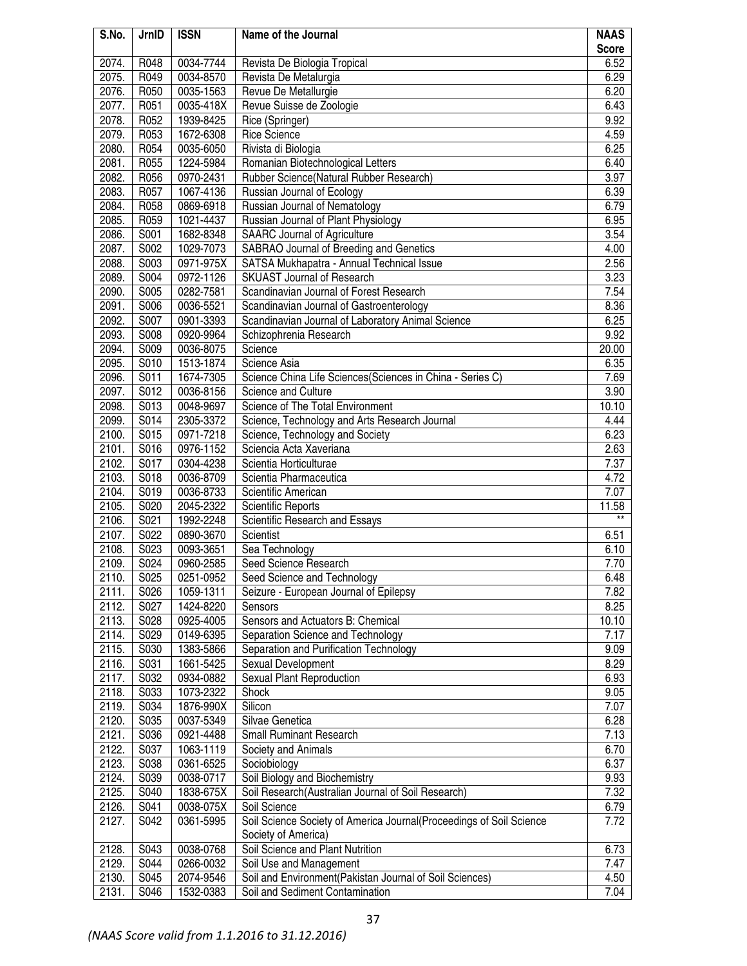| S.No.          | JrnID        | <b>ISSN</b>            | Name of the Journal                                                 | <b>NAAS</b>              |
|----------------|--------------|------------------------|---------------------------------------------------------------------|--------------------------|
|                |              |                        |                                                                     | <b>Score</b>             |
| 2074.          | R048         | 0034-7744              | Revista De Biologia Tropical                                        | 6.52                     |
| 2075.          | R049         | 0034-8570              | Revista De Metalurgia                                               | 6.29                     |
| 2076.          | R050         | 0035-1563              | Revue De Metallurgie                                                | 6.20                     |
| 2077.          | R051         | 0035-418X              | Revue Suisse de Zoologie                                            | 6.43                     |
| 2078.          | R052         | 1939-8425              | Rice (Springer)                                                     | 9.92                     |
| 2079.          | R053         | 1672-6308              | <b>Rice Science</b>                                                 | 4.59                     |
| 2080.          | R054         | 0035-6050              | Rivista di Biologia                                                 | 6.25                     |
| 2081.          | R055         | 1224-5984              | Romanian Biotechnological Letters                                   | 6.40                     |
| 2082.          | R056         | 0970-2431              | Rubber Science(Natural Rubber Research)                             | 3.97                     |
| 2083.          | R057         | 1067-4136              | Russian Journal of Ecology                                          | 6.39                     |
| 2084.          | R058         | 0869-6918              | Russian Journal of Nematology                                       | 6.79                     |
| 2085.          | R059         | 1021-4437              | Russian Journal of Plant Physiology                                 | 6.95                     |
| 2086.          | S001         | 1682-8348              | <b>SAARC Journal of Agriculture</b>                                 | 3.54                     |
| 2087.          | S002         | 1029-7073              | SABRAO Journal of Breeding and Genetics                             | 4.00                     |
| 2088.          | S003         | 0971-975X              | SATSA Mukhapatra - Annual Technical Issue                           | 2.56                     |
| 2089.          | S004         | 0972-1126              | <b>SKUAST Journal of Research</b>                                   | 3.23                     |
| 2090.<br>2091. | S005         | 0282-7581              | Scandinavian Journal of Forest Research                             | 7.54                     |
|                | S006         | 0036-5521              | Scandinavian Journal of Gastroenterology                            | 8.36                     |
| 2092.          | S007         | 0901-3393              | Scandinavian Journal of Laboratory Animal Science                   | 6.25                     |
| 2093.          | S008         | 0920-9964              | Schizophrenia Research                                              | 9.92                     |
| 2094.          | S009         | 0036-8075              | Science                                                             | 20.00                    |
| 2095.          | S010         | 1513-1874              | Science Asia                                                        | 6.35                     |
| 2096.          | S011         | 1674-7305              | Science China Life Sciences (Sciences in China - Series C)          | 7.69                     |
| 2097.          | S012         | 0036-8156              | Science and Culture                                                 | 3.90                     |
| 2098.          | S013         | 0048-9697              | Science of The Total Environment                                    | 10.10                    |
| 2099.          | S014         | 2305-3372              | Science, Technology and Arts Research Journal                       | 4.44                     |
| 2100.          | S015         | 0971-7218              | Science, Technology and Society                                     | 6.23                     |
| 2101.          | S016         | 0976-1152              | Sciencia Acta Xaveriana                                             | 2.63                     |
| 2102.          | S017         | 0304-4238              | Scientia Horticulturae                                              | 7.37                     |
| 2103.          | S018         | 0036-8709              | Scientia Pharmaceutica                                              | 4.72                     |
| 2104.          | S019         | 0036-8733              | Scientific American                                                 | 7.07                     |
| 2105.<br>2106. | S020<br>S021 | 2045-2322<br>1992-2248 | Scientific Reports<br>Scientific Research and Essays                | 11.58<br>$^{\star\star}$ |
| 2107.          | S022         | 0890-3670              | Scientist                                                           | 6.51                     |
| 2108.          | S023         | 0093-3651              | Sea Technology                                                      | 6.10                     |
| 2109.          | S024         | 0960-2585              | Seed Science Research                                               | 7.70                     |
| 2110.          | S025         | 0251-0952              | Seed Science and Technology                                         | 6.48                     |
| 2111.          | S026         | 1059-1311              | Seizure - European Journal of Epilepsy                              | 7.82                     |
| 2112.          | S027         | 1424-8220              | Sensors                                                             | 8.25                     |
| 2113.          | S028         | 0925-4005              | Sensors and Actuators B: Chemical                                   | 10.10                    |
| 2114.          | S029         | 0149-6395              | Separation Science and Technology                                   | 7.17                     |
| 2115.          | S030         | 1383-5866              | Separation and Purification Technology                              | 9.09                     |
| 2116.          | S031         | 1661-5425              | Sexual Development                                                  | 8.29                     |
| 2117.          | S032         | 0934-0882              | Sexual Plant Reproduction                                           | 6.93                     |
| 2118.          | S033         | 1073-2322              | Shock                                                               | 9.05                     |
| 2119.          | S034         | 1876-990X              | Silicon                                                             | 7.07                     |
| 2120.          | S035         | 0037-5349              | Silvae Genetica                                                     | 6.28                     |
| 2121.          | S036         | 0921-4488              | <b>Small Ruminant Research</b>                                      | 7.13                     |
| 2122.          | S037         | 1063-1119              | Society and Animals                                                 | 6.70                     |
| 2123.          | S038         | 0361-6525              | Sociobiology                                                        | 6.37                     |
| 2124.          | S039         | 0038-0717              | Soil Biology and Biochemistry                                       | 9.93                     |
| 2125.          | S040         | 1838-675X              | Soil Research(Australian Journal of Soil Research)                  | 7.32                     |
| 2126.          | S041         | 0038-075X              | Soil Science                                                        | 6.79                     |
| 2127.          | S042         | 0361-5995              | Soil Science Society of America Journal(Proceedings of Soil Science | 7.72                     |
|                |              |                        | Society of America)                                                 |                          |
| 2128.          | S043         | 0038-0768              | Soil Science and Plant Nutrition                                    | 6.73                     |
| 2129.          | S044         | 0266-0032              | Soil Use and Management                                             | 7.47                     |
| 2130.          | S045         | 2074-9546              | Soil and Environment(Pakistan Journal of Soil Sciences)             | 4.50                     |
| 2131.          | S046         | 1532-0383              | Soil and Sediment Contamination                                     | 7.04                     |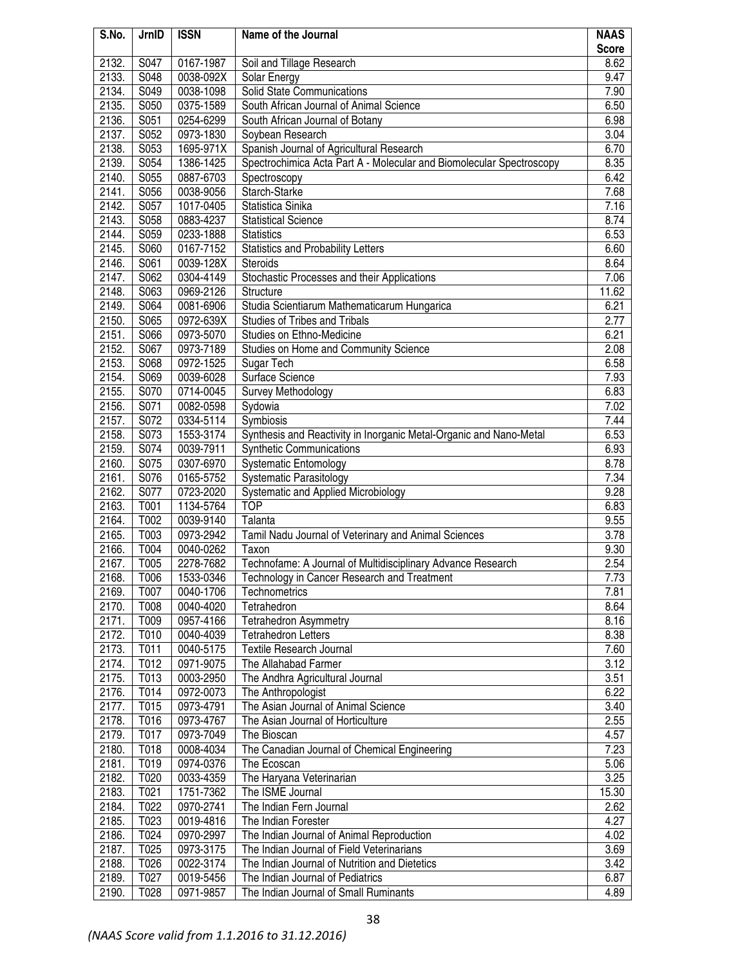| S.No.          | JrnID        | <b>ISSN</b>            | Name of the Journal                                                  | <b>NAAS</b>  |
|----------------|--------------|------------------------|----------------------------------------------------------------------|--------------|
|                |              |                        |                                                                      | <b>Score</b> |
| 2132.          | S047         | 0167-1987              | Soil and Tillage Research                                            | 8.62         |
| 2133.          | S048         | 0038-092X              | Solar Energy                                                         | 9.47         |
| 2134.          | S049         | 0038-1098              | Solid State Communications                                           | 7.90         |
| 2135.          | S050         | 0375-1589              | South African Journal of Animal Science                              | 6.50         |
| 2136.          | S051         | 0254-6299              | South African Journal of Botany                                      | 6.98         |
| 2137.          | S052         | 0973-1830              | Soybean Research                                                     | 3.04         |
| 2138.          | S053         | 1695-971X              | Spanish Journal of Agricultural Research                             | 6.70         |
| 2139.          | S054         | 1386-1425              | Spectrochimica Acta Part A - Molecular and Biomolecular Spectroscopy | 8.35         |
| 2140.          | S055         | 0887-6703              | Spectroscopy                                                         | 6.42         |
| 2141.          | S056         | 0038-9056              | Starch-Starke                                                        | 7.68         |
| 2142.<br>2143. | S057<br>S058 | 1017-0405              | Statistica Sinika                                                    | 7.16<br>8.74 |
| 2144.          | S059         | 0883-4237<br>0233-1888 | <b>Statistical Science</b><br><b>Statistics</b>                      | 6.53         |
| 2145.          | S060         | 0167-7152              | <b>Statistics and Probability Letters</b>                            | 6.60         |
| 2146.          | S061         | 0039-128X              | Steroids                                                             | 8.64         |
| 2147.          | S062         | 0304-4149              | Stochastic Processes and their Applications                          | 7.06         |
| 2148.          | S063         | 0969-2126              | Structure                                                            | 11.62        |
| 2149.          | S064         | 0081-6906              | Studia Scientiarum Mathematicarum Hungarica                          | 6.21         |
| 2150.          | S065         | 0972-639X              | Studies of Tribes and Tribals                                        | 2.77         |
| 2151.          | S066         | 0973-5070              | Studies on Ethno-Medicine                                            | 6.21         |
| 2152.          | S067         | 0973-7189              | Studies on Home and Community Science                                | 2.08         |
| 2153.          | S068         | 0972-1525              | Sugar Tech                                                           | 6.58         |
| 2154.          | S069         | 0039-6028              | Surface Science                                                      | 7.93         |
| 2155.          | S070         | 0714-0045              | Survey Methodology                                                   | 6.83         |
| 2156.          | S071         | 0082-0598              | Sydowia                                                              | 7.02         |
| 2157.          | S072         | 0334-5114              | Symbiosis                                                            | 7.44         |
| 2158.          | S073         | 1553-3174              | Synthesis and Reactivity in Inorganic Metal-Organic and Nano-Metal   | 6.53         |
| 2159.          | S074         | 0039-7911              | <b>Synthetic Communications</b>                                      | 6.93         |
| 2160.          | S075         | 0307-6970              | Systematic Entomology                                                | 8.78         |
| 2161.          | S076         | 0165-5752              | Systematic Parasitology                                              | 7.34         |
| 2162.          | S077         | 0723-2020              | Systematic and Applied Microbiology                                  | 9.28         |
| 2163.          | T001         | 1134-5764              | <b>TOP</b>                                                           | 6.83         |
| 2164.          | T002         | 0039-9140              | Talanta                                                              | 9.55         |
| 2165.          | T003         | 0973-2942              | Tamil Nadu Journal of Veterinary and Animal Sciences                 | 3.78         |
| 2166.          | T004         | 0040-0262              | Taxon                                                                | 9.30         |
| 2167.          | T005         | 2278-7682              | Technofame: A Journal of Multidisciplinary Advance Research          | 2.54         |
| 2168.          | T006         | 1533-0346              | Technology in Cancer Research and Treatment                          | 7.73         |
| 2169.          | T007         | 0040-1706              | Technometrics                                                        | 7.81         |
| 2170.          | T008         | 0040-4020              | Tetrahedron                                                          | 8.64         |
| 2171.          | T009         | 0957-4166              | <b>Tetrahedron Asymmetry</b>                                         | 8.16         |
| 2172.          | T010         | 0040-4039              | <b>Tetrahedron Letters</b>                                           | 8.38         |
| 2173.          | T011         | 0040-5175              | <b>Textile Research Journal</b>                                      | 7.60         |
| 2174.          | T012         | 0971-9075              | The Allahabad Farmer                                                 | 3.12         |
| 2175.          | T013         | 0003-2950              | The Andhra Agricultural Journal                                      | 3.51         |
| 2176.          | T014         | 0972-0073              | The Anthropologist                                                   | 6.22         |
| 2177.          | T015         | 0973-4791              | The Asian Journal of Animal Science                                  | 3.40         |
| 2178.          | T016         | 0973-4767              | The Asian Journal of Horticulture                                    | 2.55         |
| 2179.          | T017         | 0973-7049              | The Bioscan                                                          | 4.57         |
| 2180.          | T018         | 0008-4034              | The Canadian Journal of Chemical Engineering                         | 7.23         |
| 2181.          | T019         | 0974-0376              | The Ecoscan                                                          | 5.06         |
| 2182.          | T020         | 0033-4359              | The Haryana Veterinarian                                             | 3.25         |
| 2183.          | T021         | 1751-7362              | The ISME Journal                                                     | 15.30        |
| 2184.          | T022         | 0970-2741              | The Indian Fern Journal                                              | 2.62         |
| 2185.          | T023         | 0019-4816              | The Indian Forester                                                  | 4.27         |
| 2186.          | T024         | 0970-2997              | The Indian Journal of Animal Reproduction                            | 4.02         |
| 2187.          | T025         | 0973-3175              | The Indian Journal of Field Veterinarians                            | 3.69         |
| 2188.          | T026         | 0022-3174              | The Indian Journal of Nutrition and Dietetics                        | 3.42         |
| 2189.          | T027         | 0019-5456              | The Indian Journal of Pediatrics                                     | 6.87         |
| 2190.          | T028         | 0971-9857              | The Indian Journal of Small Ruminants                                | 4.89         |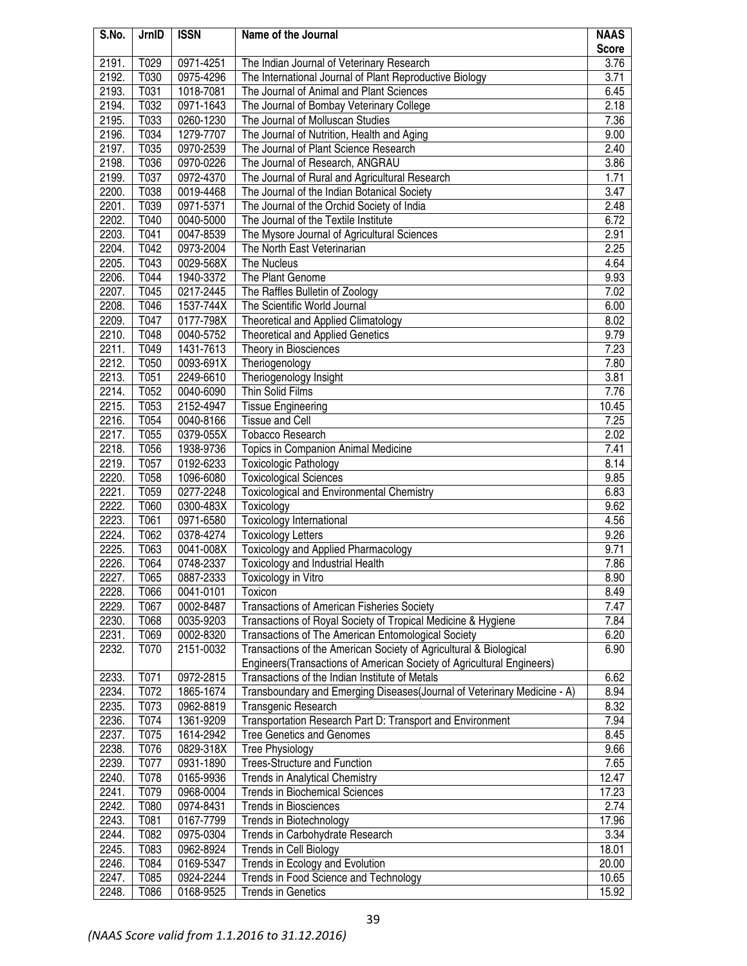| S.No. | JrnID             | <b>ISSN</b> | Name of the Journal                                                     | <b>NAAS</b>  |
|-------|-------------------|-------------|-------------------------------------------------------------------------|--------------|
|       |                   |             |                                                                         | <b>Score</b> |
| 2191. | T029              | 0971-4251   | The Indian Journal of Veterinary Research                               | 3.76         |
| 2192. | T030              | 0975-4296   | The International Journal of Plant Reproductive Biology                 | 3.71         |
| 2193. | T031              | 1018-7081   | The Journal of Animal and Plant Sciences                                | 6.45         |
| 2194. | T032              | 0971-1643   | The Journal of Bombay Veterinary College                                | 2.18         |
| 2195. | T033              | 0260-1230   | The Journal of Molluscan Studies                                        | 7.36         |
| 2196. | T034              | 1279-7707   | The Journal of Nutrition, Health and Aging                              | 9.00         |
| 2197. | T035              | 0970-2539   | The Journal of Plant Science Research                                   | 2.40         |
| 2198. | T036              | 0970-0226   | The Journal of Research, ANGRAU                                         | 3.86         |
| 2199. | T037              | 0972-4370   | The Journal of Rural and Agricultural Research                          | 1.71         |
| 2200. | T038              | 0019-4468   | The Journal of the Indian Botanical Society                             | 3.47         |
| 2201. | T039              | 0971-5371   | The Journal of the Orchid Society of India                              | 2.48         |
| 2202. | T040              | 0040-5000   | The Journal of the Textile Institute                                    | 6.72         |
| 2203. | $\overline{T}041$ | 0047-8539   | The Mysore Journal of Agricultural Sciences                             | 2.91         |
| 2204. | T042              | 0973-2004   | The North East Veterinarian                                             | 2.25         |
| 2205. | T043              | 0029-568X   | The Nucleus                                                             | 4.64         |
| 2206. | T044              | 1940-3372   | The Plant Genome                                                        | 9.93         |
| 2207. | T045              | 0217-2445   | The Raffles Bulletin of Zoology                                         | 7.02         |
| 2208. | T046              | 1537-744X   | The Scientific World Journal                                            | 6.00         |
| 2209. | T047              | 0177-798X   | Theoretical and Applied Climatology                                     | 8.02         |
| 2210. | T048              | 0040-5752   | <b>Theoretical and Applied Genetics</b>                                 | 9.79         |
| 2211. | T049              | 1431-7613   | Theory in Biosciences                                                   | 7.23         |
| 2212. | T050              | 0093-691X   | Theriogenology                                                          | 7.80         |
| 2213. | T051              | 2249-6610   | Theriogenology Insight                                                  | 3.81         |
| 2214. | T052              | 0040-6090   | Thin Solid Films                                                        | 7.76         |
| 2215. | T053              | 2152-4947   | <b>Tissue Engineering</b>                                               | 10.45        |
| 2216. | T054              | 0040-8166   | <b>Tissue and Cell</b>                                                  | 7.25         |
| 2217. | T055              | 0379-055X   | <b>Tobacco Research</b>                                                 | 2.02         |
| 2218. | T056              | 1938-9736   | Topics in Companion Animal Medicine                                     | 7.41         |
| 2219. | T057              | 0192-6233   | <b>Toxicologic Pathology</b>                                            | 8.14         |
| 2220. | T058              | 1096-6080   | <b>Toxicological Sciences</b>                                           | 9.85         |
| 2221. | T059              | 0277-2248   | Toxicological and Environmental Chemistry                               | 6.83         |
| 2222. | T060              | 0300-483X   | Toxicology                                                              | 9.62         |
| 2223. | T061              | 0971-6580   | Toxicology International                                                | 4.56         |
| 2224. | T062              | 0378-4274   | <b>Toxicology Letters</b>                                               | 9.26         |
| 2225. | T063              | 0041-008X   | <b>Toxicology and Applied Pharmacology</b>                              | 9.71         |
| 2226. | T064              | 0748-2337   | <b>Toxicology and Industrial Health</b>                                 | 7.86         |
| 2227. | T065              | 0887-2333   | Toxicology in Vitro                                                     | 8.90         |
| 2228. | T066              | 0041-0101   | Toxicon                                                                 | 8.49         |
| 2229. | T067              | 0002-8487   | Transactions of American Fisheries Society                              | 7.47         |
| 2230. | T068              | 0035-9203   | Transactions of Royal Society of Tropical Medicine & Hygiene            | 7.84         |
| 2231. | T069              | 0002-8320   | Transactions of The American Entomological Society                      | 6.20         |
| 2232. | T070              | 2151-0032   | Transactions of the American Society of Agricultural & Biological       | 6.90         |
|       |                   |             | Engineers (Transactions of American Society of Agricultural Engineers)  |              |
| 2233. | T071              | 0972-2815   | Transactions of the Indian Institute of Metals                          | 6.62         |
| 2234. | T072              | 1865-1674   | Transboundary and Emerging Diseases(Journal of Veterinary Medicine - A) | 8.94         |
| 2235. | T073              | 0962-8819   | Transgenic Research                                                     | 8.32         |
| 2236. | T074              | 1361-9209   | Transportation Research Part D: Transport and Environment               | 7.94         |
| 2237. | T075              | 1614-2942   | <b>Tree Genetics and Genomes</b>                                        | 8.45         |
| 2238. | T076              | 0829-318X   | <b>Tree Physiology</b>                                                  | 9.66         |
| 2239. | T077              | 0931-1890   | Trees-Structure and Function                                            | 7.65         |
| 2240. | T078              | 0165-9936   | Trends in Analytical Chemistry                                          | 12.47        |
| 2241. | T079              | 0968-0004   | <b>Trends in Biochemical Sciences</b>                                   | 17.23        |
| 2242. | T080              | 0974-8431   | Trends in Biosciences                                                   | 2.74         |
| 2243. | T081              | 0167-7799   | Trends in Biotechnology                                                 | 17.96        |
| 2244. | T082              | 0975-0304   | Trends in Carbohydrate Research                                         | 3.34         |
| 2245. | T083              | 0962-8924   | Trends in Cell Biology                                                  | 18.01        |
| 2246. | T084              | 0169-5347   | Trends in Ecology and Evolution                                         | 20.00        |
| 2247. | T085              | 0924-2244   | Trends in Food Science and Technology                                   | 10.65        |
| 2248. | T086              | 0168-9525   | <b>Trends in Genetics</b>                                               | 15.92        |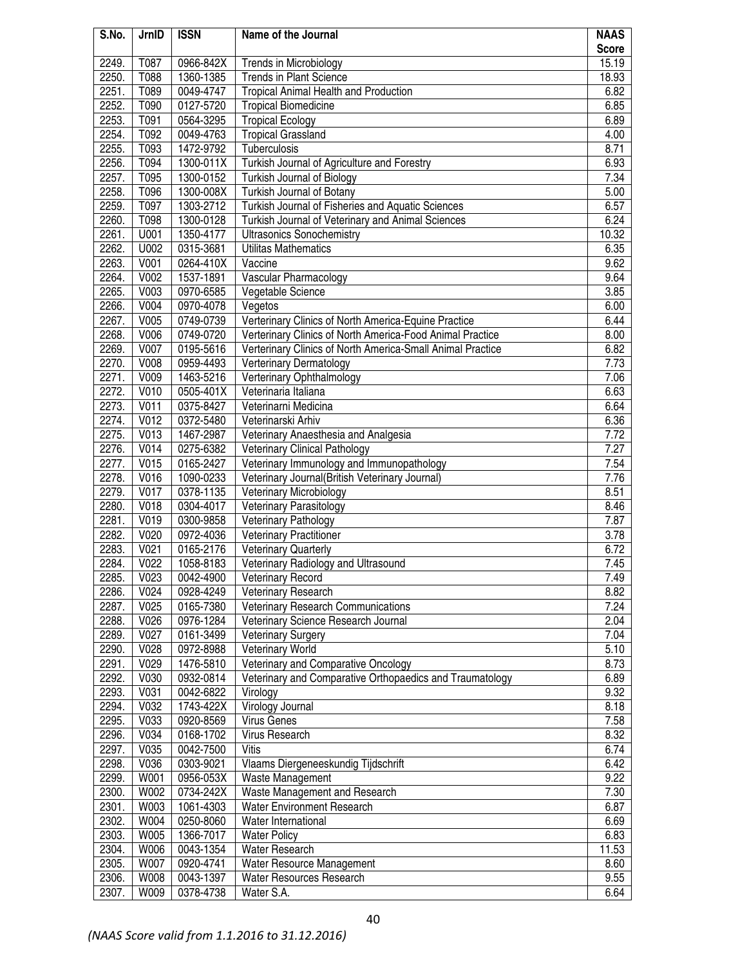| S.No. | JrnID | <b>ISSN</b> | Name of the Journal                                        | <b>NAAS</b>  |
|-------|-------|-------------|------------------------------------------------------------|--------------|
|       |       |             |                                                            | <b>Score</b> |
| 2249. | T087  | 0966-842X   | <b>Trends in Microbiology</b>                              | 15.19        |
| 2250. | T088  | 1360-1385   | <b>Trends in Plant Science</b>                             | 18.93        |
| 2251. | T089  | 0049-4747   | Tropical Animal Health and Production                      | 6.82         |
| 2252. | T090  | 0127-5720   | <b>Tropical Biomedicine</b>                                | 6.85         |
| 2253. | T091  | 0564-3295   | <b>Tropical Ecology</b>                                    | 6.89         |
| 2254. | T092  | 0049-4763   | <b>Tropical Grassland</b>                                  | 4.00         |
| 2255. | T093  | 1472-9792   | Tuberculosis                                               | 8.71         |
| 2256. | T094  | 1300-011X   | Turkish Journal of Agriculture and Forestry                | 6.93         |
| 2257. | T095  | 1300-0152   | Turkish Journal of Biology                                 | 7.34         |
| 2258. | T096  | 1300-008X   | Turkish Journal of Botany                                  | 5.00         |
| 2259. | T097  | 1303-2712   | Turkish Journal of Fisheries and Aquatic Sciences          | 6.57         |
| 2260. | T098  | 1300-0128   | Turkish Journal of Veterinary and Animal Sciences          | 6.24         |
| 2261. | U001  | 1350-4177   | <b>Ultrasonics Sonochemistry</b>                           | 10.32        |
| 2262. | U002  | 0315-3681   | Utilitas Mathematics                                       | 6.35         |
| 2263. | V001  | 0264-410X   | Vaccine                                                    | 9.62         |
| 2264. | V002  | 1537-1891   | Vascular Pharmacology                                      | 9.64         |
| 2265. | V003  | 0970-6585   | Vegetable Science                                          | 3.85         |
| 2266. | V004  | 0970-4078   | Vegetos                                                    | 6.00         |
| 2267. | V005  | 0749-0739   | Verterinary Clinics of North America-Equine Practice       | 6.44         |
| 2268. | V006  | 0749-0720   | Verterinary Clinics of North America-Food Animal Practice  | 8.00         |
| 2269. | V007  | 0195-5616   | Verterinary Clinics of North America-Small Animal Practice | 6.82         |
| 2270. | V008  | 0959-4493   | <b>Verterinary Dermatology</b>                             | 7.73         |
| 2271. | V009  | 1463-5216   | Verterinary Ophthalmology                                  | 7.06         |
| 2272. | V010  | 0505-401X   | Veterinaria Italiana                                       | 6.63         |
| 2273. | V011  | 0375-8427   | Veterinarni Medicina                                       | 6.64         |
| 2274. | V012  | 0372-5480   | Veterinarski Arhiv                                         | 6.36         |
| 2275. | V013  | 1467-2987   | Veterinary Anaesthesia and Analgesia                       | 7.72         |
| 2276. | V014  | 0275-6382   | <b>Veterinary Clinical Pathology</b>                       | 7.27         |
| 2277. | V015  | 0165-2427   | Veterinary Immunology and Immunopathology                  | 7.54         |
| 2278. | V016  | 1090-0233   | Veterinary Journal(British Veterinary Journal)             | 7.76         |
| 2279. | V017  | 0378-1135   | Veterinary Microbiology                                    | 8.51         |
| 2280. | V018  | 0304-4017   | Veterinary Parasitology                                    | 8.46         |
| 2281. | V019  | 0300-9858   | Veterinary Pathology                                       | 7.87         |
| 2282. | V020  | 0972-4036   | <b>Veterinary Practitioner</b>                             | 3.78         |
| 2283. | V021  | 0165-2176   | <b>Veterinary Quarterly</b>                                | 6.72         |
| 2284. | V022  | 1058-8183   | Veterinary Radiology and Ultrasound                        | 7.45         |
| 2285. | V023  | 0042-4900   | <b>Veterinary Record</b>                                   | 7.49         |
| 2286. | V024  | 0928-4249   | <b>Veterinary Research</b>                                 | 8.82         |
| 2287. | V025  | 0165-7380   | Veterinary Research Communications                         | 7.24         |
| 2288. | V026  | 0976-1284   | Veterinary Science Research Journal                        | 2.04         |
| 2289. | V027  | 0161-3499   | <b>Veterinary Surgery</b>                                  | 7.04         |
| 2290. | V028  | 0972-8988   | <b>Veterinary World</b>                                    | 5.10         |
| 2291. | V029  | 1476-5810   | Veterinary and Comparative Oncology                        | 8.73         |
| 2292. | V030  | 0932-0814   | Veterinary and Comparative Orthopaedics and Traumatology   | 6.89         |
| 2293. | V031  | 0042-6822   | Virology                                                   | 9.32         |
| 2294. | V032  | 1743-422X   | Virology Journal                                           | 8.18         |
| 2295. | V033  | 0920-8569   | Virus Genes                                                | 7.58         |
| 2296. | V034  | 0168-1702   | Virus Research                                             | 8.32         |
| 2297. | V035  | 0042-7500   | Vitis                                                      | 6.74         |
| 2298. | V036  | 0303-9021   | Vlaams Diergeneeskundig Tijdschrift                        | 6.42         |
| 2299. | W001  | 0956-053X   | Waste Management                                           | 9.22         |
| 2300. | W002  | 0734-242X   | Waste Management and Research                              | 7.30         |
| 2301. | W003  | 1061-4303   | Water Environment Research                                 | 6.87         |
| 2302. | W004  | 0250-8060   | Water International                                        | 6.69         |
| 2303. | W005  | 1366-7017   | <b>Water Policy</b>                                        | 6.83         |
| 2304. | W006  | 0043-1354   | Water Research                                             | 11.53        |
| 2305. | W007  | 0920-4741   | Water Resource Management                                  | 8.60         |
| 2306. | W008  | 0043-1397   | Water Resources Research                                   | 9.55         |
| 2307. | W009  | 0378-4738   | Water S.A.                                                 | 6.64         |